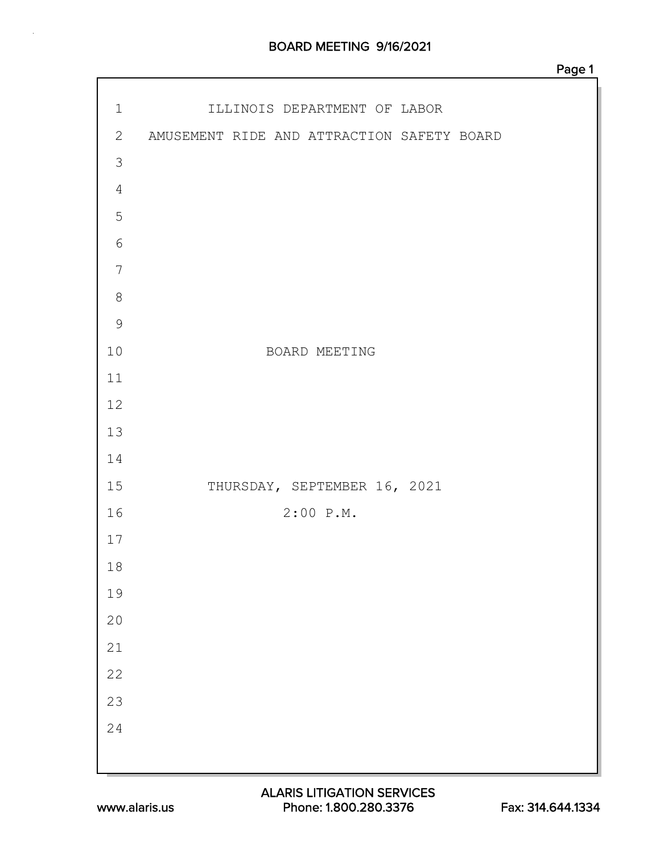### BOARD MEETING 9/16/2021

| $2 \overline{2}$<br>AMUSEMENT RIDE AND ATTRACTION SAFETY BOARD<br>$\mathfrak{Z}$<br>$\sqrt{4}$<br>5<br>$\sqrt{6}$<br>$\overline{7}$<br>$\,8\,$<br>$\mathcal{G}$<br>$10$<br>BOARD MEETING<br>11<br>$12$<br>13<br>14<br>15<br>THURSDAY, SEPTEMBER 16, 2021<br>$2:00$ P.M.<br>16<br>17<br>18<br>19<br>$20$<br>$21\,$<br>22<br>23 |             |                              |
|-------------------------------------------------------------------------------------------------------------------------------------------------------------------------------------------------------------------------------------------------------------------------------------------------------------------------------|-------------|------------------------------|
|                                                                                                                                                                                                                                                                                                                               | $\mathbf 1$ | ILLINOIS DEPARTMENT OF LABOR |
|                                                                                                                                                                                                                                                                                                                               |             |                              |
|                                                                                                                                                                                                                                                                                                                               |             |                              |
|                                                                                                                                                                                                                                                                                                                               |             |                              |
|                                                                                                                                                                                                                                                                                                                               |             |                              |
|                                                                                                                                                                                                                                                                                                                               |             |                              |
|                                                                                                                                                                                                                                                                                                                               |             |                              |
|                                                                                                                                                                                                                                                                                                                               |             |                              |
|                                                                                                                                                                                                                                                                                                                               |             |                              |
|                                                                                                                                                                                                                                                                                                                               |             |                              |
|                                                                                                                                                                                                                                                                                                                               |             |                              |
|                                                                                                                                                                                                                                                                                                                               |             |                              |
|                                                                                                                                                                                                                                                                                                                               |             |                              |
|                                                                                                                                                                                                                                                                                                                               |             |                              |
|                                                                                                                                                                                                                                                                                                                               |             |                              |
|                                                                                                                                                                                                                                                                                                                               |             |                              |
|                                                                                                                                                                                                                                                                                                                               |             |                              |
|                                                                                                                                                                                                                                                                                                                               |             |                              |
|                                                                                                                                                                                                                                                                                                                               |             |                              |
|                                                                                                                                                                                                                                                                                                                               |             |                              |
|                                                                                                                                                                                                                                                                                                                               |             |                              |
|                                                                                                                                                                                                                                                                                                                               |             |                              |
|                                                                                                                                                                                                                                                                                                                               |             |                              |
|                                                                                                                                                                                                                                                                                                                               | 24          |                              |
|                                                                                                                                                                                                                                                                                                                               |             |                              |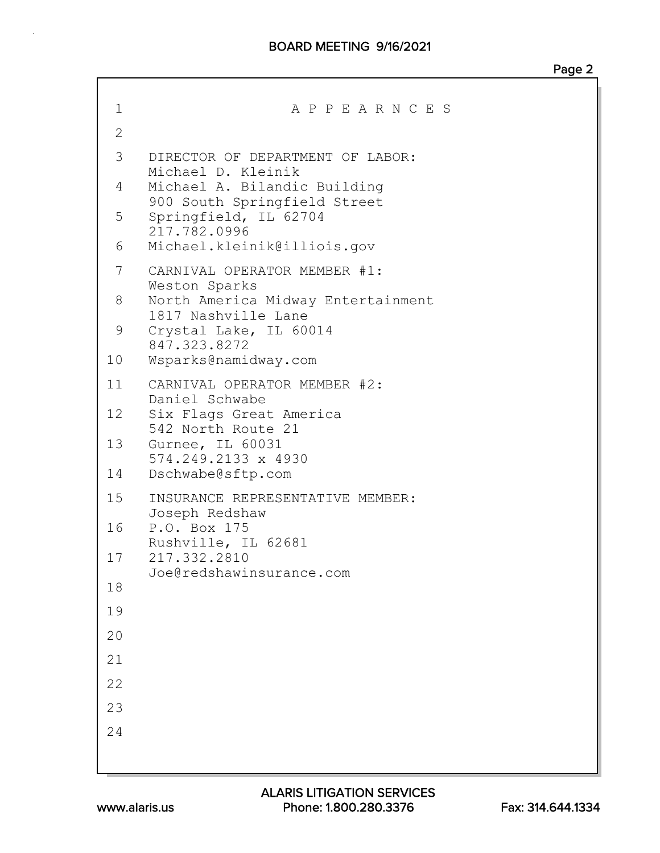### BOARD MEETING 9/16/2021

| 1            | A P P E A R N C E S                                          |
|--------------|--------------------------------------------------------------|
| $\mathbf{2}$ |                                                              |
| 3            | DIRECTOR OF DEPARTMENT OF LABOR:<br>Michael D. Kleinik       |
| 4            | Michael A. Bilandic Building<br>900 South Springfield Street |
| 5            | Springfield, IL 62704<br>217.782.0996                        |
| 6            | Michael.kleinik@illiois.gov                                  |
| 7            | CARNIVAL OPERATOR MEMBER #1:<br>Weston Sparks                |
| 8            | North America Midway Entertainment<br>1817 Nashville Lane    |
| 9            | Crystal Lake, IL 60014<br>847.323.8272                       |
| 10           | Wsparks@namidway.com                                         |
| 11           | CARNIVAL OPERATOR MEMBER #2:<br>Daniel Schwabe               |
| 12           | Six Flags Great America<br>542 North Route 21                |
| 13           | Gurnee, IL 60031<br>574.249.2133 x 4930                      |
| 14           | Dschwabe@sftp.com                                            |
| 15           | INSURANCE REPRESENTATIVE MEMBER:<br>Joseph Redshaw           |
| 16           | P.O. Box 175<br>Rushville, IL 62681                          |
| 17           | 217.332.2810<br>Joe@redshawinsurance.com                     |
| 18           |                                                              |
| 19           |                                                              |
| 20           |                                                              |
| 21           |                                                              |
| 22           |                                                              |
| 23           |                                                              |
| 24           |                                                              |
|              |                                                              |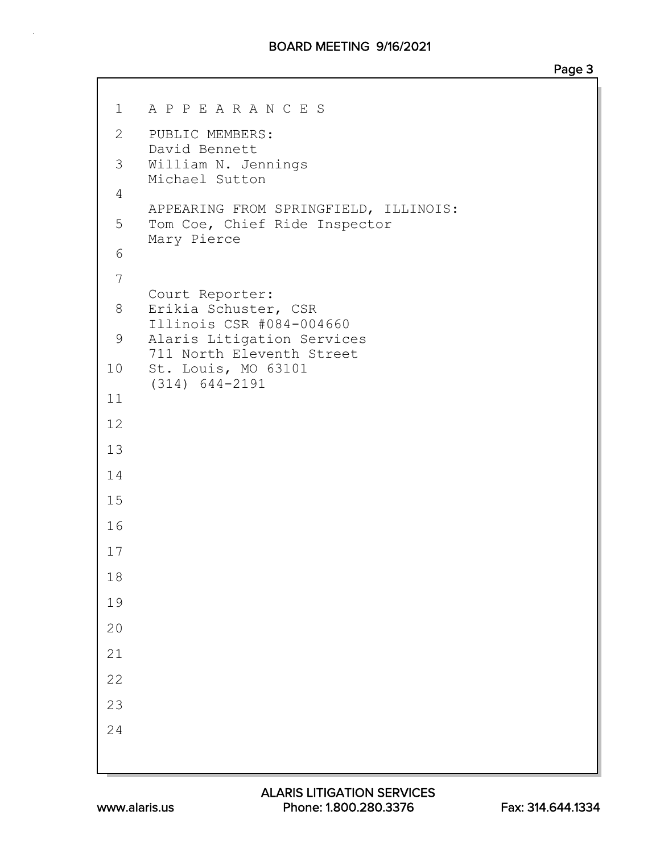1 A P P E A R A N C E S 2 PUBLIC MEMBERS: David Bennett 3 William N. Jennings Michael Sutton 4 APPEARING FROM SPRINGFIELD, ILLINOIS: 5 Tom Coe, Chief Ride Inspector Mary Pierce 6 7 Court Reporter: 8 Erikia Schuster, CSR Illinois CSR #084-004660 9 Alaris Litigation Services 711 North Eleventh Street 10 St. Louis, MO 63101 (314) 644-2191 11 12 13 14 15 16 17 18 19 20 21 22 23 24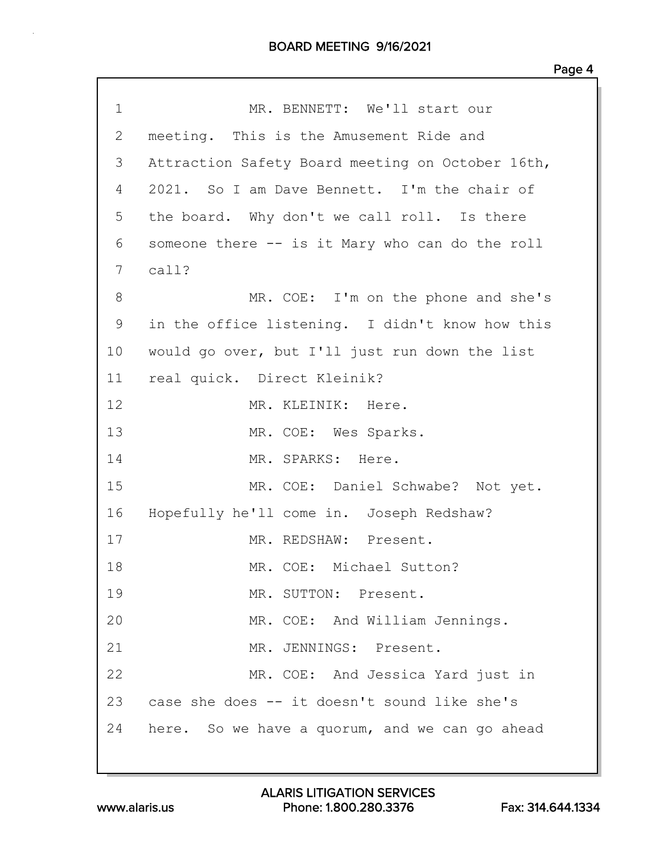| 1            | MR. BENNETT: We'll start our                     |
|--------------|--------------------------------------------------|
| $\mathbf{2}$ | meeting. This is the Amusement Ride and          |
| 3            | Attraction Safety Board meeting on October 16th, |
| 4            | 2021. So I am Dave Bennett. I'm the chair of     |
| 5            | the board. Why don't we call roll. Is there      |
| 6            | someone there -- is it Mary who can do the roll  |
| 7            | $cal1$ ?                                         |
| 8            | MR. COE: I'm on the phone and she's              |
| 9            | in the office listening. I didn't know how this  |
| 10           | would go over, but I'll just run down the list   |
| 11           | real quick. Direct Kleinik?                      |
| 12           | MR. KLEINIK: Here.                               |
| 13           | MR. COE: Wes Sparks.                             |
| 14           | MR. SPARKS: Here.                                |
| 15           | MR. COE: Daniel Schwabe? Not yet.                |
| 16           | Hopefully he'll come in. Joseph Redshaw?         |
| 17           | MR. REDSHAW: Present.                            |
| 18           | MR. COE: Michael Sutton?                         |
| 19           | MR. SUTTON: Present.                             |
| 20           | MR. COE: And William Jennings.                   |
| 21           | MR. JENNINGS: Present.                           |
| 22           | MR. COE: And Jessica Yard just in                |
| 23           | case she does -- it doesn't sound like she's     |
| 24           | here. So we have a quorum, and we can go ahead   |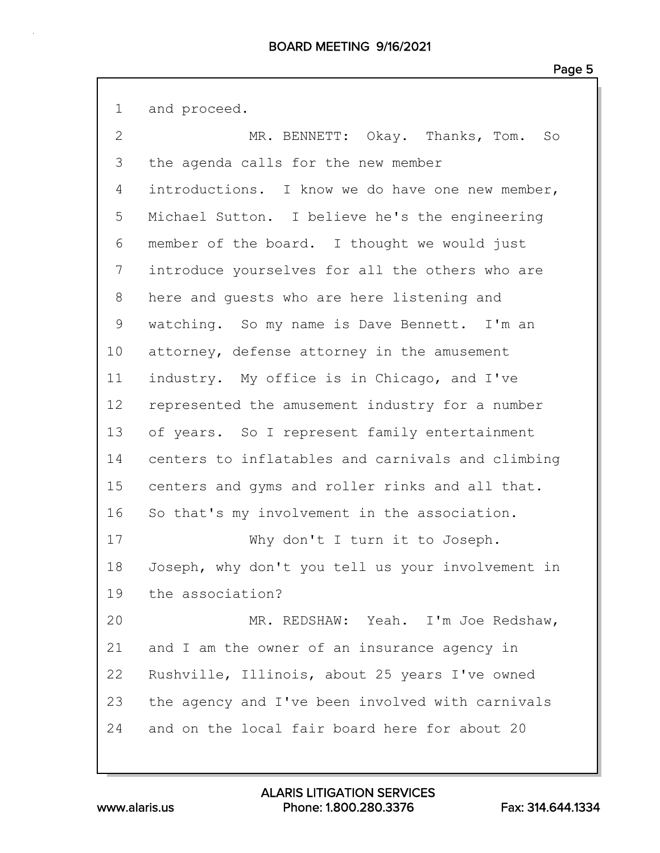1 and proceed. 2 MR. BENNETT: Okay. Thanks, Tom. So 3 the agenda calls for the new member 4 introductions. I know we do have one new member, 5 Michael Sutton. I believe he's the engineering 6 member of the board. I thought we would just 7 introduce yourselves for all the others who are 8 here and guests who are here listening and 9 watching. So my name is Dave Bennett. I'm an 10 attorney, defense attorney in the amusement 11 industry. My office is in Chicago, and I've 12 represented the amusement industry for a number 13 of years. So I represent family entertainment 14 centers to inflatables and carnivals and climbing 15 centers and gyms and roller rinks and all that. 16 So that's my involvement in the association. 17 Why don't I turn it to Joseph. 18 Joseph, why don't you tell us your involvement in 19 the association? 20 MR. REDSHAW: Yeah. I'm Joe Redshaw, 21 and I am the owner of an insurance agency in 22 Rushville, Illinois, about 25 years I've owned 23 the agency and I've been involved with carnivals 24 and on the local fair board here for about 20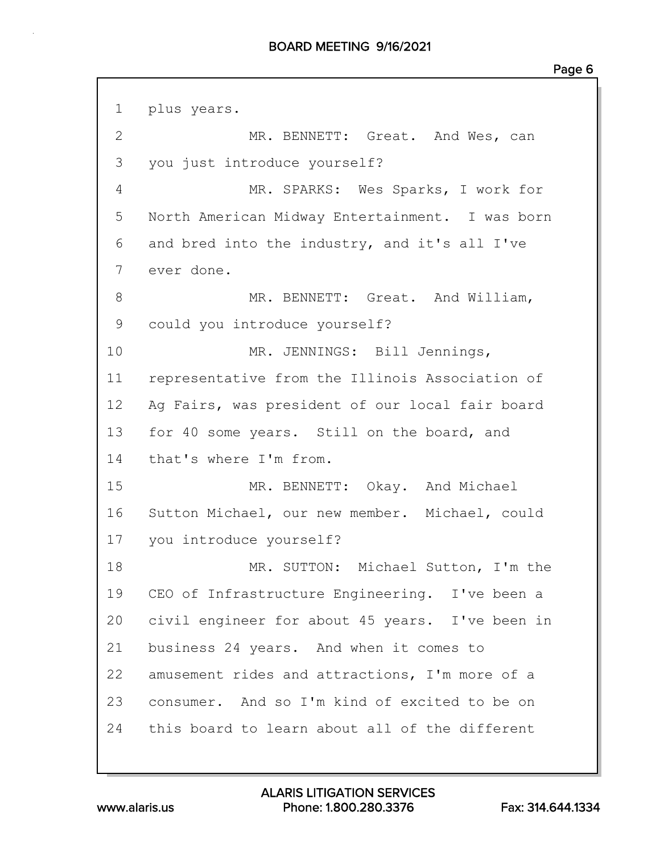1 plus years. 2 MR. BENNETT: Great. And Wes, can 3 you just introduce yourself? 4 MR. SPARKS: Wes Sparks, I work for 5 North American Midway Entertainment. I was born 6 and bred into the industry, and it's all I've 7 ever done. 8 MR. BENNETT: Great. And William, 9 could you introduce yourself? 10 MR. JENNINGS: Bill Jennings, 11 representative from the Illinois Association of 12 Ag Fairs, was president of our local fair board 13 for 40 some years. Still on the board, and 14 that's where I'm from. 15 MR. BENNETT: Okay. And Michael 16 Sutton Michael, our new member. Michael, could 17 you introduce yourself? 18 MR. SUTTON: Michael Sutton, I'm the 19 CEO of Infrastructure Engineering. I've been a 20 civil engineer for about 45 years. I've been in 21 business 24 years. And when it comes to 22 amusement rides and attractions, I'm more of a 23 consumer. And so I'm kind of excited to be on 24 this board to learn about all of the different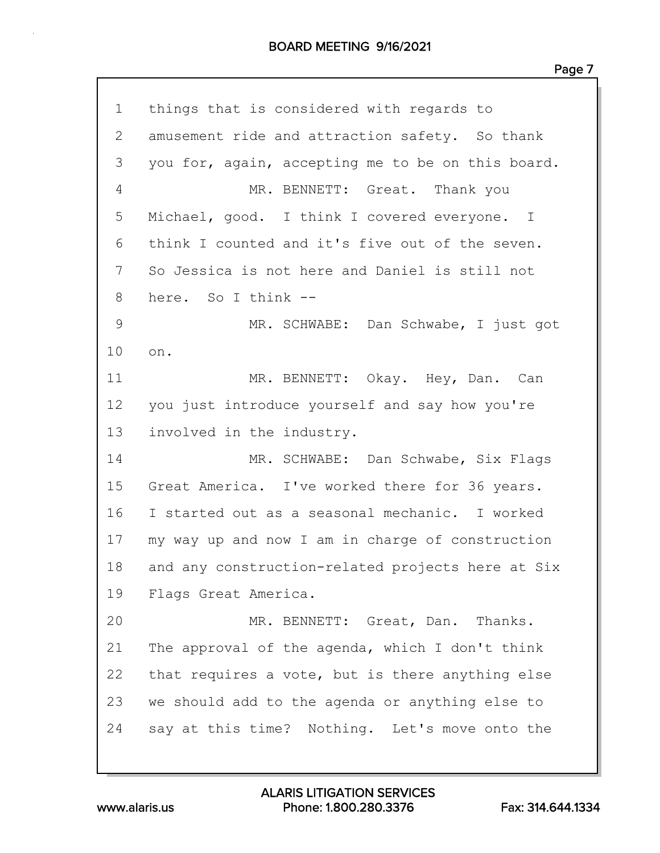#### BOARD MEETING 9/16/2021

| 1            | things that is considered with regards to         |
|--------------|---------------------------------------------------|
| $\mathbf{2}$ | amusement ride and attraction safety. So thank    |
| 3            | you for, again, accepting me to be on this board. |
| 4            | MR. BENNETT: Great. Thank you                     |
| 5            | Michael, good. I think I covered everyone. I      |
| 6            | think I counted and it's five out of the seven.   |
| 7            | So Jessica is not here and Daniel is still not    |
| 8            | here. So I think --                               |
| 9            | MR. SCHWABE: Dan Schwabe, I just got              |
| 10           | on.                                               |
| 11           | MR. BENNETT: Okay. Hey, Dan. Can                  |
| 12           | you just introduce yourself and say how you're    |
| 13           | involved in the industry.                         |
| 14           | MR. SCHWABE: Dan Schwabe, Six Flags               |
| 15           | Great America. I've worked there for 36 years.    |
| 16           | I started out as a seasonal mechanic. I worked    |
| 17           | my way up and now I am in charge of construction  |
| 18           | and any construction-related projects here at Six |
| 19           | Flags Great America.                              |
| 20           | MR. BENNETT: Great, Dan. Thanks.                  |
| 21           | The approval of the agenda, which I don't think   |
| 22           | that requires a vote, but is there anything else  |
| 23           | we should add to the agenda or anything else to   |
| 24           | say at this time? Nothing. Let's move onto the    |
|              |                                                   |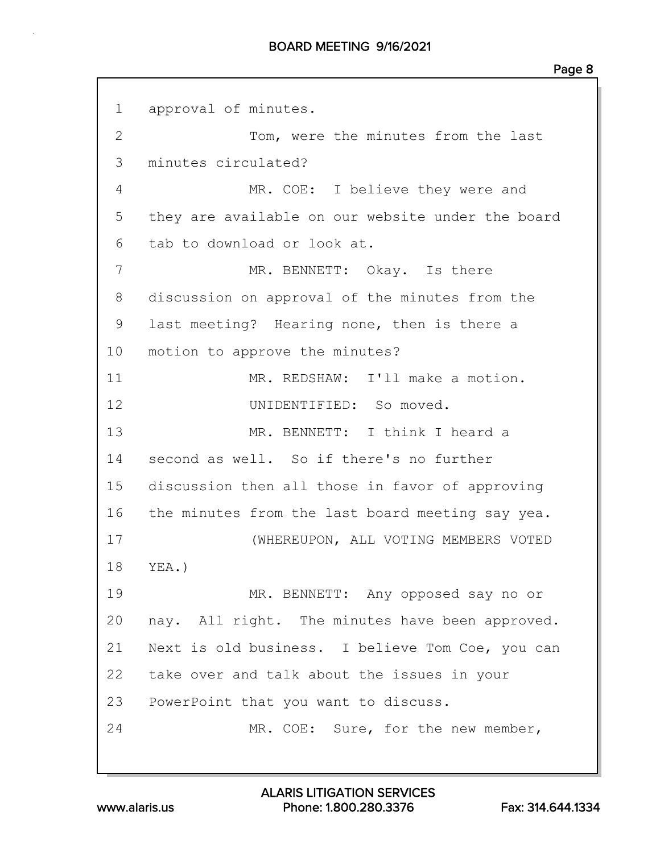1 approval of minutes. 2 Tom, were the minutes from the last 3 minutes circulated? 4 MR. COE: I believe they were and 5 they are available on our website under the board 6 tab to download or look at. 7 MR. BENNETT: Okay. Is there 8 discussion on approval of the minutes from the 9 last meeting? Hearing none, then is there a 10 motion to approve the minutes? 11 MR. REDSHAW: I'll make a motion. 12 UNIDENTIFIED: So moved. 13 MR. BENNETT: I think I heard a 14 second as well. So if there's no further 15 discussion then all those in favor of approving 16 the minutes from the last board meeting say yea. 17 (WHEREUPON, ALL VOTING MEMBERS VOTED 18 YEA.) 19 MR. BENNETT: Any opposed say no or 20 nay. All right. The minutes have been approved. 21 Next is old business. I believe Tom Coe, you can 22 take over and talk about the issues in your 23 PowerPoint that you want to discuss. 24 MR. COE: Sure, for the new member,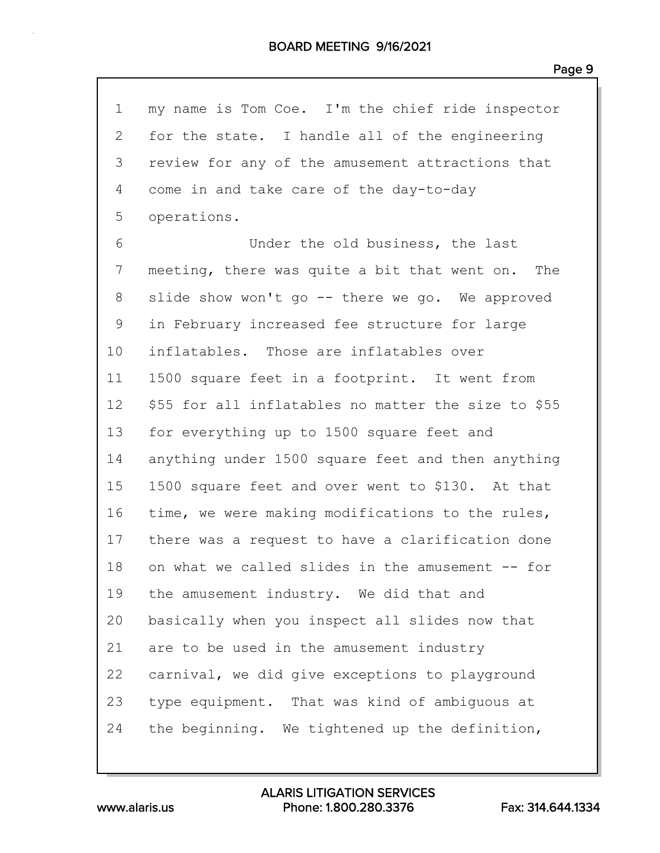| 1               | my name is Tom Coe. I'm the chief ride inspector    |
|-----------------|-----------------------------------------------------|
| $\mathbf{2}$    | for the state. I handle all of the engineering      |
| 3               | review for any of the amusement attractions that    |
| 4               | come in and take care of the day-to-day             |
| 5               | operations.                                         |
| 6               | Under the old business, the last                    |
| 7               | meeting, there was quite a bit that went on. The    |
| 8               | slide show won't go -- there we go. We approved     |
| 9               | in February increased fee structure for large       |
| 10              | inflatables. Those are inflatables over             |
| 11              | 1500 square feet in a footprint. It went from       |
| 12 <sub>2</sub> | \$55 for all inflatables no matter the size to \$55 |
| 13              | for everything up to 1500 square feet and           |
| 14              | anything under 1500 square feet and then anything   |
| 15              | 1500 square feet and over went to \$130. At that    |
| 16              | time, we were making modifications to the rules,    |
| 17              | there was a request to have a clarification done    |
| 18              | on what we called slides in the amusement -- for    |
| 19              | the amusement industry. We did that and             |
| 20              | basically when you inspect all slides now that      |
| 21              | are to be used in the amusement industry            |
| 22              | carnival, we did give exceptions to playground      |
| 23              | type equipment. That was kind of ambiquous at       |
| 24              | the beginning. We tightened up the definition,      |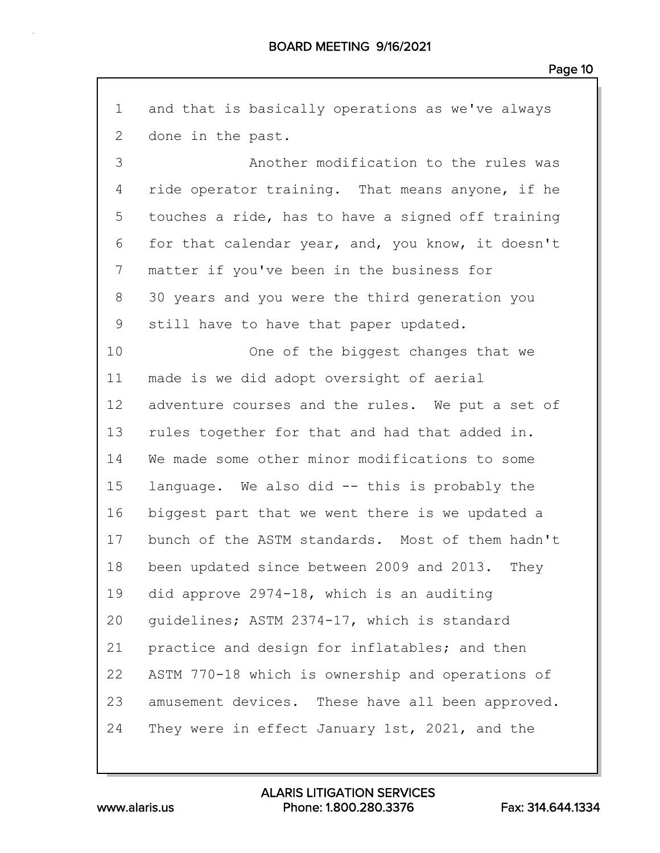1 and that is basically operations as we've always 2 done in the past. 3 Another modification to the rules was 4 ride operator training. That means anyone, if he 5 touches a ride, has to have a signed off training 6 for that calendar year, and, you know, it doesn't 7 matter if you've been in the business for 8 30 years and you were the third generation you 9 still have to have that paper updated. 10 One of the biggest changes that we 11 made is we did adopt oversight of aerial 12 adventure courses and the rules. We put a set of 13 rules together for that and had that added in. 14 We made some other minor modifications to some 15 language. We also did -- this is probably the 16 biggest part that we went there is we updated a 17 bunch of the ASTM standards. Most of them hadn't 18 been updated since between 2009 and 2013. They 19 did approve 2974-18, which is an auditing 20 guidelines; ASTM 2374-17, which is standard 21 practice and design for inflatables; and then 22 ASTM 770-18 which is ownership and operations of 23 amusement devices. These have all been approved. 24 They were in effect January 1st, 2021, and the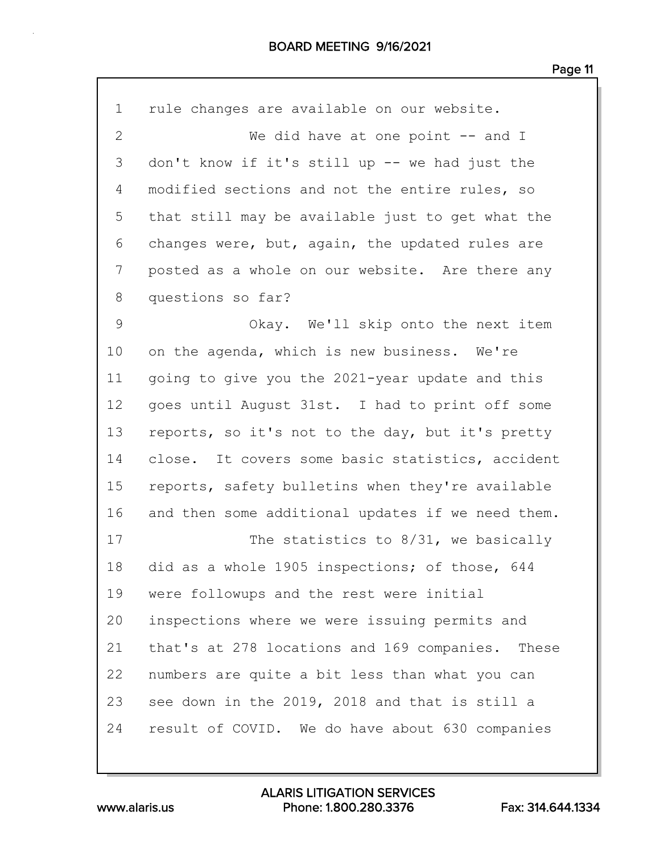| $\mathbf 1$    | rule changes are available on our website.        |
|----------------|---------------------------------------------------|
| $\overline{2}$ | We did have at one point $-$ and I                |
| 3              | don't know if it's still up -- we had just the    |
| 4              | modified sections and not the entire rules, so    |
| 5              | that still may be available just to get what the  |
| 6              | changes were, but, again, the updated rules are   |
| 7              | posted as a whole on our website. Are there any   |
| 8              | questions so far?                                 |
| $\mathsf 9$    | Okay. We'll skip onto the next item               |
| 10             | on the agenda, which is new business. We're       |
| 11             | going to give you the 2021-year update and this   |
| 12             | goes until August 31st. I had to print off some   |
| 13             | reports, so it's not to the day, but it's pretty  |
| 14             | close. It covers some basic statistics, accident  |
| 15             | reports, safety bulletins when they're available  |
| 16             | and then some additional updates if we need them. |
| 17             | The statistics to $8/31$ , we basically           |
| 18             | did as a whole 1905 inspections; of those, 644    |
| 19             | were followups and the rest were initial          |
| 20             | inspections where we were issuing permits and     |
| 21             | that's at 278 locations and 169 companies. These  |
| 22             | numbers are quite a bit less than what you can    |
| 23             | see down in the 2019, 2018 and that is still a    |
| 24             | result of COVID. We do have about 630 companies   |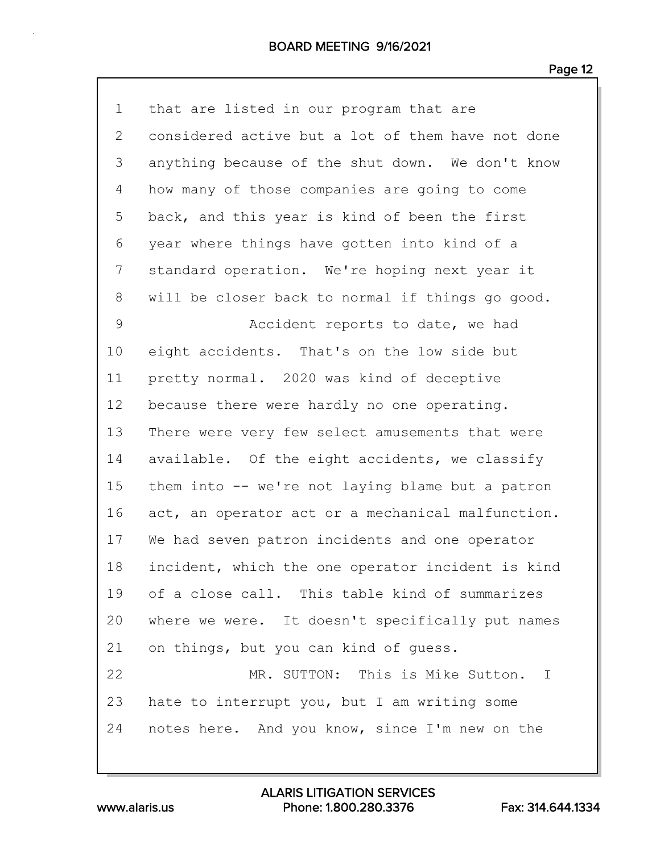| $\mathbf 1$ | that are listed in our program that are           |
|-------------|---------------------------------------------------|
| 2           | considered active but a lot of them have not done |
| 3           | anything because of the shut down. We don't know  |
| 4           | how many of those companies are going to come     |
| 5           | back, and this year is kind of been the first     |
| 6           | year where things have gotten into kind of a      |
| 7           | standard operation. We're hoping next year it     |
| 8           | will be closer back to normal if things go good.  |
| 9           | Accident reports to date, we had                  |
| 10          | eight accidents. That's on the low side but       |
| 11          | pretty normal. 2020 was kind of deceptive         |
| 12          | because there were hardly no one operating.       |
| 13          | There were very few select amusements that were   |
| 14          | available. Of the eight accidents, we classify    |
| 15          | them into -- we're not laying blame but a patron  |
| 16          | act, an operator act or a mechanical malfunction. |
| 17          | We had seven patron incidents and one operator    |
| 18          | incident, which the one operator incident is kind |
| 19          | of a close call. This table kind of summarizes    |
| 20          | where we were. It doesn't specifically put names  |
| 21          | on things, but you can kind of quess.             |
| 22          | MR. SUTTON: This is Mike Sutton.<br>$\mathbb{I}$  |
| 23          | hate to interrupt you, but I am writing some      |
| 24          | notes here. And you know, since I'm new on the    |
|             |                                                   |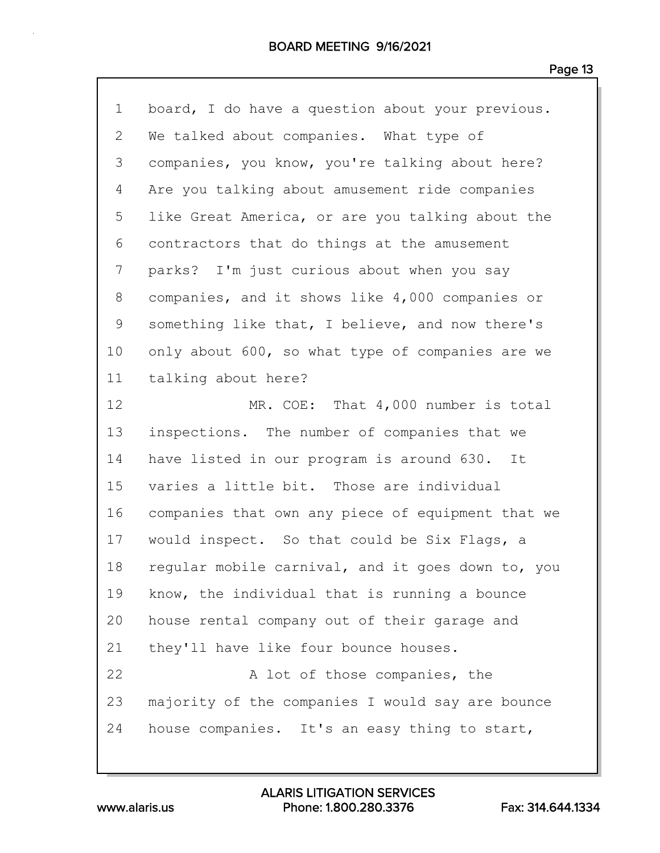| $\mathbf 1$  | board, I do have a question about your previous.  |
|--------------|---------------------------------------------------|
| $\mathbf{2}$ | We talked about companies. What type of           |
| 3            | companies, you know, you're talking about here?   |
| 4            | Are you talking about amusement ride companies    |
| 5            | like Great America, or are you talking about the  |
| 6            | contractors that do things at the amusement       |
| 7            | parks? I'm just curious about when you say        |
| 8            | companies, and it shows like 4,000 companies or   |
| 9            | something like that, I believe, and now there's   |
| 10           | only about 600, so what type of companies are we  |
| 11           | talking about here?                               |
| 12           | MR. COE: That 4,000 number is total               |
| 13           | inspections. The number of companies that we      |
|              |                                                   |
| 14           | have listed in our program is around 630. It      |
| 15           | varies a little bit. Those are individual         |
| 16           | companies that own any piece of equipment that we |
| 17           | would inspect. So that could be Six Flags, a      |
| 18           | regular mobile carnival, and it goes down to, you |
| 19           | know, the individual that is running a bounce     |
| 20           | house rental company out of their garage and      |
| 21           | they'll have like four bounce houses.             |
| 22           | A lot of those companies, the                     |
| 23           | majority of the companies I would say are bounce  |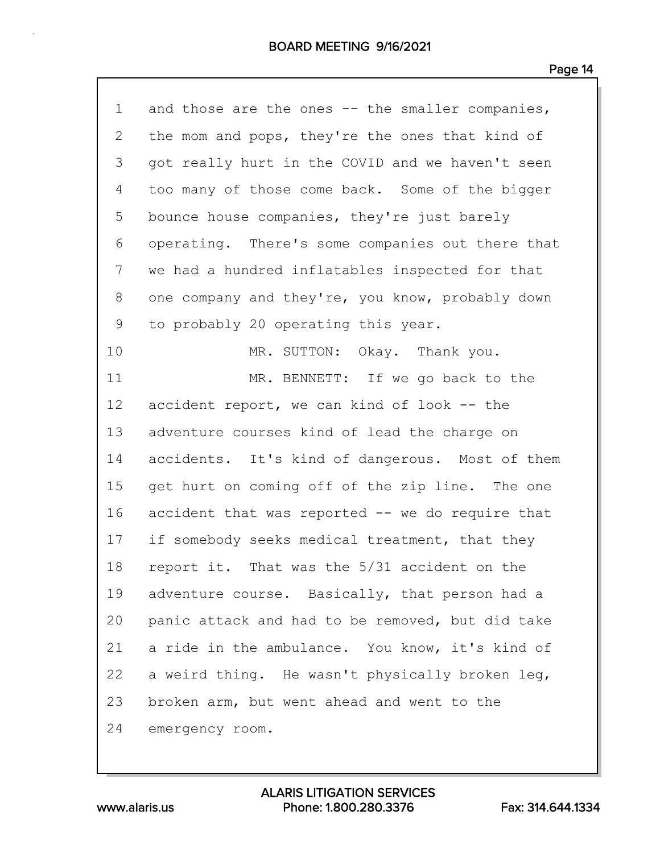| $\mathbf 1$  | and those are the ones -- the smaller companies, |
|--------------|--------------------------------------------------|
| $\mathbf{2}$ | the mom and pops, they're the ones that kind of  |
| 3            | got really hurt in the COVID and we haven't seen |
| 4            | too many of those come back. Some of the bigger  |
| 5            | bounce house companies, they're just barely      |
| 6            | operating. There's some companies out there that |
| 7            | we had a hundred inflatables inspected for that  |
| 8            | one company and they're, you know, probably down |
| 9            | to probably 20 operating this year.              |
| 10           | MR. SUTTON: Okay. Thank you.                     |
| 11           | MR. BENNETT: If we go back to the                |
| 12           | accident report, we can kind of look -- the      |
| 13           | adventure courses kind of lead the charge on     |
| 14           | accidents. It's kind of dangerous. Most of them  |
| 15           | get hurt on coming off of the zip line. The one  |
| 16           | accident that was reported -- we do require that |
| 17           | if somebody seeks medical treatment, that they   |
| 18           | report it. That was the 5/31 accident on the     |
| 19           | adventure course. Basically, that person had a   |
| 20           | panic attack and had to be removed, but did take |
| 21           | a ride in the ambulance. You know, it's kind of  |
| 22           | a weird thing. He wasn't physically broken leg,  |
| 23           | broken arm, but went ahead and went to the       |
| 24           | emergency room.                                  |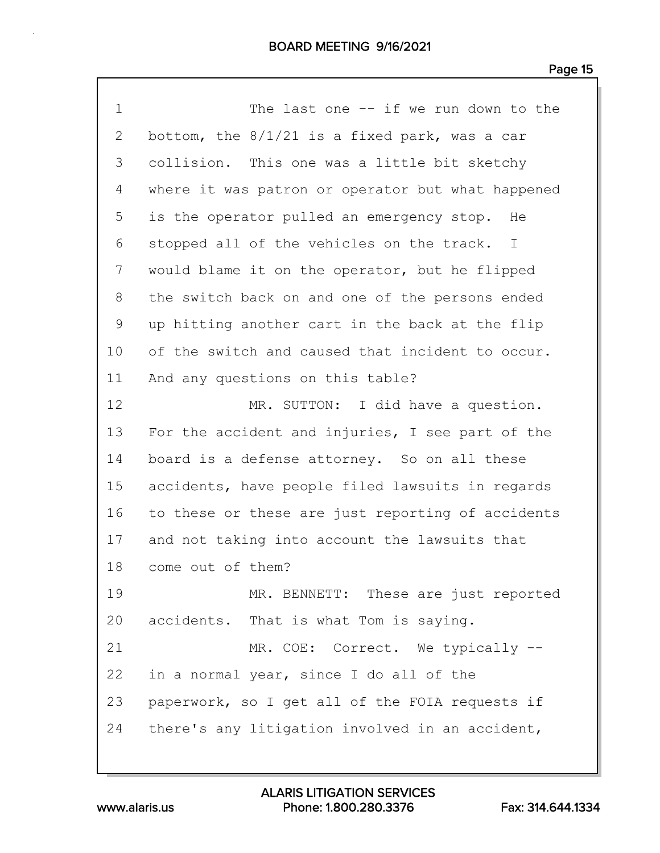| $\mathbf 1$  | The last one $-$ if we run down to the            |
|--------------|---------------------------------------------------|
| $\mathbf{2}$ | bottom, the $8/1/21$ is a fixed park, was a car   |
| 3            | collision. This one was a little bit sketchy      |
| 4            | where it was patron or operator but what happened |
| 5            | is the operator pulled an emergency stop. He      |
| 6            | stopped all of the vehicles on the track. I       |
| 7            | would blame it on the operator, but he flipped    |
| 8            | the switch back on and one of the persons ended   |
| 9            | up hitting another cart in the back at the flip   |
| 10           | of the switch and caused that incident to occur.  |
| 11           | And any questions on this table?                  |
| 12           | MR. SUTTON: I did have a question.                |
| 13           | For the accident and injuries, I see part of the  |
| 14           | board is a defense attorney. So on all these      |
| 15           | accidents, have people filed lawsuits in regards  |
| 16           | to these or these are just reporting of accidents |
| 17           | and not taking into account the lawsuits that     |
| 18           | come out of them?                                 |
| 19           | MR. BENNETT: These are just reported              |
| 20           | accidents. That is what Tom is saying.            |
| 21           | MR. COE: Correct. We typically --                 |
| 22           | in a normal year, since I do all of the           |
| 23           | paperwork, so I get all of the FOIA requests if   |
| 24           | there's any litigation involved in an accident,   |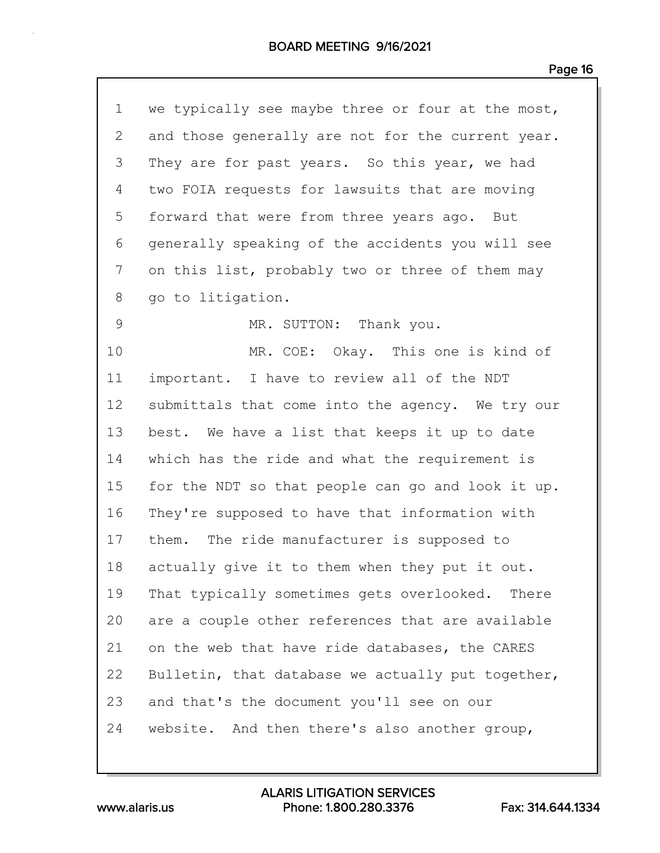| $\mathbf 1$     | we typically see maybe three or four at the most, |
|-----------------|---------------------------------------------------|
| 2               | and those generally are not for the current year. |
| 3               | They are for past years. So this year, we had     |
| 4               | two FOIA requests for lawsuits that are moving    |
| 5               | forward that were from three years ago.<br>But    |
| 6               | generally speaking of the accidents you will see  |
| 7               | on this list, probably two or three of them may   |
| 8               | go to litigation.                                 |
| 9               | MR. SUTTON: Thank you.                            |
| 10              | MR. COE: Okay. This one is kind of                |
| 11              | important. I have to review all of the NDT        |
| 12 <sub>2</sub> | submittals that come into the agency. We try our  |
| 13              | best. We have a list that keeps it up to date     |
| 14              | which has the ride and what the requirement is    |
| 15              | for the NDT so that people can go and look it up. |
| 16              | They're supposed to have that information with    |
| 17              | them. The ride manufacturer is supposed to        |
| 18              | actually give it to them when they put it out.    |
| 19              | That typically sometimes gets overlooked. There   |
| 20              | are a couple other references that are available  |
| 21              | on the web that have ride databases, the CARES    |
| 22              | Bulletin, that database we actually put together, |
| 23              | and that's the document you'll see on our         |
| 24              | website. And then there's also another group,     |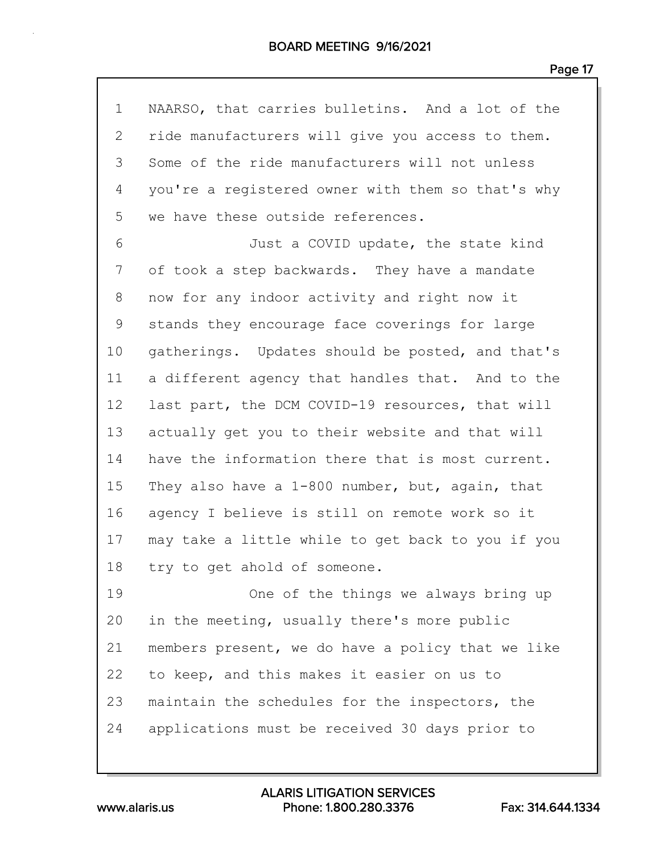| $\mathbf 1$ | NAARSO, that carries bulletins. And a lot of the  |
|-------------|---------------------------------------------------|
| 2           | ride manufacturers will give you access to them.  |
| 3           | Some of the ride manufacturers will not unless    |
| 4           | you're a registered owner with them so that's why |
| 5           | we have these outside references.                 |
| 6           | Just a COVID update, the state kind               |
| 7           | of took a step backwards. They have a mandate     |
| 8           | now for any indoor activity and right now it      |
| 9           | stands they encourage face coverings for large    |
| 10          | gatherings. Updates should be posted, and that's  |
| 11          | a different agency that handles that. And to the  |
| 12          | last part, the DCM COVID-19 resources, that will  |
| 13          | actually get you to their website and that will   |
| 14          | have the information there that is most current.  |
| 15          | They also have a 1-800 number, but, again, that   |
| 16          | agency I believe is still on remote work so it    |
| 17          | may take a little while to get back to you if you |
| 18          | try to get ahold of someone.                      |
| 19          | One of the things we always bring up              |
| 20          | in the meeting, usually there's more public       |
| 21          | members present, we do have a policy that we like |
| 22          | to keep, and this makes it easier on us to        |
| 23          | maintain the schedules for the inspectors, the    |
| 24          | applications must be received 30 days prior to    |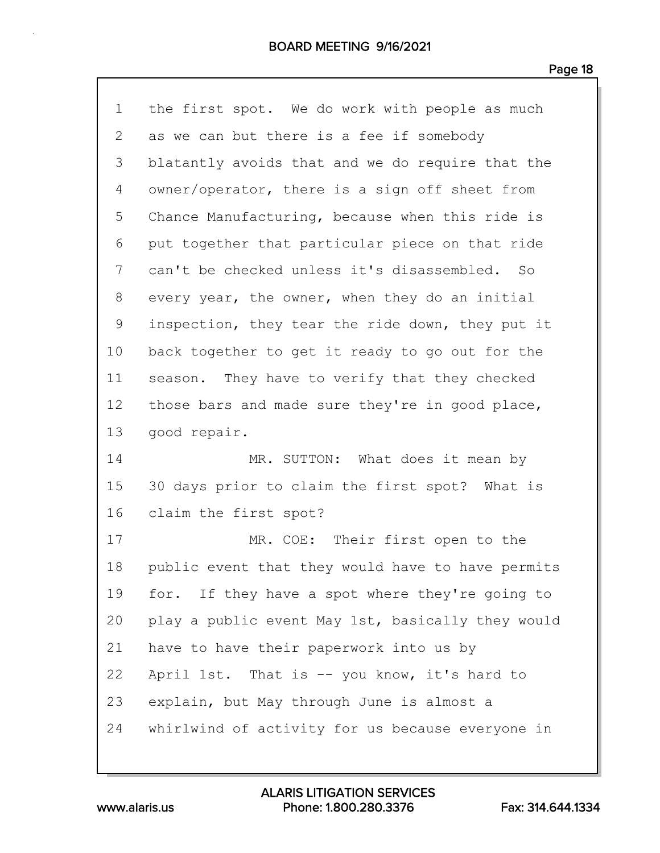| $\mathbf 1$ | the first spot. We do work with people as much    |
|-------------|---------------------------------------------------|
| 2           | as we can but there is a fee if somebody          |
| 3           | blatantly avoids that and we do require that the  |
| 4           | owner/operator, there is a sign off sheet from    |
| 5           | Chance Manufacturing, because when this ride is   |
| 6           | put together that particular piece on that ride   |
| 7           | can't be checked unless it's disassembled. So     |
| 8           | every year, the owner, when they do an initial    |
| $\mathsf 9$ | inspection, they tear the ride down, they put it  |
| 10          | back together to get it ready to go out for the   |
| 11          | season. They have to verify that they checked     |
| 12          | those bars and made sure they're in good place,   |
| 13          | good repair.                                      |
|             |                                                   |
| 14          | MR. SUTTON: What does it mean by                  |
| 15          | 30 days prior to claim the first spot? What is    |
| 16          | claim the first spot?                             |
| 17          | MR. COE: Their first open to the                  |
| 18          | public event that they would have to have permits |
| 19          | for. If they have a spot where they're going to   |
| 20          | play a public event May 1st, basically they would |
| 21          | have to have their paperwork into us by           |
| 22          | April 1st. That is -- you know, it's hard to      |
| 23          | explain, but May through June is almost a         |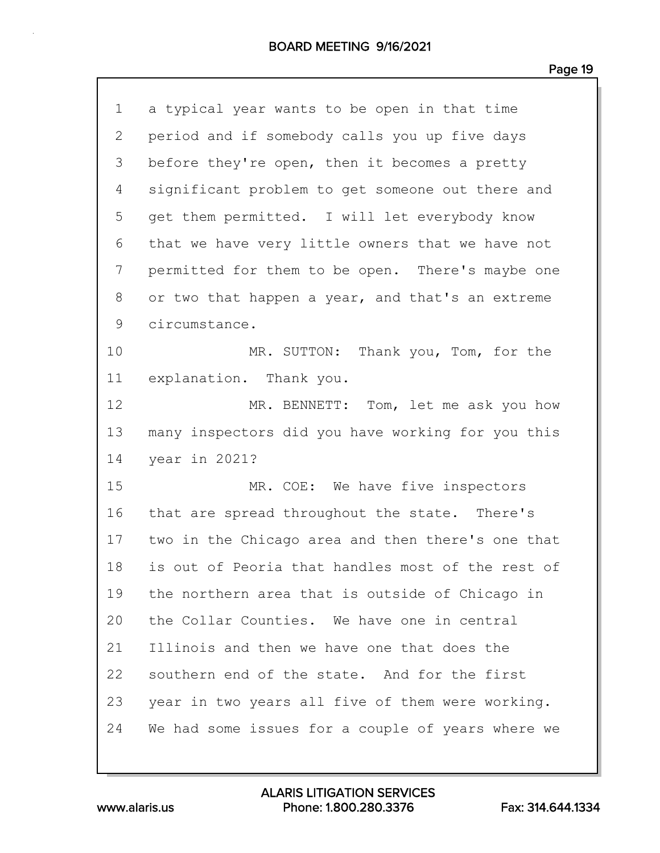| $\mathbf 1$  | a typical year wants to be open in that time      |
|--------------|---------------------------------------------------|
| $\mathbf{2}$ | period and if somebody calls you up five days     |
| 3            | before they're open, then it becomes a pretty     |
| 4            | significant problem to get someone out there and  |
| 5            | get them permitted. I will let everybody know     |
| 6            | that we have very little owners that we have not  |
| 7            | permitted for them to be open. There's maybe one  |
| 8            | or two that happen a year, and that's an extreme  |
| 9            | circumstance.                                     |
| 10           | MR. SUTTON: Thank you, Tom, for the               |
| 11           | explanation. Thank you.                           |
| 12           | MR. BENNETT: Tom, let me ask you how              |
| 13           | many inspectors did you have working for you this |
| 14           | year in 2021?                                     |
| 15           | MR. COE: We have five inspectors                  |
| 16           | that are spread throughout the state. There's     |
| 17           | two in the Chicago area and then there's one that |
| 18           | is out of Peoria that handles most of the rest of |
| 19           | the northern area that is outside of Chicago in   |
| 20           | the Collar Counties. We have one in central       |
| 21           | Illinois and then we have one that does the       |
| 22           | southern end of the state. And for the first      |
| 23           | year in two years all five of them were working.  |
| 24           | We had some issues for a couple of years where we |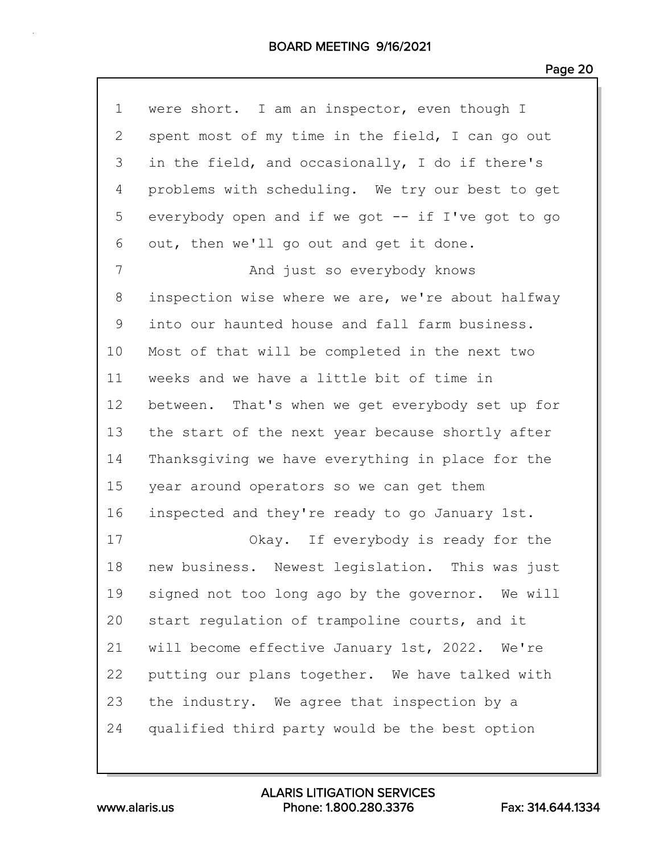| $\mathbf 1$ | were short. I am an inspector, even though I      |
|-------------|---------------------------------------------------|
| 2           | spent most of my time in the field, I can go out  |
| 3           | in the field, and occasionally, I do if there's   |
| 4           | problems with scheduling. We try our best to get  |
| 5           | everybody open and if we got -- if I've got to go |
| 6           | out, then we'll go out and get it done.           |
| 7           | And just so everybody knows                       |
| 8           | inspection wise where we are, we're about halfway |
| 9           | into our haunted house and fall farm business.    |
| 10          | Most of that will be completed in the next two    |
| 11          | weeks and we have a little bit of time in         |
| 12          | between. That's when we get everybody set up for  |
| 13          | the start of the next year because shortly after  |
| 14          | Thanksgiving we have everything in place for the  |
| 15          | year around operators so we can get them          |
| 16          | inspected and they're ready to go January 1st.    |
| 17          | Okay. If everybody is ready for the               |
| 18          | new business. Newest legislation. This was just   |
| 19          | signed not too long ago by the governor. We will  |
| 20          | start regulation of trampoline courts, and it     |
| 21          | will become effective January 1st, 2022. We're    |
| 22          | putting our plans together. We have talked with   |
| 23          | the industry. We agree that inspection by a       |
| 24          | qualified third party would be the best option    |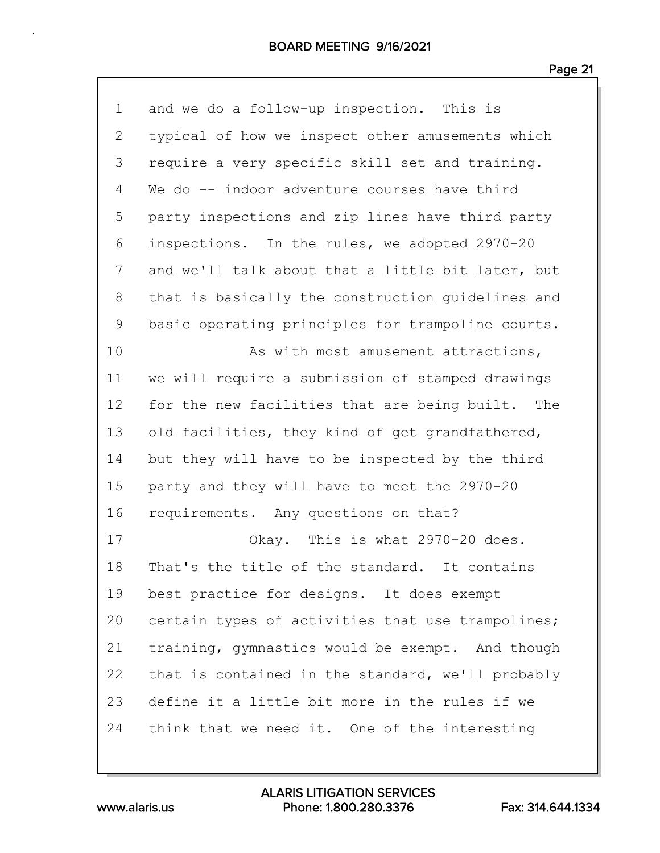| $\mathbf 1$  | and we do a follow-up inspection. This is         |
|--------------|---------------------------------------------------|
| $\mathbf{2}$ | typical of how we inspect other amusements which  |
| 3            | require a very specific skill set and training.   |
| 4            | We do -- indoor adventure courses have third      |
| 5            | party inspections and zip lines have third party  |
| 6            | inspections. In the rules, we adopted 2970-20     |
| 7            | and we'll talk about that a little bit later, but |
| 8            | that is basically the construction guidelines and |
| 9            | basic operating principles for trampoline courts. |
| 10           | As with most amusement attractions,               |
| 11           | we will require a submission of stamped drawings  |
| 12           | for the new facilities that are being built. The  |
| 13           | old facilities, they kind of get grandfathered,   |
| 14           | but they will have to be inspected by the third   |
| 15           | party and they will have to meet the 2970-20      |
| 16           | requirements. Any questions on that?              |
| 17           | Okay. This is what 2970-20 does.                  |
| 18           | That's the title of the standard. It contains     |
| 19           | best practice for designs. It does exempt         |
| 20           | certain types of activities that use trampolines; |
| 21           | training, gymnastics would be exempt. And though  |
| 22           | that is contained in the standard, we'll probably |
| 23           | define it a little bit more in the rules if we    |
| 24           | think that we need it. One of the interesting     |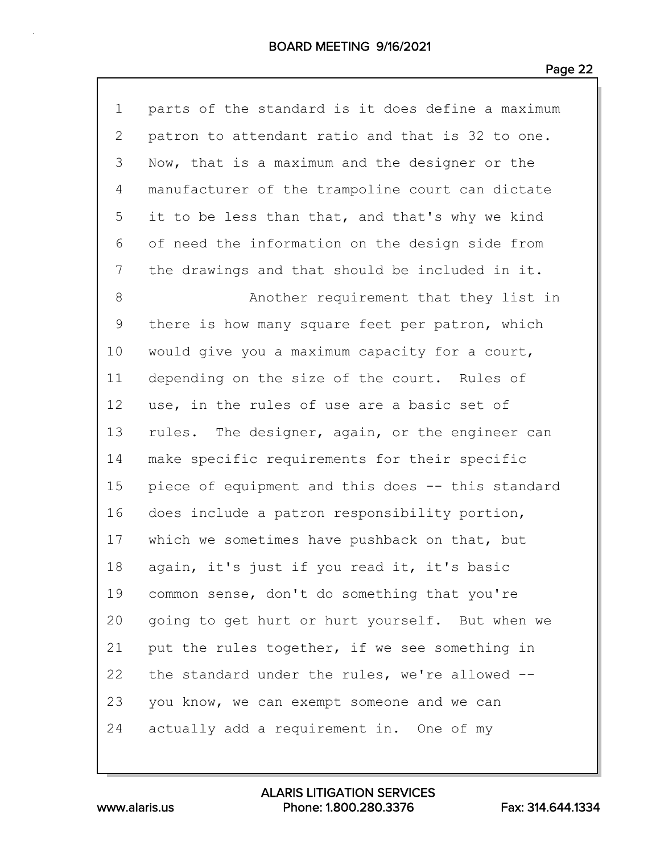| $\mathbf 1$  | parts of the standard is it does define a maximum |
|--------------|---------------------------------------------------|
| $\mathbf{2}$ | patron to attendant ratio and that is 32 to one.  |
| 3            | Now, that is a maximum and the designer or the    |
| 4            | manufacturer of the trampoline court can dictate  |
| 5            | it to be less than that, and that's why we kind   |
| 6            | of need the information on the design side from   |
| 7            | the drawings and that should be included in it.   |
| 8            | Another requirement that they list in             |
| 9            | there is how many square feet per patron, which   |
| 10           | would give you a maximum capacity for a court,    |
| 11           | depending on the size of the court. Rules of      |
| 12           | use, in the rules of use are a basic set of       |
| 13           | rules. The designer, again, or the engineer can   |
| 14           | make specific requirements for their specific     |
| 15           | piece of equipment and this does -- this standard |
| 16           | does include a patron responsibility portion,     |
| 17           | which we sometimes have pushback on that, but     |
| 18           | again, it's just if you read it, it's basic       |
| 19           | common sense, don't do something that you're      |
| 20           | going to get hurt or hurt yourself. But when we   |
| 21           | put the rules together, if we see something in    |
| 22           | the standard under the rules, we're allowed --    |
| 23           | you know, we can exempt someone and we can        |
| 24           | actually add a requirement in. One of my          |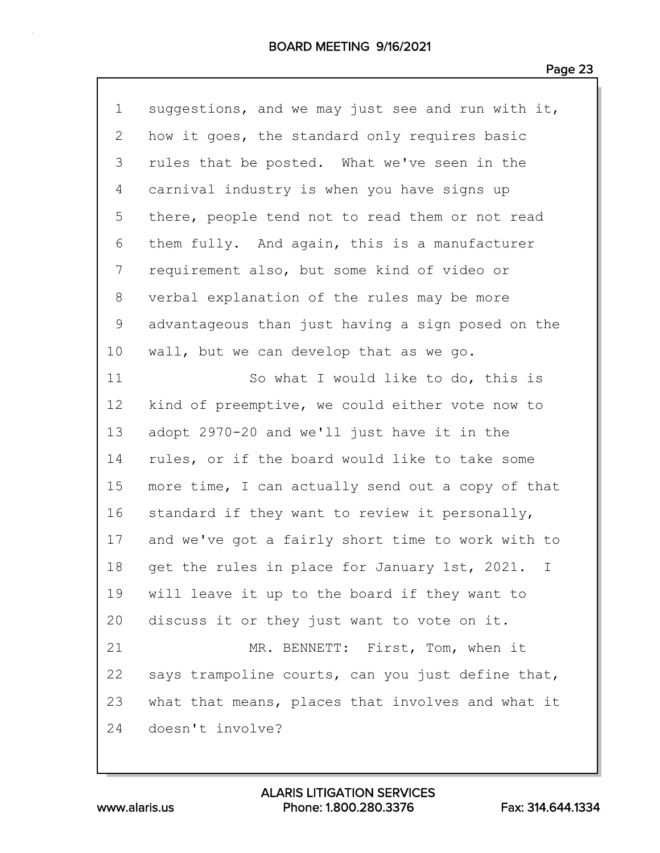| $\mathbf 1$ | suggestions, and we may just see and run with it, |
|-------------|---------------------------------------------------|
| 2           | how it goes, the standard only requires basic     |
| 3           | rules that be posted. What we've seen in the      |
| 4           | carnival industry is when you have signs up       |
| 5           | there, people tend not to read them or not read   |
| 6           | them fully. And again, this is a manufacturer     |
| 7           | requirement also, but some kind of video or       |
| 8           | verbal explanation of the rules may be more       |
| 9           | advantageous than just having a sign posed on the |
| 10          | wall, but we can develop that as we go.           |
| 11          | So what I would like to do, this is               |
| 12          | kind of preemptive, we could either vote now to   |
| 13          | adopt 2970-20 and we'll just have it in the       |
| 14          | rules, or if the board would like to take some    |
| 15          | more time, I can actually send out a copy of that |
| 16          | standard if they want to review it personally,    |
| 17          | and we've got a fairly short time to work with to |
| 18          | get the rules in place for January 1st, 2021. I   |
| 19          | will leave it up to the board if they want to     |
| 20          | discuss it or they just want to vote on it.       |
| 21          | MR. BENNETT: First, Tom, when it                  |
| 22          | says trampoline courts, can you just define that, |
| 23          | what that means, places that involves and what it |
| 24          | doesn't involve?                                  |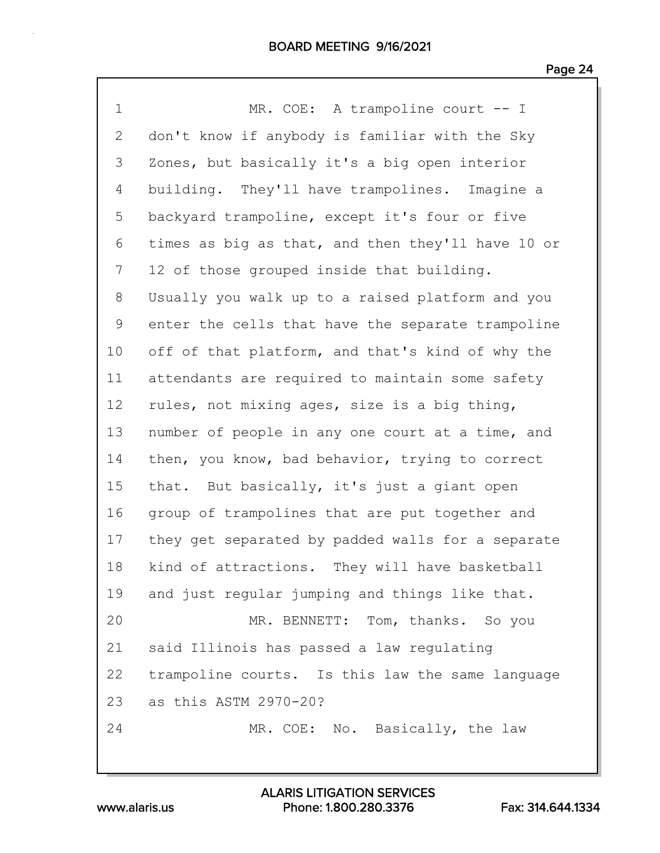| $\mathbf 1$  | MR. COE: A trampoline court -- I                  |
|--------------|---------------------------------------------------|
| $\mathbf{2}$ | don't know if anybody is familiar with the Sky    |
| 3            | Zones, but basically it's a big open interior     |
| 4            | building. They'll have trampolines. Imagine a     |
| 5            | backyard trampoline, except it's four or five     |
| 6            | times as big as that, and then they'll have 10 or |
| 7            | 12 of those grouped inside that building.         |
| 8            | Usually you walk up to a raised platform and you  |
| 9            | enter the cells that have the separate trampoline |
| 10           | off of that platform, and that's kind of why the  |
| 11           | attendants are required to maintain some safety   |
| 12           | rules, not mixing ages, size is a big thing,      |
| 13           | number of people in any one court at a time, and  |
| 14           | then, you know, bad behavior, trying to correct   |
| 15           | that. But basically, it's just a giant open       |
| 16           | group of trampolines that are put together and    |
| 17           | they get separated by padded walls for a separate |
| 18           | kind of attractions. They will have basketball    |
| 19           | and just regular jumping and things like that.    |
| 20           | MR. BENNETT: Tom, thanks. So you                  |
| 21           | said Illinois has passed a law regulating         |
| 22           | trampoline courts. Is this law the same language  |
| 23           | as this ASTM 2970-20?                             |
| 24           | MR. COE: No. Basically, the law                   |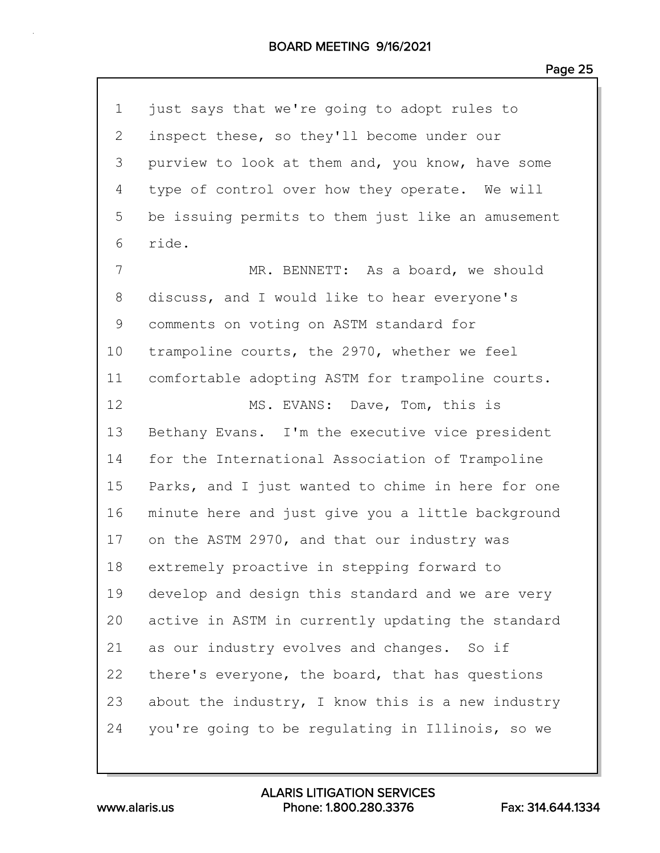| $\mathbf 1$    | just says that we're going to adopt rules to      |
|----------------|---------------------------------------------------|
| $\overline{2}$ | inspect these, so they'll become under our        |
| 3              | purview to look at them and, you know, have some  |
| 4              | type of control over how they operate. We will    |
| 5              | be issuing permits to them just like an amusement |
| 6              | ride.                                             |
| 7              | MR. BENNETT: As a board, we should                |
| 8              | discuss, and I would like to hear everyone's      |
| $\mathsf 9$    | comments on voting on ASTM standard for           |
| 10             | trampoline courts, the 2970, whether we feel      |
| 11             | comfortable adopting ASTM for trampoline courts.  |
| 12             | MS. EVANS: Dave, Tom, this is                     |
| 13             | Bethany Evans. I'm the executive vice president   |
| 14             | for the International Association of Trampoline   |
| 15             | Parks, and I just wanted to chime in here for one |
| 16             | minute here and just give you a little background |
| 17             | on the ASTM 2970, and that our industry was       |
| 18             | extremely proactive in stepping forward to        |
| 19             | develop and design this standard and we are very  |
| 20             | active in ASTM in currently updating the standard |
| 21             | as our industry evolves and changes. So if        |
| 22             | there's everyone, the board, that has questions   |
| 23             | about the industry, I know this is a new industry |
| 24             | you're going to be regulating in Illinois, so we  |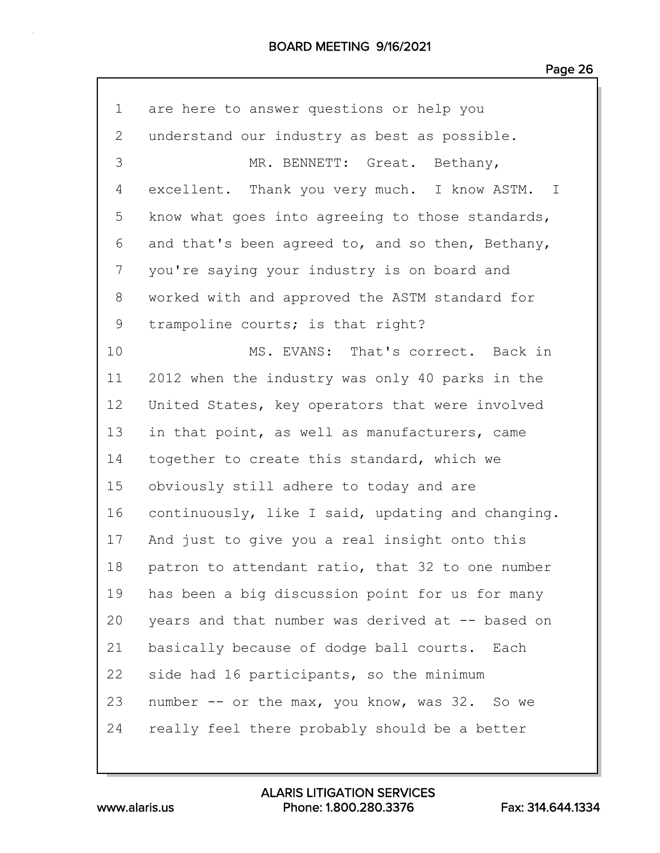### BOARD MEETING 9/16/2021

| 1               | are here to answer questions or help you          |
|-----------------|---------------------------------------------------|
| $\mathbf{2}$    | understand our industry as best as possible.      |
| 3               | MR. BENNETT: Great. Bethany,                      |
| 4               | excellent. Thank you very much. I know ASTM. I    |
| 5               | know what goes into agreeing to those standards,  |
| 6               | and that's been agreed to, and so then, Bethany,  |
| 7               | you're saying your industry is on board and       |
| 8               | worked with and approved the ASTM standard for    |
| 9               | trampoline courts; is that right?                 |
| 10              | MS. EVANS: That's correct. Back in                |
| 11              | 2012 when the industry was only 40 parks in the   |
| 12 <sup>°</sup> | United States, key operators that were involved   |
| 13              | in that point, as well as manufacturers, came     |
| 14              | together to create this standard, which we        |
| 15              | obviously still adhere to today and are           |
| 16              | continuously, like I said, updating and changing. |
| 17              | And just to give you a real insight onto this     |
| 18              | patron to attendant ratio, that 32 to one number  |
| 19              | has been a big discussion point for us for many   |
| 20              | years and that number was derived at -- based on  |
| 21              | basically because of dodge ball courts. Each      |
| 22              | side had 16 participants, so the minimum          |
| 23              | number -- or the max, you know, was 32. So we     |
| 24              | really feel there probably should be a better     |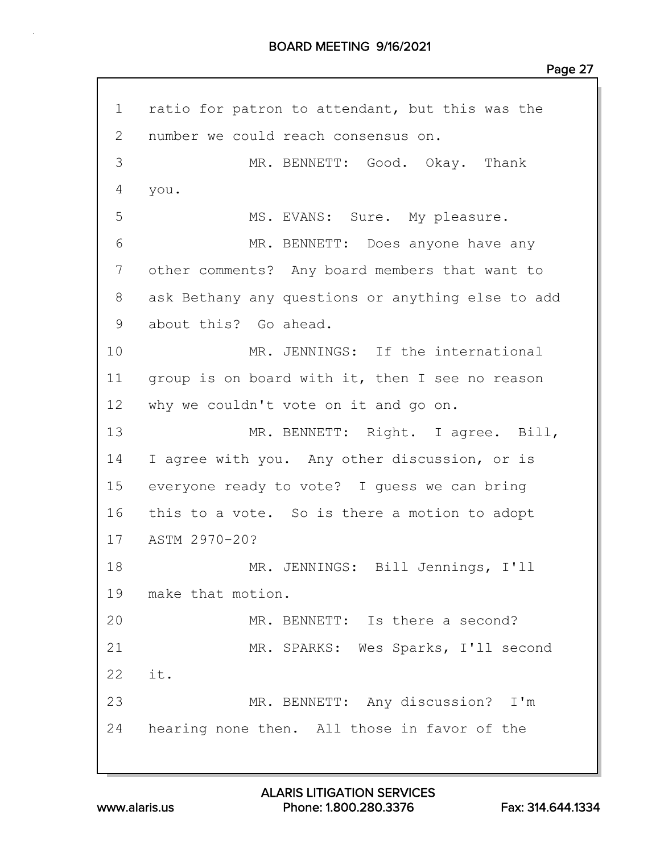1 ratio for patron to attendant, but this was the 2 number we could reach consensus on. 3 MR. BENNETT: Good. Okay. Thank 4 you. 5 MS. EVANS: Sure. My pleasure. 6 MR. BENNETT: Does anyone have any 7 other comments? Any board members that want to 8 ask Bethany any questions or anything else to add 9 about this? Go ahead. 10 MR. JENNINGS: If the international 11 group is on board with it, then I see no reason 12 why we couldn't vote on it and go on. 13 MR. BENNETT: Right. I agree. Bill, 14 I agree with you. Any other discussion, or is 15 everyone ready to vote? I guess we can bring 16 this to a vote. So is there a motion to adopt 17 ASTM 2970-20? 18 MR. JENNINGS: Bill Jennings, I'll 19 make that motion. 20 MR. BENNETT: Is there a second? 21 MR. SPARKS: Wes Sparks, I'll second  $22 \t i +$ 23 MR. BENNETT: Any discussion? I'm 24 hearing none then. All those in favor of the

www.alaris.us Phone: 1.800.280.3376 Fax: 314.644.1334 ALARIS LITIGATION SERVICES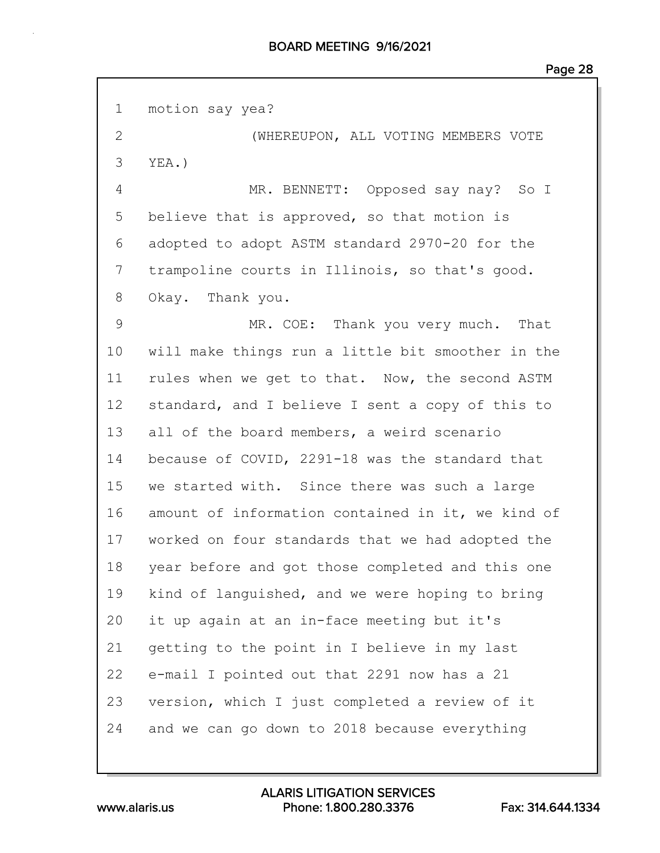| $\mathbf 1$    | motion say yea?                                   |
|----------------|---------------------------------------------------|
| $\overline{2}$ | (WHEREUPON, ALL VOTING MEMBERS VOTE               |
| 3              | $YEA.$ )                                          |
| 4              | MR. BENNETT: Opposed say nay? So I                |
| 5              | believe that is approved, so that motion is       |
| 6              | adopted to adopt ASTM standard 2970-20 for the    |
| 7              | trampoline courts in Illinois, so that's good.    |
| 8              | Okay. Thank you.                                  |
| 9              | MR. COE: Thank you very much. That                |
| 10             | will make things run a little bit smoother in the |
| 11             | rules when we get to that. Now, the second ASTM   |
| 12             | standard, and I believe I sent a copy of this to  |
| 13             | all of the board members, a weird scenario        |
| 14             | because of COVID, 2291-18 was the standard that   |
| 15             | we started with. Since there was such a large     |
| 16             | amount of information contained in it, we kind of |
| 17             | worked on four standards that we had adopted the  |
| 18             | year before and got those completed and this one  |
| 19             | kind of languished, and we were hoping to bring   |
| 20             | it up again at an in-face meeting but it's        |
| 21             | getting to the point in I believe in my last      |
| 22             | e-mail I pointed out that 2291 now has a 21       |
| 23             | version, which I just completed a review of it    |
| 24             | and we can go down to 2018 because everything     |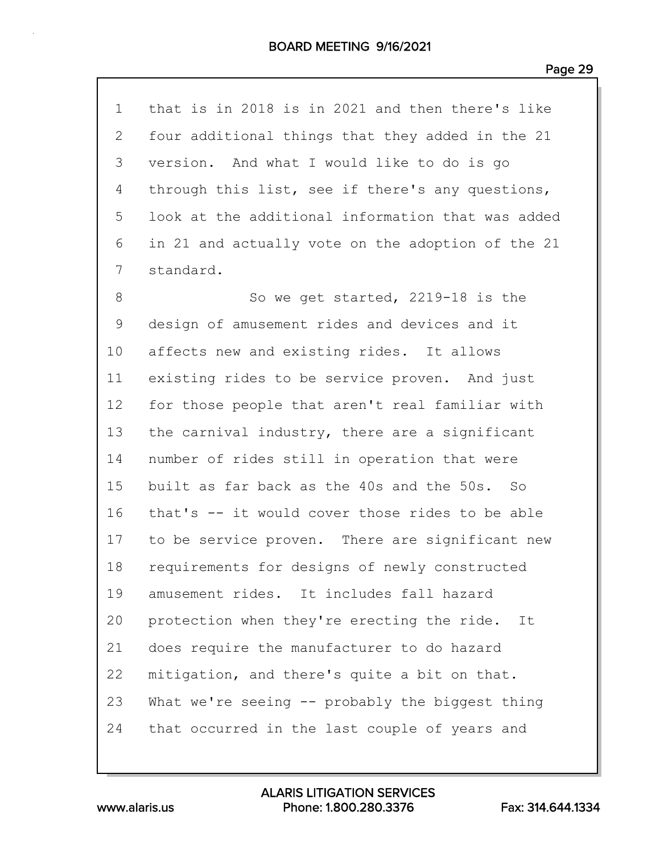| 1              | that is in 2018 is in 2021 and then there's like  |
|----------------|---------------------------------------------------|
| $\overline{2}$ | four additional things that they added in the 21  |
| 3              | version. And what I would like to do is go        |
| 4              | through this list, see if there's any questions,  |
| 5              | look at the additional information that was added |
| 6              | in 21 and actually vote on the adoption of the 21 |
| 7              | standard.                                         |
| 8              | So we get started, 2219-18 is the                 |
| $\mathsf 9$    | design of amusement rides and devices and it      |
| 10             | affects new and existing rides. It allows         |
| 11             | existing rides to be service proven. And just     |
| 12             | for those people that aren't real familiar with   |
| 13             | the carnival industry, there are a significant    |
| 14             | number of rides still in operation that were      |
| 15             | built as far back as the 40s and the 50s. So      |
| 16             | that's -- it would cover those rides to be able   |
| 17             | to be service proven. There are significant new   |
| 18             | requirements for designs of newly constructed     |
| 19             | amusement rides. It includes fall hazard          |
| 20             | protection when they're erecting the ride. It     |
| 21             | does require the manufacturer to do hazard        |
| 22             | mitigation, and there's quite a bit on that.      |
| 23             | What we're seeing -- probably the biggest thing   |
| 24             | that occurred in the last couple of years and     |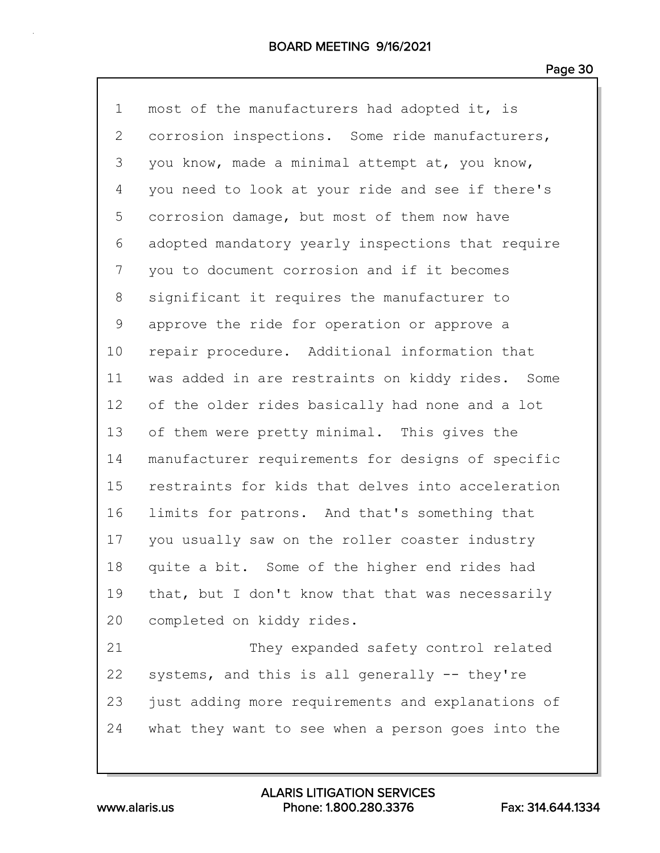| $\mathbf 1$ | most of the manufacturers had adopted it, is      |
|-------------|---------------------------------------------------|
| 2           | corrosion inspections. Some ride manufacturers,   |
| 3           | you know, made a minimal attempt at, you know,    |
| 4           | you need to look at your ride and see if there's  |
| 5           | corrosion damage, but most of them now have       |
| 6           | adopted mandatory yearly inspections that require |
| 7           | you to document corrosion and if it becomes       |
| 8           | significant it requires the manufacturer to       |
| 9           | approve the ride for operation or approve a       |
| 10          | repair procedure. Additional information that     |
| 11          | was added in are restraints on kiddy rides. Some  |
| 12          | of the older rides basically had none and a lot   |
| 13          | of them were pretty minimal. This gives the       |
| 14          | manufacturer requirements for designs of specific |
| 15          | restraints for kids that delves into acceleration |
| 16          | limits for patrons. And that's something that     |
| 17          | you usually saw on the roller coaster industry    |
| 18          | quite a bit. Some of the higher end rides had     |
| 19          | that, but I don't know that that was necessarily  |
| 20          | completed on kiddy rides.                         |
| 21          | They expanded safety control related              |
| 22          | systems, and this is all generally -- they're     |
| 23          | just adding more requirements and explanations of |
| 24          | what they want to see when a person goes into the |
|             |                                                   |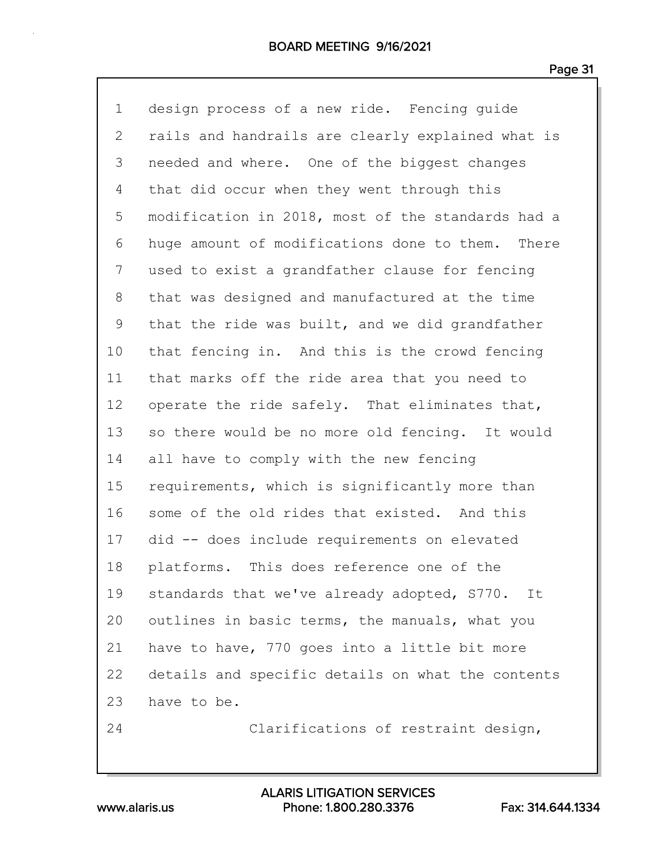| $\mathbf 1$  | design process of a new ride. Fencing quide       |
|--------------|---------------------------------------------------|
| $\mathbf{2}$ | rails and handrails are clearly explained what is |
| 3            | needed and where. One of the biggest changes      |
| 4            | that did occur when they went through this        |
| 5            | modification in 2018, most of the standards had a |
| 6            | huge amount of modifications done to them. There  |
| 7            | used to exist a grandfather clause for fencing    |
| 8            | that was designed and manufactured at the time    |
| 9            | that the ride was built, and we did grandfather   |
| 10           | that fencing in. And this is the crowd fencing    |
| 11           | that marks off the ride area that you need to     |
| 12           | operate the ride safely. That eliminates that,    |
| 13           | so there would be no more old fencing. It would   |
| 14           | all have to comply with the new fencing           |
| 15           | requirements, which is significantly more than    |
| 16           | some of the old rides that existed. And this      |
| 17           | did -- does include requirements on elevated      |
| 18           | platforms. This does reference one of the         |
| 19           | standards that we've already adopted, S770. It    |
| 20           | outlines in basic terms, the manuals, what you    |
| 21           | have to have, 770 goes into a little bit more     |
| 22           | details and specific details on what the contents |
| 23           | have to be.                                       |
| 24           | Clarifications of restraint design,               |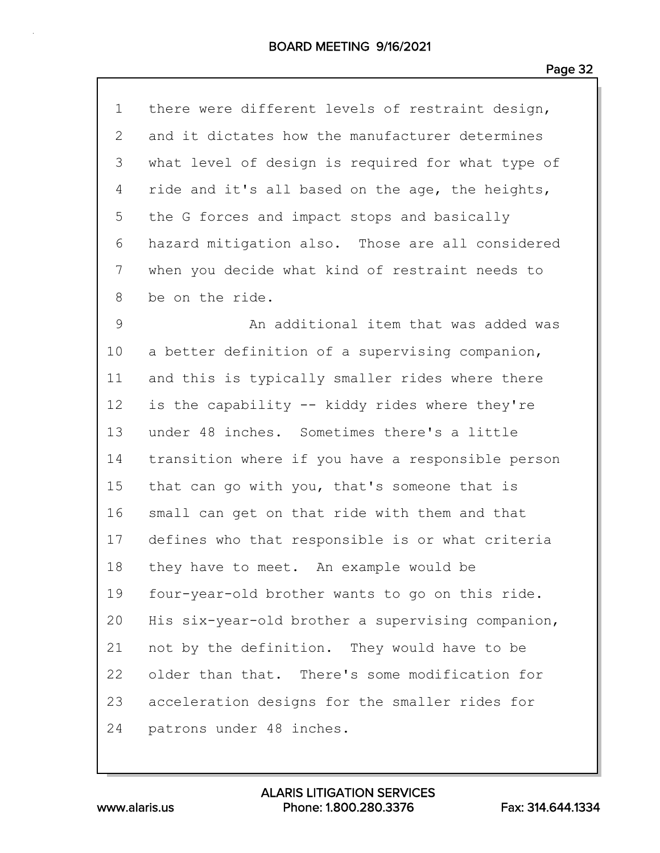| $\mathbf 1$ | there were different levels of restraint design,  |
|-------------|---------------------------------------------------|
| 2           | and it dictates how the manufacturer determines   |
| 3           | what level of design is required for what type of |
| 4           | ride and it's all based on the age, the heights,  |
| 5           | the G forces and impact stops and basically       |
| 6           | hazard mitigation also. Those are all considered  |
| 7           | when you decide what kind of restraint needs to   |
| 8           | be on the ride.                                   |
| $\mathsf 9$ | An additional item that was added was             |
| 10          | a better definition of a supervising companion,   |
| 11          | and this is typically smaller rides where there   |
| 12          | is the capability -- kiddy rides where they're    |
| 13          | under 48 inches. Sometimes there's a little       |
| 14          | transition where if you have a responsible person |
| 15          | that can go with you, that's someone that is      |
| 16          | small can get on that ride with them and that     |
| 17          | defines who that responsible is or what criteria  |
| 18          | they have to meet. An example would be            |
| 19          | four-year-old brother wants to go on this ride.   |
| 20          | His six-year-old brother a supervising companion, |
| 21          | not by the definition. They would have to be      |
| 22          | older than that. There's some modification for    |
| 23          | acceleration designs for the smaller rides for    |
| 24          | patrons under 48 inches.                          |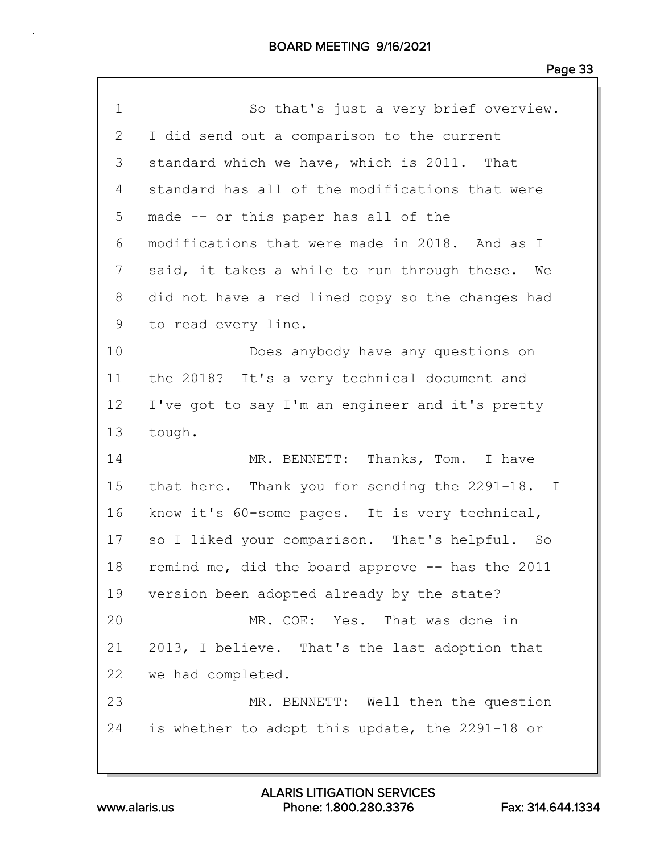| $\mathbf 1$ | So that's just a very brief overview.            |
|-------------|--------------------------------------------------|
| 2           | I did send out a comparison to the current       |
| 3           | standard which we have, which is 2011. That      |
| 4           | standard has all of the modifications that were  |
| 5           | made -- or this paper has all of the             |
| 6           | modifications that were made in 2018. And as I   |
| 7           | said, it takes a while to run through these. We  |
| 8           | did not have a red lined copy so the changes had |
| 9           | to read every line.                              |
| 10          | Does anybody have any questions on               |
| 11          | the 2018? It's a very technical document and     |
| 12          | I've got to say I'm an engineer and it's pretty  |
| 13          | tough.                                           |
| 14          | MR. BENNETT: Thanks, Tom. I have                 |
| 15          | that here. Thank you for sending the 2291-18. I  |
| 16          | know it's 60-some pages. It is very technical,   |
| 17          | so I liked your comparison. That's helpful. So   |
| 18          | remind me, did the board approve -- has the 2011 |
| 19          | version been adopted already by the state?       |
| 20          | MR. COE: Yes. That was done in                   |
| 21          | 2013, I believe. That's the last adoption that   |
| 22          | we had completed.                                |
| 23          | MR. BENNETT: Well then the question              |
| 24          | is whether to adopt this update, the 2291-18 or  |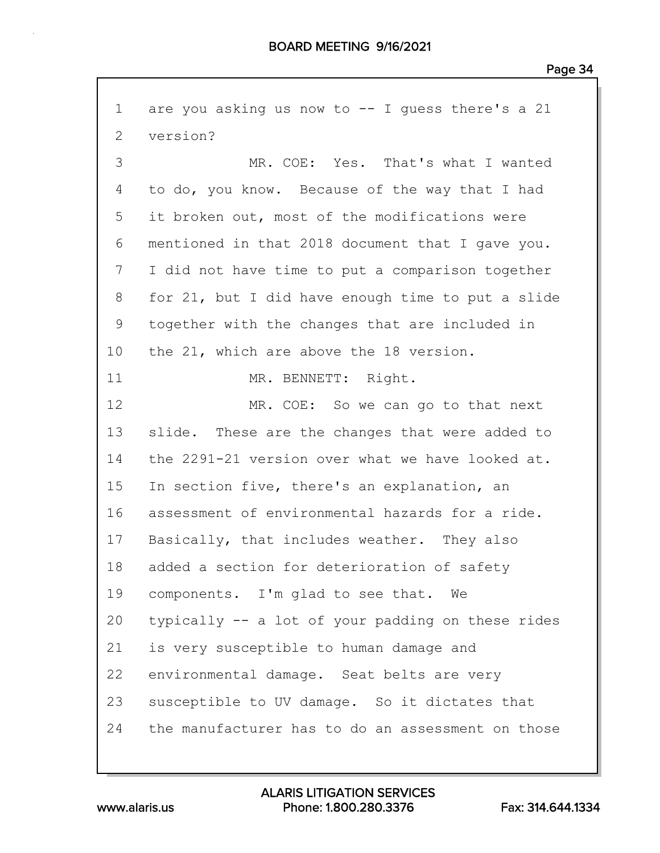1 are you asking us now to -- I guess there's a 21 2 version? 3 MR. COE: Yes. That's what I wanted 4 to do, you know. Because of the way that I had 5 it broken out, most of the modifications were 6 mentioned in that 2018 document that I gave you. 7 I did not have time to put a comparison together 8 for 21, but I did have enough time to put a slide 9 together with the changes that are included in 10 the 21, which are above the 18 version. 11 MR. BENNETT: Right. 12 MR. COE: So we can go to that next 13 slide. These are the changes that were added to 14 the 2291-21 version over what we have looked at. 15 In section five, there's an explanation, an 16 assessment of environmental hazards for a ride. 17 Basically, that includes weather. They also 18 added a section for deterioration of safety 19 components. I'm glad to see that. We 20 typically -- a lot of your padding on these rides 21 is very susceptible to human damage and 22 environmental damage. Seat belts are very 23 susceptible to UV damage. So it dictates that 24 the manufacturer has to do an assessment on those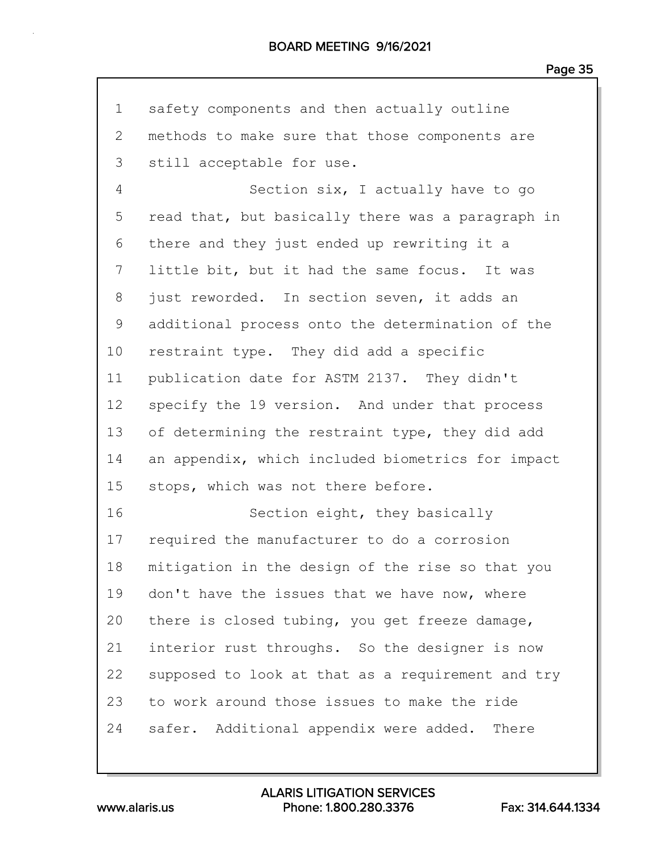| $\mathbf 1$    | safety components and then actually outline       |
|----------------|---------------------------------------------------|
| $\overline{2}$ | methods to make sure that those components are    |
| 3              | still acceptable for use.                         |
| 4              | Section six, I actually have to go                |
| 5              | read that, but basically there was a paragraph in |
| 6              | there and they just ended up rewriting it a       |
| 7              | little bit, but it had the same focus. It was     |
| 8              | just reworded. In section seven, it adds an       |
| 9              | additional process onto the determination of the  |
| 10             | restraint type. They did add a specific           |
| 11             | publication date for ASTM 2137. They didn't       |
| 12             | specify the 19 version. And under that process    |
| 13             | of determining the restraint type, they did add   |
| 14             | an appendix, which included biometrics for impact |
| 15             | stops, which was not there before.                |
| 16             | Section eight, they basically                     |
| 17             | required the manufacturer to do a corrosion       |
| 18             | mitigation in the design of the rise so that you  |
| 19             | don't have the issues that we have now, where     |
| 20             | there is closed tubing, you get freeze damage,    |
| 21             | interior rust throughs. So the designer is now    |
| 22             | supposed to look at that as a requirement and try |
| 23             | to work around those issues to make the ride      |
| 24             | safer. Additional appendix were added. There      |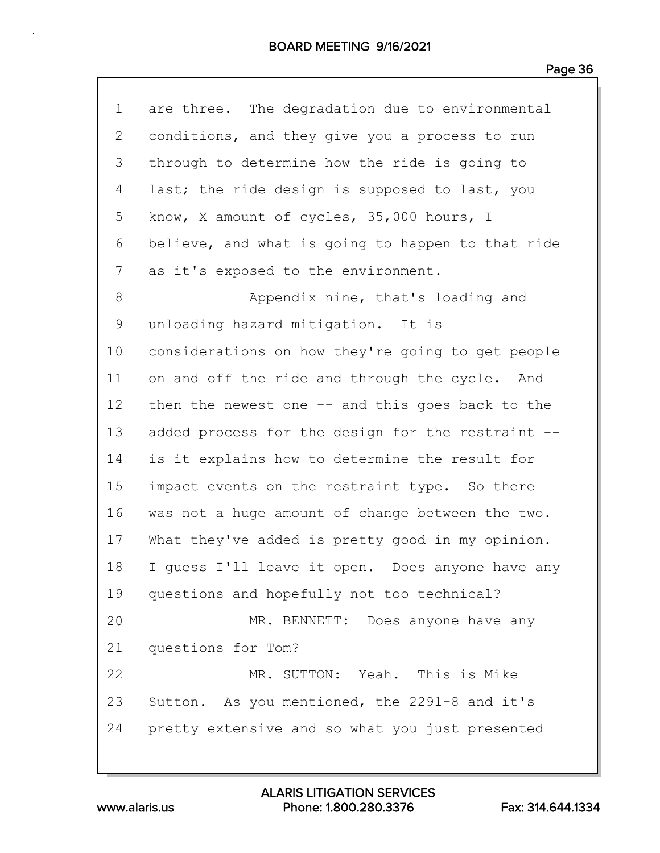| $\mathbf 1$    | are three. The degradation due to environmental   |
|----------------|---------------------------------------------------|
| $\overline{2}$ | conditions, and they give you a process to run    |
| 3              | through to determine how the ride is going to     |
| 4              | last; the ride design is supposed to last, you    |
| 5              | know, X amount of cycles, 35,000 hours, I         |
| 6              | believe, and what is going to happen to that ride |
| 7              | as it's exposed to the environment.               |
| 8              | Appendix nine, that's loading and                 |
| $\mathsf 9$    | unloading hazard mitigation. It is                |
| 10             | considerations on how they're going to get people |
| 11             | on and off the ride and through the cycle. And    |
| 12             | then the newest one $-$ and this goes back to the |
| 13             | added process for the design for the restraint -- |
| 14             | is it explains how to determine the result for    |
| 15             | impact events on the restraint type. So there     |
| 16             | was not a huge amount of change between the two.  |
| 17             | What they've added is pretty good in my opinion.  |
| 18             | I guess I'll leave it open. Does anyone have any  |
| 19             | questions and hopefully not too technical?        |
| 20             | MR. BENNETT: Does anyone have any                 |
| 21             | questions for Tom?                                |
| 22             | MR. SUTTON: Yeah. This is Mike                    |
| 23             | Sutton. As you mentioned, the 2291-8 and it's     |
| 24             | pretty extensive and so what you just presented   |
|                |                                                   |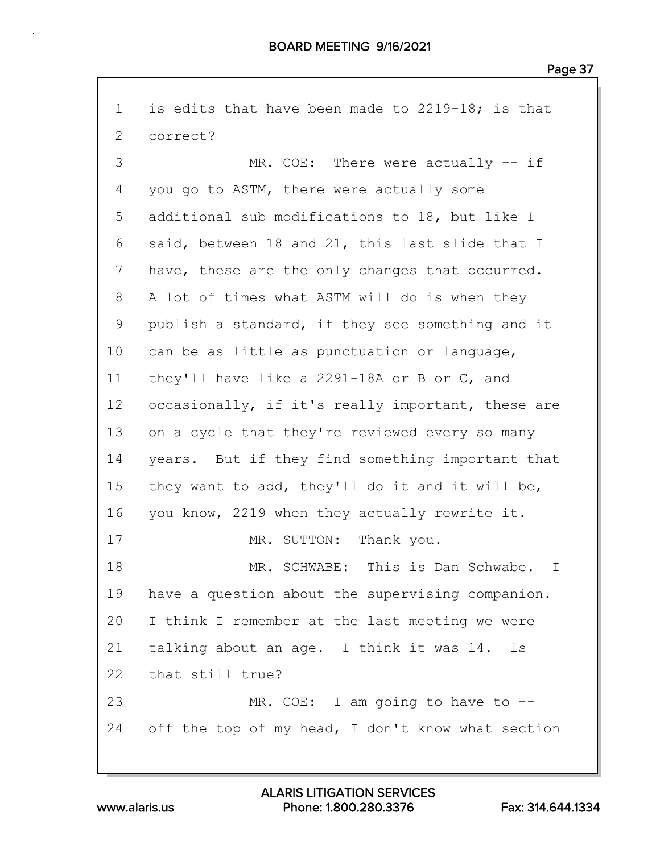1 is edits that have been made to 2219-18; is that 2 correct? 3 MR. COE: There were actually -- if 4 you go to ASTM, there were actually some 5 additional sub modifications to 18, but like I 6 said, between 18 and 21, this last slide that I 7 have, these are the only changes that occurred. 8 A lot of times what ASTM will do is when they 9 publish a standard, if they see something and it 10 can be as little as punctuation or language, 11 they'll have like a 2291-18A or B or C, and 12 occasionally, if it's really important, these are 13 on a cycle that they're reviewed every so many 14 years. But if they find something important that 15 they want to add, they'll do it and it will be, 16 you know, 2219 when they actually rewrite it. 17 MR. SUTTON: Thank you. 18 MR. SCHWABE: This is Dan Schwabe. I 19 have a question about the supervising companion. 20 I think I remember at the last meeting we were 21 talking about an age. I think it was 14. Is 22 that still true? 23 MR. COE: I am going to have to -- 24 off the top of my head, I don't know what section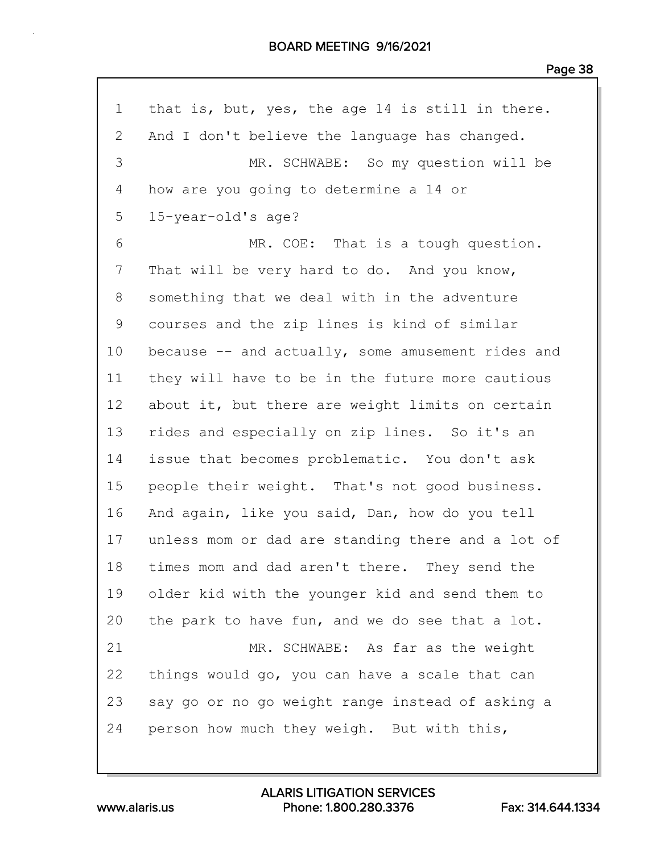| $\mathbf 1$    | that is, but, yes, the age 14 is still in there.  |
|----------------|---------------------------------------------------|
| $\overline{2}$ | And I don't believe the language has changed.     |
| 3              | MR. SCHWABE: So my question will be               |
| 4              | how are you going to determine a 14 or            |
| 5              | 15-year-old's age?                                |
| 6              | MR. COE: That is a tough question.                |
| 7              | That will be very hard to do. And you know,       |
| 8              | something that we deal with in the adventure      |
| 9              | courses and the zip lines is kind of similar      |
| 10             | because -- and actually, some amusement rides and |
| 11             | they will have to be in the future more cautious  |
| 12             | about it, but there are weight limits on certain  |
| 13             | rides and especially on zip lines. So it's an     |
| 14             | issue that becomes problematic. You don't ask     |
| 15             | people their weight. That's not good business.    |
| 16             | And again, like you said, Dan, how do you tell    |
| 17             | unless mom or dad are standing there and a lot of |
| 18             | times mom and dad aren't there. They send the     |
| 19             | older kid with the younger kid and send them to   |
| 20             | the park to have fun, and we do see that a lot.   |
| 21             | MR. SCHWABE: As far as the weight                 |
| 22             | things would go, you can have a scale that can    |
| 23             | say go or no go weight range instead of asking a  |
| 24             | person how much they weigh. But with this,        |

www.alaris.us Phone: 1.800.280.3376 Fax: 314.644.1334 ALARIS LITIGATION SERVICES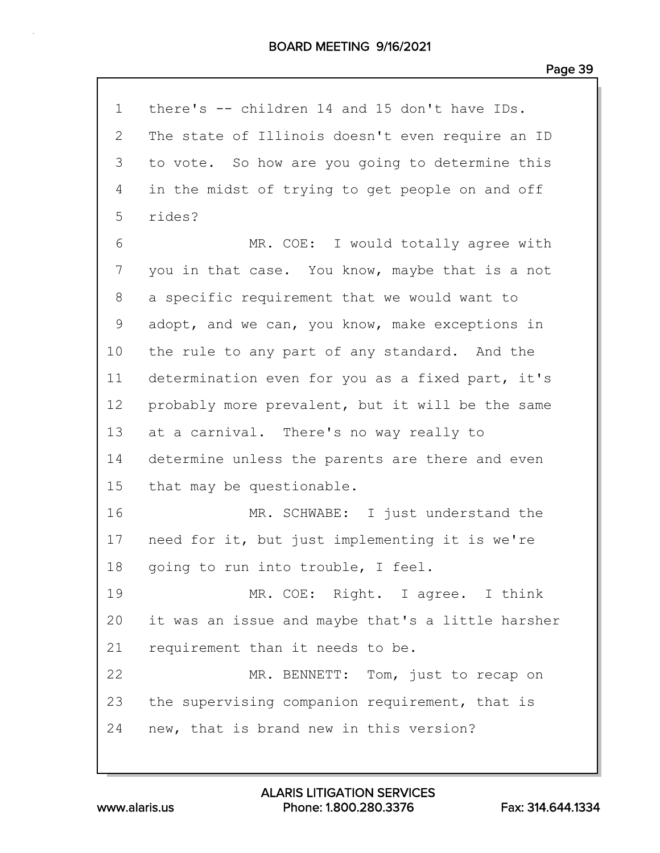| $\mathbf 1$  | there's -- children 14 and 15 don't have IDs.     |
|--------------|---------------------------------------------------|
| $\mathbf{2}$ | The state of Illinois doesn't even require an ID  |
| 3            | to vote. So how are you going to determine this   |
| 4            | in the midst of trying to get people on and off   |
| 5            | rides?                                            |
| 6            | MR. COE: I would totally agree with               |
| 7            | you in that case. You know, maybe that is a not   |
| 8            | a specific requirement that we would want to      |
| 9            | adopt, and we can, you know, make exceptions in   |
| 10           | the rule to any part of any standard. And the     |
| 11           | determination even for you as a fixed part, it's  |
| 12           | probably more prevalent, but it will be the same  |
| 13           | at a carnival. There's no way really to           |
| 14           | determine unless the parents are there and even   |
| 15           | that may be questionable.                         |
| 16           | MR. SCHWABE: I just understand the                |
| 17           | need for it, but just implementing it is we're    |
| 18           | going to run into trouble, I feel.                |
| 19           | MR. COE: Right. I agree. I think                  |
| 20           | it was an issue and maybe that's a little harsher |
| 21           | requirement than it needs to be.                  |
| 22           | MR. BENNETT: Tom, just to recap on                |
| 23           | the supervising companion requirement, that is    |
| 24           | new, that is brand new in this version?           |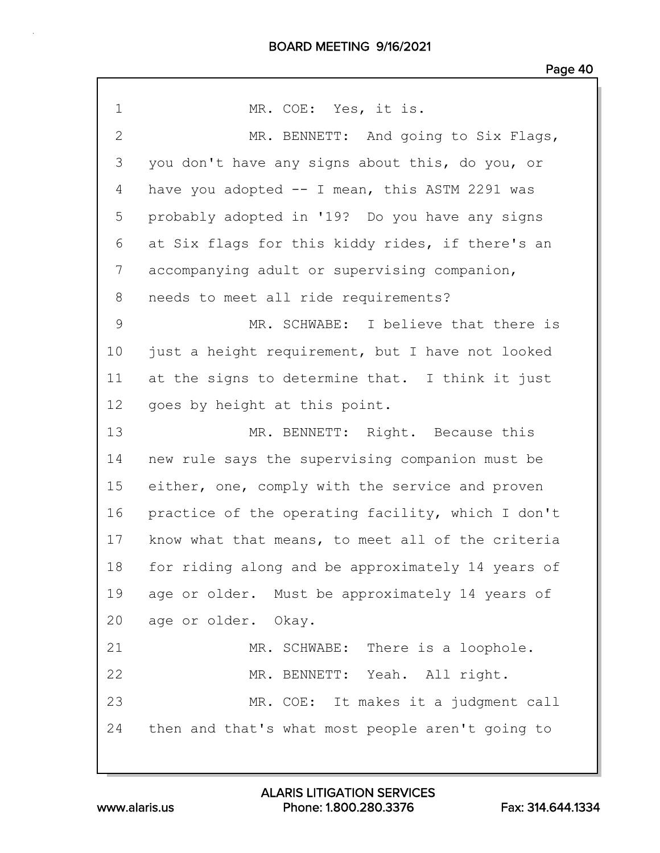| $\mathbf 1$  | MR. COE: Yes, it is.                              |
|--------------|---------------------------------------------------|
| $\mathbf{2}$ | MR. BENNETT: And going to Six Flags,              |
| 3            | you don't have any signs about this, do you, or   |
| 4            | have you adopted -- I mean, this ASTM 2291 was    |
| 5            | probably adopted in '19? Do you have any signs    |
| 6            | at Six flags for this kiddy rides, if there's an  |
| 7            | accompanying adult or supervising companion,      |
| 8            | needs to meet all ride requirements?              |
| 9            | MR. SCHWABE: I believe that there is              |
| 10           | just a height requirement, but I have not looked  |
| 11           | at the signs to determine that. I think it just   |
| 12           | goes by height at this point.                     |
| 13           | MR. BENNETT: Right. Because this                  |
| 14           | new rule says the supervising companion must be   |
| 15           | either, one, comply with the service and proven   |
| 16           | practice of the operating facility, which I don't |
| 17           | know what that means, to meet all of the criteria |
| 18           | for riding along and be approximately 14 years of |
| 19           | age or older. Must be approximately 14 years of   |
| 20           | age or older. Okay.                               |
| 21           | MR. SCHWABE: There is a loophole.                 |
| 22           | MR. BENNETT: Yeah. All right.                     |
| 23           | MR. COE: It makes it a judgment call              |
| 24           | then and that's what most people aren't going to  |
|              |                                                   |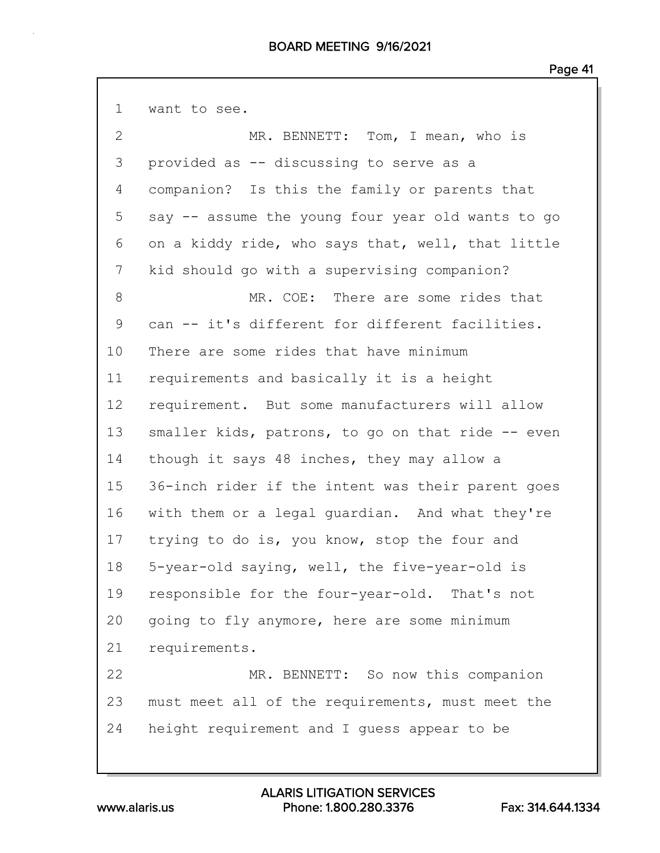| $\mathbf 1$  | want to see.                                      |
|--------------|---------------------------------------------------|
| $\mathbf{2}$ | MR. BENNETT: Tom, I mean, who is                  |
| 3            | provided as -- discussing to serve as a           |
| 4            | companion? Is this the family or parents that     |
| 5            | say -- assume the young four year old wants to go |
| 6            | on a kiddy ride, who says that, well, that little |
| 7            | kid should go with a supervising companion?       |
| 8            | MR. COE: There are some rides that                |
| 9            | can -- it's different for different facilities.   |
| 10           | There are some rides that have minimum            |
| 11           | requirements and basically it is a height         |
| 12           | requirement. But some manufacturers will allow    |
| 13           | smaller kids, patrons, to go on that ride -- even |
| 14           | though it says 48 inches, they may allow a        |
| 15           | 36-inch rider if the intent was their parent goes |
| 16           | with them or a legal guardian. And what they're   |
| 17           | trying to do is, you know, stop the four and      |
| 18           | 5-year-old saying, well, the five-year-old is     |
| 19           | responsible for the four-year-old. That's not     |
| 20           | going to fly anymore, here are some minimum       |
| 21           | requirements.                                     |
| 22           | MR. BENNETT: So now this companion                |
| 23           | must meet all of the requirements, must meet the  |
| 24           | height requirement and I guess appear to be       |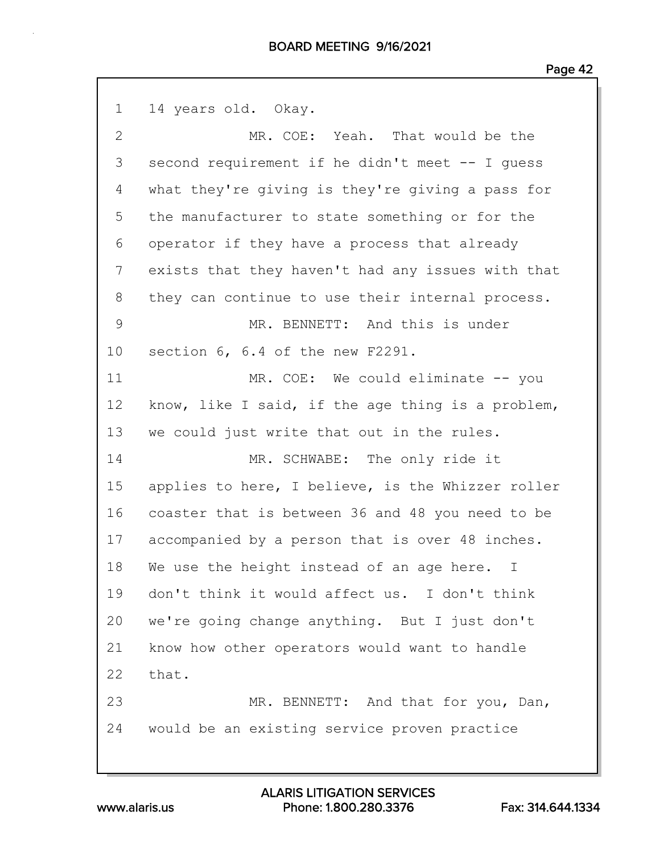| $\mathbf 1$ | 14 years old. Okay.                               |
|-------------|---------------------------------------------------|
| 2           | MR. COE: Yeah. That would be the                  |
| 3           | second requirement if he didn't meet -- I quess   |
| 4           | what they're giving is they're giving a pass for  |
| 5           | the manufacturer to state something or for the    |
| 6           | operator if they have a process that already      |
| 7           | exists that they haven't had any issues with that |
| 8           | they can continue to use their internal process.  |
| 9           | MR. BENNETT: And this is under                    |
| 10          | section 6, 6.4 of the new F2291.                  |
| 11          | MR. COE: We could eliminate -- you                |
| 12          | know, like I said, if the age thing is a problem, |
| 13          | we could just write that out in the rules.        |
| 14          | MR. SCHWABE: The only ride it                     |
| 15          | applies to here, I believe, is the Whizzer roller |
| 16          | coaster that is between 36 and 48 you need to be  |
| 17          | accompanied by a person that is over 48 inches.   |
| 18          | We use the height instead of an age here. I       |
| 19          | don't think it would affect us. I don't think     |
| 20          | we're going change anything. But I just don't     |
| 21          | know how other operators would want to handle     |
| 22          | that.                                             |
| 23          | MR. BENNETT: And that for you, Dan,               |
| 24          | would be an existing service proven practice      |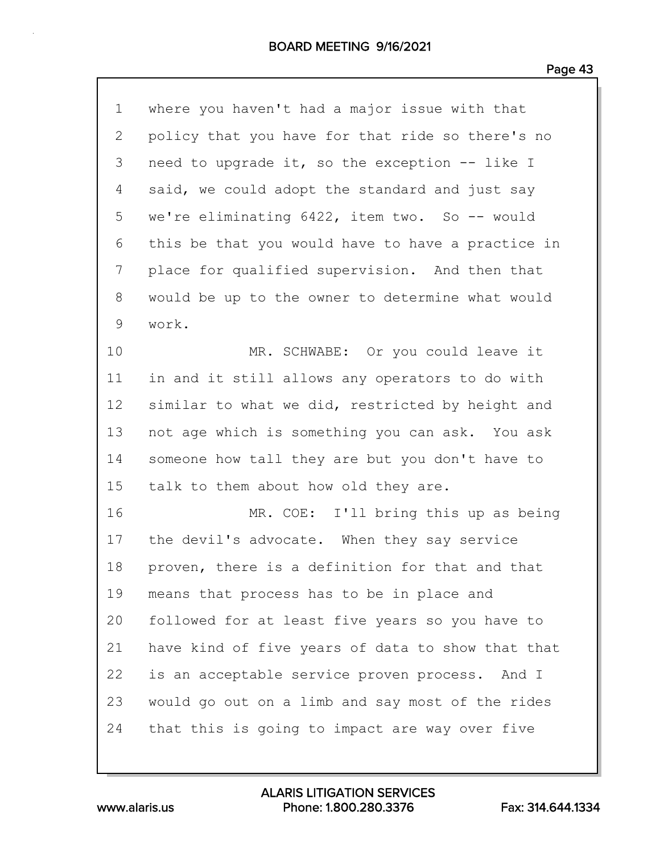| $\mathbf 1$ | where you haven't had a major issue with that     |
|-------------|---------------------------------------------------|
| 2           | policy that you have for that ride so there's no  |
| 3           | need to upgrade it, so the exception -- like I    |
| 4           | said, we could adopt the standard and just say    |
| 5           | we're eliminating 6422, item two. So -- would     |
| 6           | this be that you would have to have a practice in |
| 7           | place for qualified supervision. And then that    |
| 8           | would be up to the owner to determine what would  |
| 9           | work.                                             |
| 10          | MR. SCHWABE: Or you could leave it                |
| 11          | in and it still allows any operators to do with   |
| 12          | similar to what we did, restricted by height and  |
| 13          | not age which is something you can ask. You ask   |
| 14          | someone how tall they are but you don't have to   |
| 15          | talk to them about how old they are.              |
| 16          | MR. COE: I'll bring this up as being              |
| 17          | the devil's advocate. When they say service       |
| 18          | proven, there is a definition for that and that   |
| 19          | means that process has to be in place and         |
| 20          | followed for at least five years so you have to   |
| 21          | have kind of five years of data to show that that |
| 22          | is an acceptable service proven process. And I    |
| 23          | would go out on a limb and say most of the rides  |
| 24          | that this is going to impact are way over five    |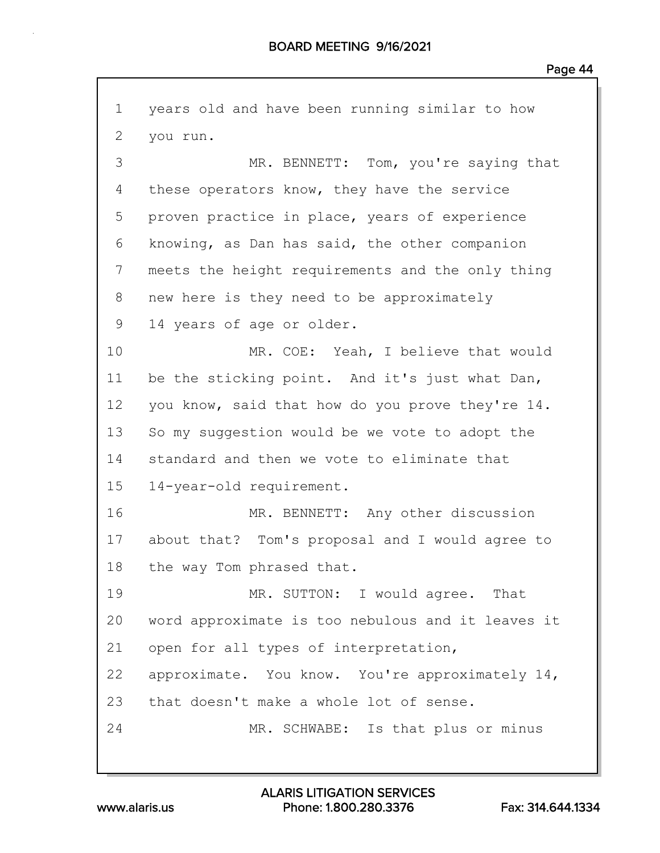1 years old and have been running similar to how 2 you run. 3 MR. BENNETT: Tom, you're saying that 4 these operators know, they have the service 5 proven practice in place, years of experience 6 knowing, as Dan has said, the other companion 7 meets the height requirements and the only thing 8 new here is they need to be approximately 9 14 years of age or older. 10 MR. COE: Yeah, I believe that would 11 be the sticking point. And it's just what Dan, 12 you know, said that how do you prove they're 14. 13 So my suggestion would be we vote to adopt the 14 standard and then we vote to eliminate that 15 14-year-old requirement. 16 MR. BENNETT: Any other discussion 17 about that? Tom's proposal and I would agree to 18 the way Tom phrased that. 19 MR. SUTTON: I would agree. That 20 word approximate is too nebulous and it leaves it 21 open for all types of interpretation, 22 approximate. You know. You're approximately 14, 23 that doesn't make a whole lot of sense. 24 MR. SCHWABE: Is that plus or minus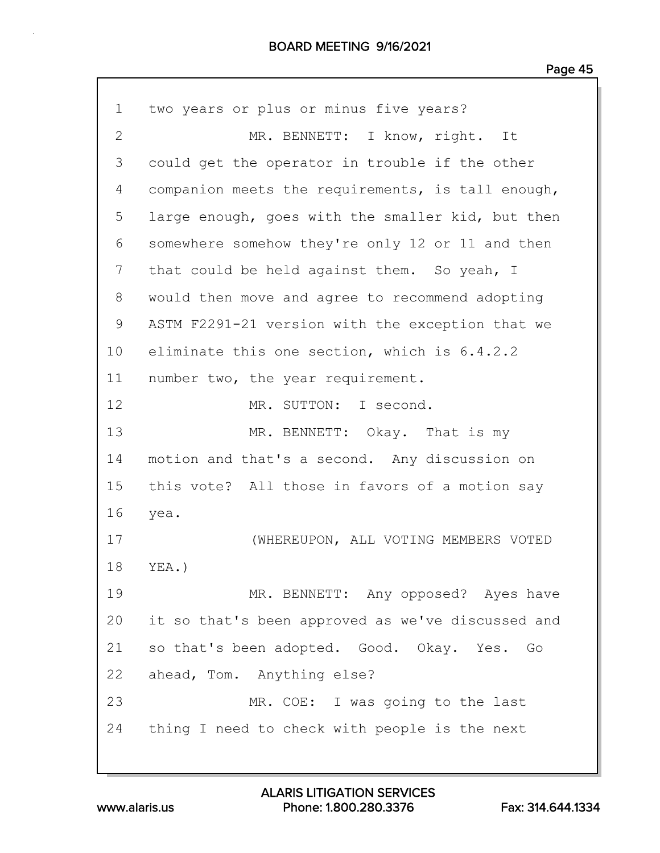1 two years or plus or minus five years? 2 MR. BENNETT: I know, right. It 3 could get the operator in trouble if the other 4 companion meets the requirements, is tall enough, 5 large enough, goes with the smaller kid, but then 6 somewhere somehow they're only 12 or 11 and then 7 that could be held against them. So yeah, I 8 would then move and agree to recommend adopting 9 ASTM F2291-21 version with the exception that we 10 eliminate this one section, which is 6.4.2.2 11 number two, the year requirement. 12 MR. SUTTON: I second. 13 MR. BENNETT: Okay. That is my 14 motion and that's a second. Any discussion on 15 this vote? All those in favors of a motion say 16 yea. 17 (WHEREUPON, ALL VOTING MEMBERS VOTED 18 YEA.) 19 MR. BENNETT: Any opposed? Ayes have 20 it so that's been approved as we've discussed and 21 so that's been adopted. Good. Okay. Yes. Go 22 ahead, Tom. Anything else? 23 MR. COE: I was going to the last 24 thing I need to check with people is the next

www.alaris.us Phone: 1.800.280.3376 Fax: 314.644.1334 ALARIS LITIGATION SERVICES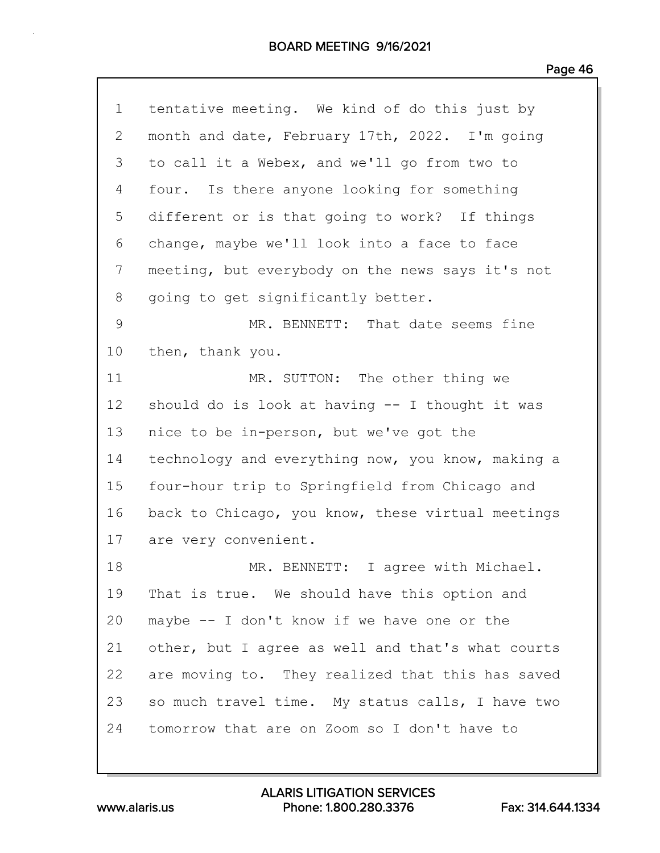| $\mathbf 1$     | tentative meeting. We kind of do this just by      |
|-----------------|----------------------------------------------------|
| $\mathbf{2}$    | month and date, February 17th, 2022. I'm going     |
| 3               | to call it a Webex, and we'll go from two to       |
| 4               | four. Is there anyone looking for something        |
| 5               | different or is that going to work? If things      |
| 6               | change, maybe we'll look into a face to face       |
| 7               | meeting, but everybody on the news says it's not   |
| 8               | going to get significantly better.                 |
| 9               | MR. BENNETT: That date seems fine                  |
| 10              | then, thank you.                                   |
| 11              | MR. SUTTON: The other thing we                     |
| 12 <sup>°</sup> | should do is look at having $-$ - I thought it was |
| 13              | nice to be in-person, but we've got the            |
| 14              | technology and everything now, you know, making a  |
| 15              | four-hour trip to Springfield from Chicago and     |
| 16              | back to Chicago, you know, these virtual meetings  |
| 17              | are very convenient.                               |
| 18              | MR. BENNETT: I agree with Michael.                 |
| 19              | That is true. We should have this option and       |
| 20              | maybe -- I don't know if we have one or the        |
| 21              | other, but I agree as well and that's what courts  |
| 22              | are moving to. They realized that this has saved   |
| 23              | so much travel time. My status calls, I have two   |
| 24              | tomorrow that are on Zoom so I don't have to       |

www.alaris.us Phone: 1.800.280.3376 Fax: 314.644.1334 ALARIS LITIGATION SERVICES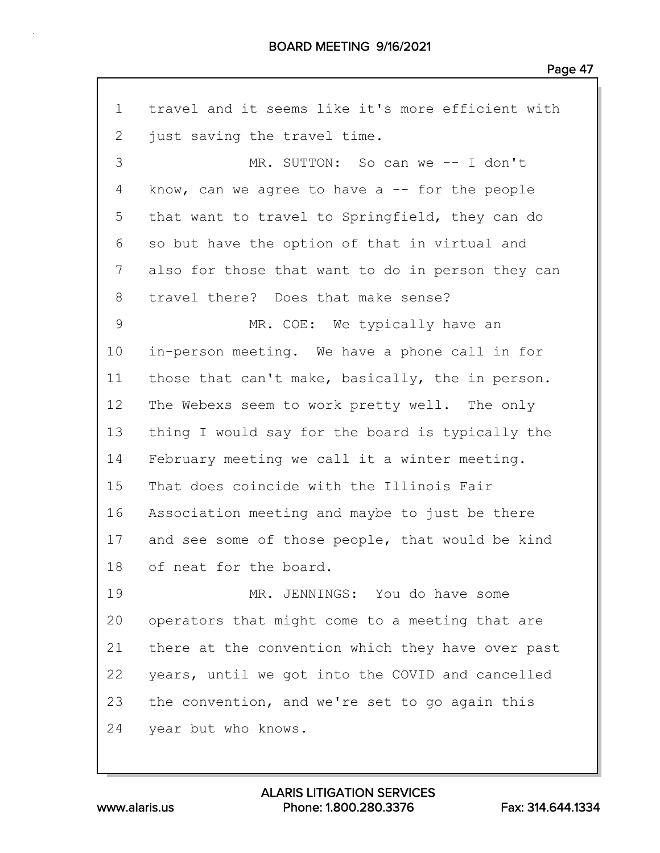1 travel and it seems like it's more efficient with 2 just saving the travel time. 3 MR. SUTTON: So can we -- I don't 4 know, can we agree to have a -- for the people 5 that want to travel to Springfield, they can do 6 so but have the option of that in virtual and 7 also for those that want to do in person they can 8 travel there? Does that make sense? 9 MR. COE: We typically have an 10 in-person meeting. We have a phone call in for 11 those that can't make, basically, the in person. 12 The Webexs seem to work pretty well. The only 13 thing I would say for the board is typically the 14 February meeting we call it a winter meeting. 15 That does coincide with the Illinois Fair 16 Association meeting and maybe to just be there 17 and see some of those people, that would be kind 18 of neat for the board. 19 MR. JENNINGS: You do have some 20 operators that might come to a meeting that are 21 there at the convention which they have over past 22 years, until we got into the COVID and cancelled 23 the convention, and we're set to go again this 24 year but who knows.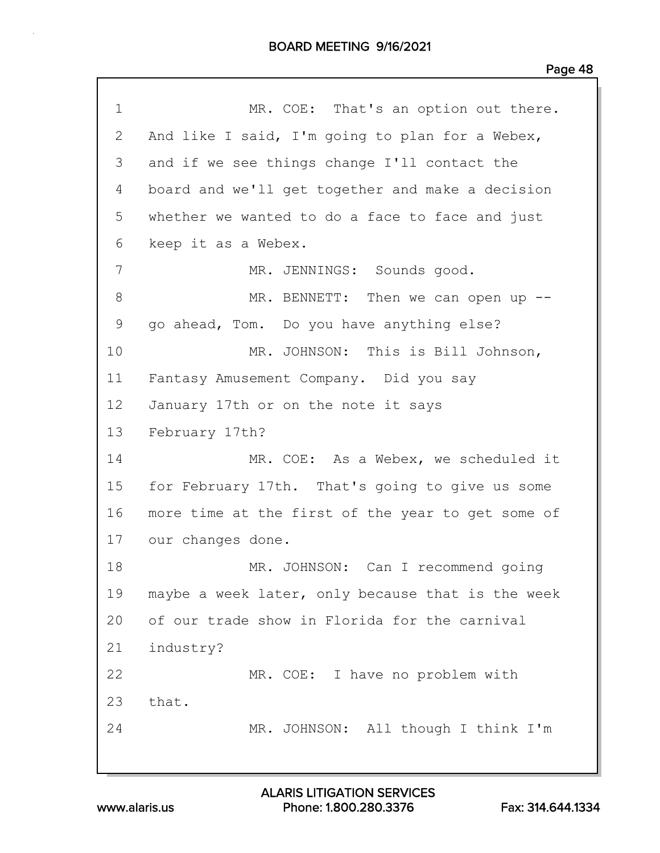| $\mathbf 1$  | MR. COE: That's an option out there.              |
|--------------|---------------------------------------------------|
| $\mathbf{2}$ | And like I said, I'm going to plan for a Webex,   |
| 3            | and if we see things change I'll contact the      |
| 4            | board and we'll get together and make a decision  |
| 5            | whether we wanted to do a face to face and just   |
| 6            | keep it as a Webex.                               |
| 7            | MR. JENNINGS: Sounds good.                        |
| 8            | MR. BENNETT: Then we can open up $-$ -            |
| 9            | go ahead, Tom. Do you have anything else?         |
| 10           | MR. JOHNSON: This is Bill Johnson,                |
| 11           | Fantasy Amusement Company. Did you say            |
| 12           | January 17th or on the note it says               |
| 13           | February 17th?                                    |
| 14           | MR. COE: As a Webex, we scheduled it              |
| 15           | for February 17th. That's going to give us some   |
| 16           | more time at the first of the year to get some of |
| 17           | our changes done.                                 |
| 18           | MR. JOHNSON: Can I recommend going                |
| 19           | maybe a week later, only because that is the week |
| 20           | of our trade show in Florida for the carnival     |
| 21           | industry?                                         |
| 22           | MR. COE: I have no problem with                   |
| 23           | that.                                             |
| 24           | MR. JOHNSON: All though I think I'm               |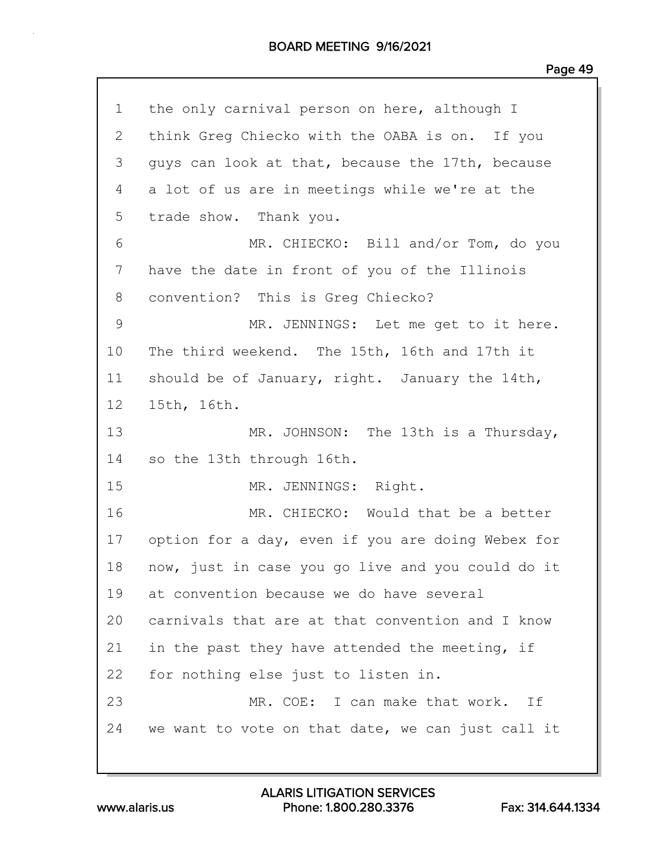| $\mathbf 1$ | the only carnival person on here, although I      |
|-------------|---------------------------------------------------|
| 2           | think Greg Chiecko with the OABA is on. If you    |
| 3           | guys can look at that, because the 17th, because  |
| 4           | a lot of us are in meetings while we're at the    |
| 5           | trade show. Thank you.                            |
| 6           | MR. CHIECKO: Bill and/or Tom, do you              |
| 7           | have the date in front of you of the Illinois     |
| 8           | convention? This is Greg Chiecko?                 |
| 9           | MR. JENNINGS: Let me get to it here.              |
| 10          | The third weekend. The 15th, 16th and 17th it     |
| 11          | should be of January, right. January the 14th,    |
| $12 \,$     | 15th, 16th.                                       |
| 13          | MR. JOHNSON: The 13th is a Thursday,              |
| 14          | so the 13th through 16th.                         |
| 15          | MR. JENNINGS: Right.                              |
| 16          | MR. CHIECKO: Would that be a better               |
| 17          | option for a day, even if you are doing Webex for |
| 18          | now, just in case you go live and you could do it |
| 19          | at convention because we do have several          |
| 20          | carnivals that are at that convention and I know  |
| 21          | in the past they have attended the meeting, if    |
| 22          | for nothing else just to listen in.               |
| 23          | MR. COE: I can make that work.<br>Ιf              |
| 24          | we want to vote on that date, we can just call it |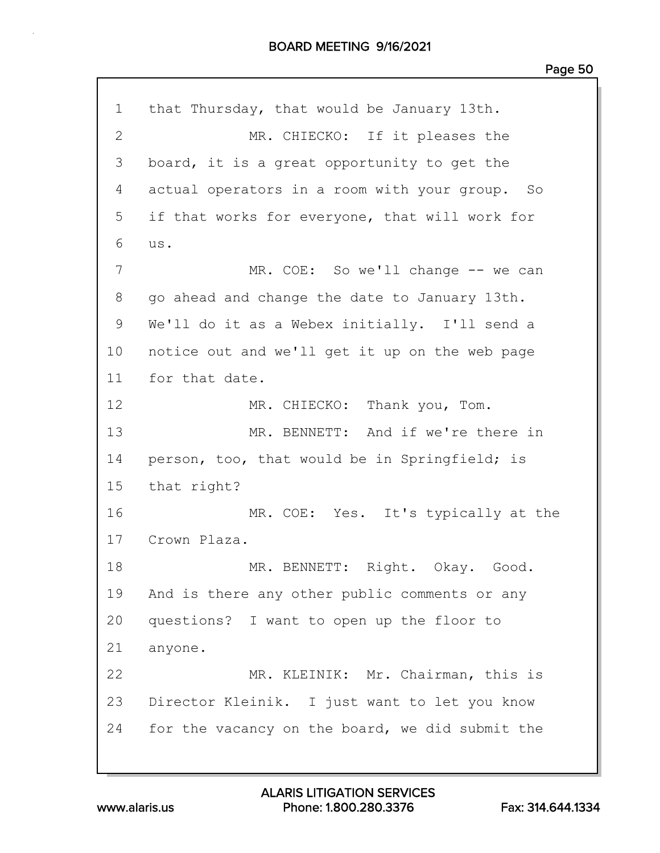1 that Thursday, that would be January 13th. 2 MR. CHIECKO: If it pleases the 3 board, it is a great opportunity to get the 4 actual operators in a room with your group. So 5 if that works for everyone, that will work for 6 us. 7 MR. COE: So we'll change -- we can 8 go ahead and change the date to January 13th. 9 We'll do it as a Webex initially. I'll send a 10 notice out and we'll get it up on the web page 11 for that date. 12 MR. CHIECKO: Thank you, Tom. 13 MR. BENNETT: And if we're there in 14 person, too, that would be in Springfield; is 15 that right? 16 MR. COE: Yes. It's typically at the 17 Crown Plaza. 18 MR. BENNETT: Right. Okay. Good. 19 And is there any other public comments or any 20 questions? I want to open up the floor to 21 anyone. 22 MR. KLEINIK: Mr. Chairman, this is 23 Director Kleinik. I just want to let you know 24 for the vacancy on the board, we did submit the

www.alaris.us Phone: 1.800.280.3376 Fax: 314.644.1334 ALARIS LITIGATION SERVICES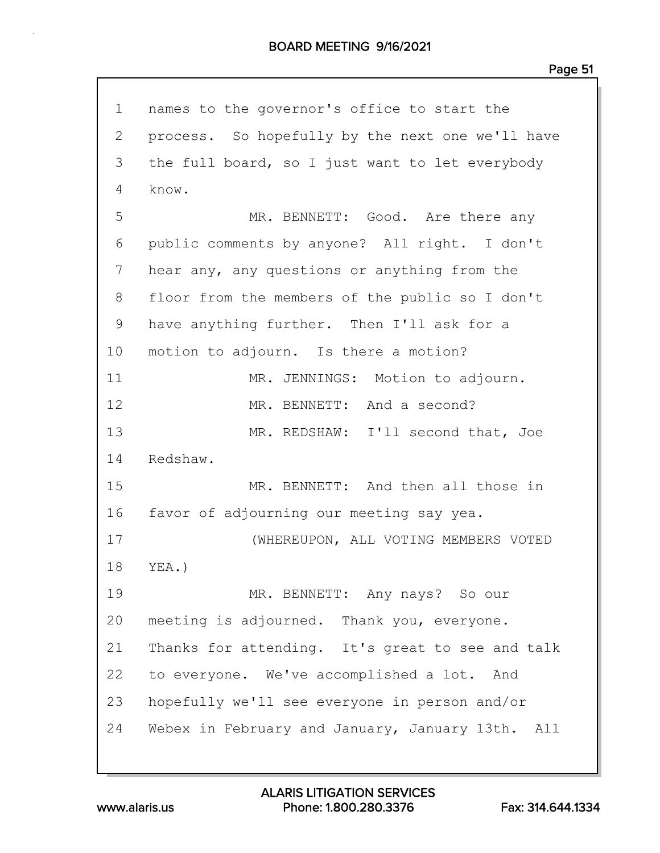1 names to the governor's office to start the 2 process. So hopefully by the next one we'll have 3 the full board, so I just want to let everybody 4 know. 5 MR. BENNETT: Good. Are there any 6 public comments by anyone? All right. I don't 7 hear any, any questions or anything from the 8 floor from the members of the public so I don't 9 have anything further. Then I'll ask for a 10 motion to adjourn. Is there a motion? 11 MR. JENNINGS: Motion to adjourn. 12 MR. BENNETT: And a second? 13 MR. REDSHAW: I'll second that, Joe 14 Redshaw. 15 MR. BENNETT: And then all those in 16 favor of adjourning our meeting say yea. 17 (WHEREUPON, ALL VOTING MEMBERS VOTED 18 YEA.) 19 MR. BENNETT: Any nays? So our 20 meeting is adjourned. Thank you, everyone. 21 Thanks for attending. It's great to see and talk 22 to everyone. We've accomplished a lot. And 23 hopefully we'll see everyone in person and/or 24 Webex in February and January, January 13th. All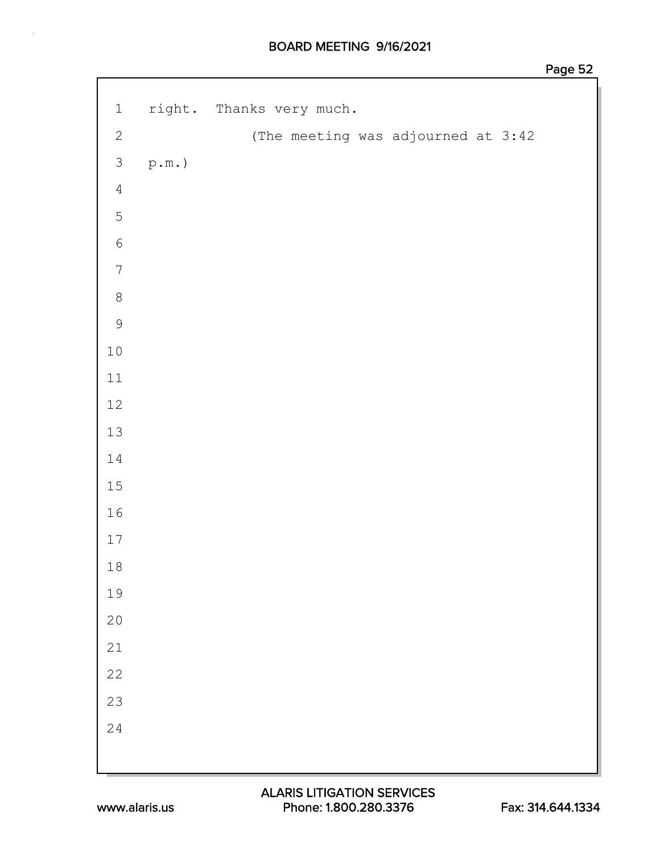| $1\,$            |                  | right. Thanks very much.           |
|------------------|------------------|------------------------------------|
| $\sqrt{2}$       |                  | (The meeting was adjourned at 3:42 |
| $\mathfrak{Z}$   | $\texttt{p.m.})$ |                                    |
| $\overline{4}$   |                  |                                    |
| 5                |                  |                                    |
| $\sqrt{6}$       |                  |                                    |
| $\boldsymbol{7}$ |                  |                                    |
| $\,8\,$          |                  |                                    |
| $\mathcal{G}$    |                  |                                    |
| $1\,0$           |                  |                                    |
| $11\,$           |                  |                                    |
| $12\,$           |                  |                                    |
| 13               |                  |                                    |
| $1\,4$           |                  |                                    |
| $15\,$           |                  |                                    |
| $16\,$           |                  |                                    |
| $17\,$           |                  |                                    |
| $18\,$           |                  |                                    |
| 19               |                  |                                    |
| $20$             |                  |                                    |
| $21\,$           |                  |                                    |
| $2\sqrt{2}$      |                  |                                    |
| 23               |                  |                                    |
| 24               |                  |                                    |
|                  |                  |                                    |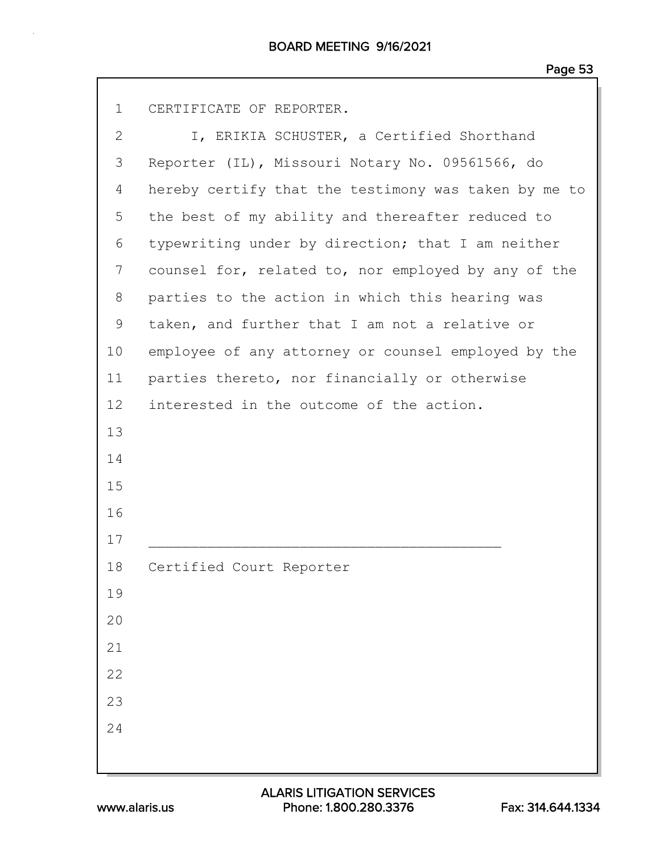1 CERTIFICATE OF REPORTER.

| $\mathbf{2}$ | I, ERIKIA SCHUSTER, a Certified Shorthand            |
|--------------|------------------------------------------------------|
| 3            | Reporter (IL), Missouri Notary No. 09561566, do      |
| 4            | hereby certify that the testimony was taken by me to |
| 5            | the best of my ability and thereafter reduced to     |
| 6            | typewriting under by direction; that I am neither    |
| 7            | counsel for, related to, nor employed by any of the  |
| 8            | parties to the action in which this hearing was      |
| 9            | taken, and further that I am not a relative or       |
| 10           | employee of any attorney or counsel employed by the  |
| 11           | parties thereto, nor financially or otherwise        |
| 12           | interested in the outcome of the action.             |
| 13           |                                                      |
| 14           |                                                      |
| 15           |                                                      |
| 16           |                                                      |
| 17           |                                                      |
| 18           | Certified Court Reporter                             |
| 19           |                                                      |
| 20           |                                                      |
| 21           |                                                      |
| 22           |                                                      |
| 23           |                                                      |
| 24           |                                                      |
|              |                                                      |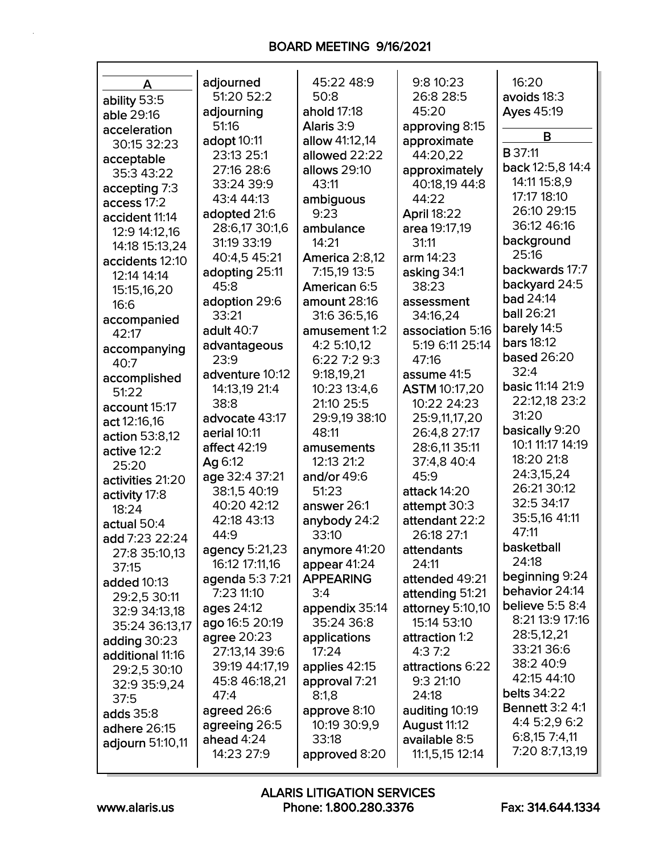| A                | adjourned           | 45:22 48:9       | 9:8 10:23            | 16:20                   |
|------------------|---------------------|------------------|----------------------|-------------------------|
| ability 53:5     | 51:20 52:2          | 50:8             | 26:8 28:5            | avoids 18:3             |
| able 29:16       | adjourning          | ahold 17:18      | 45:20                | Ayes 45:19              |
| acceleration     | 51:16               | Alaris 3:9       | approving 8:15       |                         |
| 30:15 32:23      | adopt 10:11         | allow 41:12,14   | approximate          | В                       |
| acceptable       | 23:13 25:1          | allowed 22:22    | 44:20,22             | <b>B</b> 37:11          |
| 35:3 43:22       | 27:16 28:6          | allows 29:10     | approximately        | back 12:5,8 14:4        |
| accepting 7:3    | 33:24 39:9          | 43:11            | 40:18,19 44:8        | 14:11 15:8,9            |
| access 17:2      | 43:4 44:13          | ambiguous        | 44:22                | 17:17 18:10             |
| accident 11:14   | adopted 21:6        | 9:23             | <b>April 18:22</b>   | 26:10 29:15             |
| 12:9 14:12,16    | 28:6,17 30:1,6      | ambulance        | area 19:17,19        | 36:12 46:16             |
| 14:18 15:13,24   | 31:19 33:19         | 14:21            | 31:11                | background              |
| accidents 12:10  | 40:4,5 45:21        | America 2:8,12   | arm $14:23$          | 25:16                   |
| 12:14 14:14      | adopting 25:11      | 7:15,19 13:5     | asking 34:1          | backwards 17:7          |
| 15:15,16,20      | 45:8                | American 6:5     | 38:23                | backyard 24:5           |
| 16:6             | adoption 29:6       | amount 28:16     | assessment           | <b>bad 24:14</b>        |
| accompanied      | 33:21               | 31:6 36:5,16     | 34:16,24             | ball 26:21              |
| 42:17            | adult 40:7          | amusement 1:2    | association 5:16     | barely 14:5             |
| accompanying     | advantageous        | 4:2 5:10,12      | 5:19 6:11 25:14      | <b>bars</b> 18:12       |
| 40:7             | 23:9                | 6:22 7:2 9:3     | 47:16                | <b>based 26:20</b>      |
| accomplished     | adventure 10:12     | 9:18,19,21       | assume 41:5          | 32:4                    |
| 51:22            | 14:13,19 21:4       | 10:23 13:4,6     | <b>ASTM 10:17,20</b> | <b>basic 11:14 21:9</b> |
| account 15:17    | 38:8                | 21:10 25:5       | 10:22 24:23          | 22:12,18 23:2           |
| act 12:16,16     | advocate 43:17      | 29:9,19 38:10    | 25:9,11,17,20        | 31:20                   |
| action 53:8,12   | aerial 10:11        | 48:11            | 26:4,8 27:17         | basically 9:20          |
| active 12:2      | <b>affect 42:19</b> | amusements       | 28:6,11 35:11        | 10:1 11:17 14:19        |
| 25:20            | Ag 6:12             | 12:13 21:2       | 37:4,8 40:4          | 18:20 21:8              |
| activities 21:20 | age 32:4 37:21      | and/or 49:6      | 45:9                 | 24:3,15,24              |
| activity 17:8    | 38:1.5 40:19        | 51:23            | attack 14:20         | 26:21 30:12             |
| 18:24            | 40:20 42:12         | answer 26:1      | attempt 30:3         | 32:5 34:17              |
| actual 50:4      | 42:18 43:13         | anybody 24:2     | attendant 22:2       | 35:5,16 41:11           |
| add 7:23 22:24   | 44:9                | 33:10            | 26:18 27:1           | 47:11                   |
| 27:8 35:10,13    | agency 5:21,23      | anymore 41:20    | attendants           | basketball              |
| 37:15            | 16:12 17:11,16      | appear 41:24     | 24:11                | 24:18                   |
| added 10:13      | agenda 5:3 7:21     | <b>APPEARING</b> | attended 49:21       | beginning 9:24          |
| 29:2,5 30:11     | 7:23 11:10          | 3:4              | attending 51:21      | behavior 24:14          |
| 32:9 34:13,18    | ages 24:12          | appendix 35:14   | attorney 5:10,10     | believe 5:5 8:4         |
| 35:24 36:13,17   | ago 16:5 20:19      | 35:24 36:8       | 15:14 53:10          | 8:21 13:9 17:16         |
| adding $30:23$   | agree 20:23         | applications     | attraction 1:2       | 28:5,12,21              |
| additional 11:16 | 27:13,14 39:6       | 17:24            | 4:37:2               | 33:21 36:6              |
| 29:2,5 30:10     | 39:19 44:17,19      | applies 42:15    | attractions 6:22     | 38:2 40:9               |
| 32:9 35:9,24     | 45:8 46:18,21       | approval 7:21    | 9:3 21:10            | 42:15 44:10             |
| 37:5             | 47:4                | 8:1,8            | 24:18                | <b>belts</b> 34:22      |
| adds 35:8        | agreed 26:6         | approve 8:10     | auditing 10:19       | <b>Bennett 3:2 4:1</b>  |
| adhere 26:15     | agreeing 26:5       | 10:19 30:9,9     | August 11:12         | 4:4 5:2,9 6:2           |
| adjourn 51:10,11 | ahead 4:24          | 33:18            | available 8:5        | 6:8,157:4,11            |
|                  | 14:23 27:9          | approved 8:20    | 11:1,5,15 12:14      | 7:20 8:7,13,19          |
|                  |                     |                  |                      |                         |

Г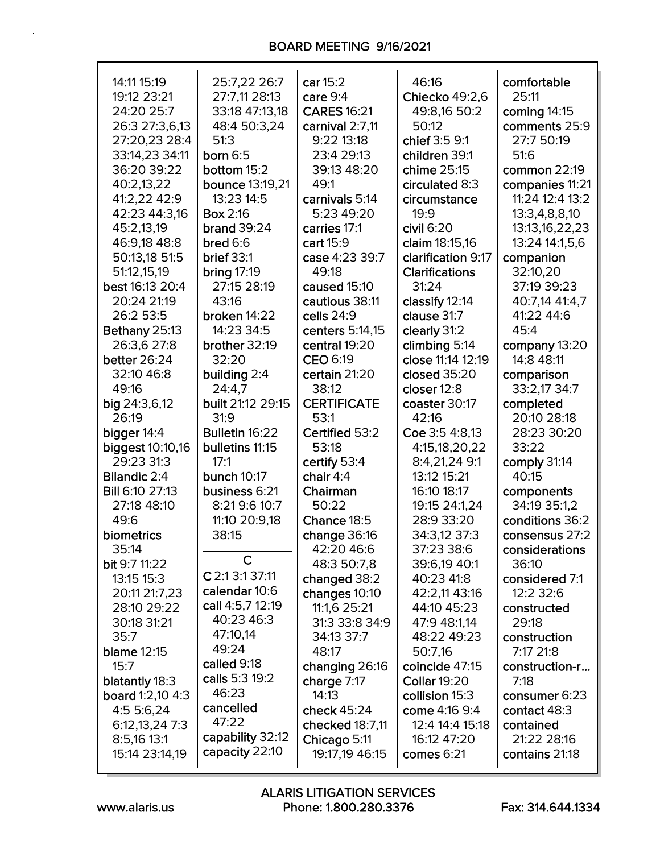| 14:11 15:19             | 25:7,22 26:7         | car 15:2           | 46:16                 | comfortable     |
|-------------------------|----------------------|--------------------|-----------------------|-----------------|
| 19:12 23:21             | 27:7,11 28:13        | care 9:4           | Chiecko 49:2,6        | 25:11           |
| 24:20 25:7              | 33:18 47:13,18       | <b>CARES 16:21</b> | 49:8,16 50:2          | coming 14:15    |
| 26:3 27:3,6,13          | 48:4 50:3,24         | carnival 2:7,11    | 50:12                 | comments 25:9   |
| 27:20,23 28:4           | 51:3                 | 9:22 13:18         | chief 3:5 9:1         | 27:7 50:19      |
| 33:14,23 34:11          | born $6:5$           | 23:4 29:13         | children 39:1         | 51:6            |
| 36:20 39:22             | bottom 15:2          | 39:13 48:20        | chime 25:15           | common 22:19    |
| 40:2,13,22              | bounce 13:19,21      | 49:1               | circulated 8:3        | companies 11:21 |
| 41:2,22 42:9            | 13:23 14:5           | carnivals 5:14     | circumstance          | 11:24 12:4 13:2 |
| 42:23 44:3,16           | <b>Box 2:16</b>      | 5:23 49:20         | 19:9                  | 13:3,4,8,8,10   |
| 45:2,13,19              | <b>brand</b> 39:24   | carries 17:1       | $c$ ivil $6:20$       | 13:13,16,22,23  |
| 46:9,18 48:8            | bred 6:6             | cart 15:9          | claim 18:15,16        | 13:24 14:1,5,6  |
| 50:13,18 51:5           | <b>brief 33:1</b>    | case 4:23 39:7     | clarification 9:17    | companion       |
| 51:12,15,19             | <b>bring 17:19</b>   | 49:18              | <b>Clarifications</b> | 32:10,20        |
| best 16:13 20:4         | 27:15 28:19          | caused 15:10       | 31:24                 | 37:19 39:23     |
| 20:24 21:19             | 43:16                | cautious 38:11     | classify 12:14        | 40:7,14 41:4,7  |
| 26:2 53:5               | broken 14:22         | cells 24:9         | clause 31:7           | 41:22 44:6      |
| Bethany 25:13           | 14:23 34:5           | centers 5:14,15    | clearly 31:2          | 45:4            |
| 26:3,6 27:8             | brother 32:19        | central 19:20      | climbing 5:14         | company 13:20   |
| better 26:24            | 32:20                | CEO 6:19           | close 11:14 12:19     | 14:8 48:11      |
| 32:10 46:8              | building 2:4         | certain 21:20      | closed 35:20          | comparison      |
| 49:16                   | 24:4,7               | 38:12              | closer 12:8           | 33:2,17 34:7    |
| big 24:3,6,12           | built 21:12 29:15    | <b>CERTIFICATE</b> | coaster 30:17         | completed       |
| 26:19                   | 31:9                 | 53:1               | 42:16                 | 20:10 28:18     |
| bigger 14:4             | Bulletin 16:22       | Certified 53:2     | Coe 3:5 4:8,13        | 28:23 30:20     |
| <b>biggest 10:10,16</b> | bulletins 11:15      | 53:18              | 4:15,18,20,22         | 33:22           |
| 29:23 31:3              | 17:1                 | certify 53:4       | 8:4,21,24 9:1         | comply 31:14    |
| <b>Bilandic 2:4</b>     | bunch 10:17          | chair 4:4          | 13:12 15:21           | 40:15           |
| <b>Bill 6:10 27:13</b>  | business 6:21        | Chairman           | 16:10 18:17           | components      |
| 27:18 48:10             | 8:21 9:6 10:7        | 50:22              | 19:15 24:1,24         | 34:19 35:1,2    |
| 49:6                    | 11:10 20:9,18        | Chance 18:5        | 28:9 33:20            | conditions 36:2 |
| biometrics              | 38:15                | change 36:16       | 34:3,12 37:3          | consensus 27:2  |
| 35:14                   | $\mathsf{C}$         | 42:20 46:6         | 37:23 38:6            | considerations  |
| bit 9:7 11:22           |                      | 48:3 50:7,8        | 39:6,19 40:1          | 36:10           |
| 13:15 15:3              | C 2:1 3:1 37:11      | changed 38:2       | 40:23 41:8            | considered 7:1  |
| 20:11 21:7,23           | calendar 10:6        | changes 10:10      | 42:2,11 43:16         | 12:2 32:6       |
| 28:10 29:22             | call 4:5,7 12:19     | 11:1,6 25:21       | 44:10 45:23           | constructed     |
| 30:18 31:21             | 40:23 46:3           | 31:3 33:8 34:9     | 47:9 48:1,14          | 29:18           |
| 35:7                    | 47:10,14             | 34:13 37:7         | 48:22 49:23           | construction    |
| <b>blame 12:15</b>      | 49:24<br>called 9:18 | 48:17              | 50:7,16               | 7:17 21:8       |
| 15:7                    | calls 5:3 19:2       | changing 26:16     | coincide 47:15        | construction-r  |
| blatantly 18:3          | 46:23                | charge 7:17        | <b>Collar 19:20</b>   | 7:18            |
| board 1:2,10 4:3        | cancelled            | 14:13              | collision 15:3        | consumer 6:23   |
| 4:5 5:6,24              | 47:22                | check 45:24        | come 4:16 9:4         | contact 48:3    |
| 6:12,13,24 7:3          | capability 32:12     | checked 18:7,11    | 12:4 14:4 15:18       | contained       |
| 8:5,16 13:1             | capacity 22:10       | Chicago 5:11       | 16:12 47:20           | 21:22 28:16     |
| 15:14 23:14,19          |                      | 19:17,19 46:15     | comes 6:21            | contains 21:18  |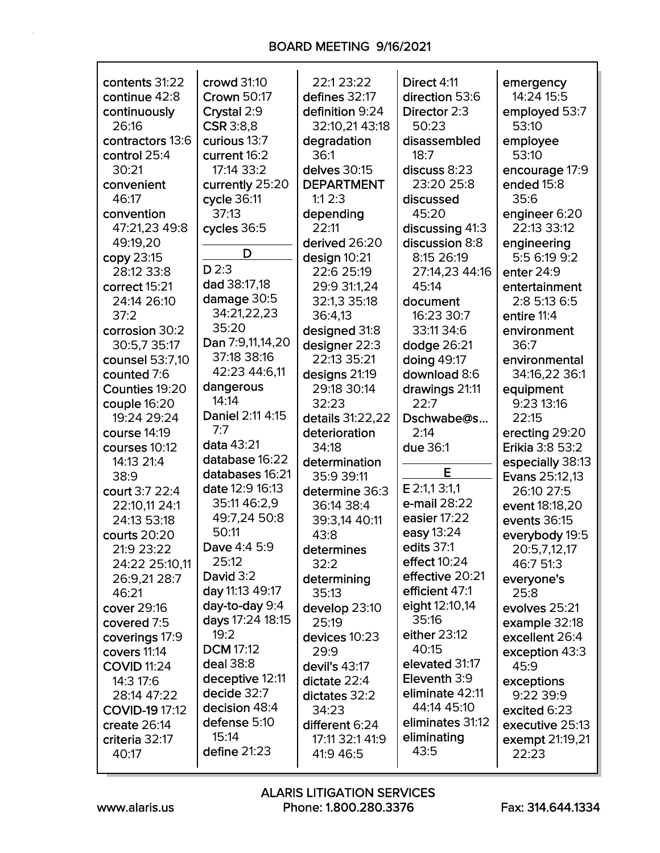| contents 31:22     | crowd 31:10         | 22:1 23:22        | Direct 4:11      | emergency        |
|--------------------|---------------------|-------------------|------------------|------------------|
| continue 42:8      | <b>Crown 50:17</b>  | defines 32:17     | direction 53:6   | 14:24 15:5       |
| continuously       | Crystal 2:9         | definition 9:24   | Director 2:3     | employed 53:7    |
| 26:16              | <b>CSR</b> 3:8,8    | 32:10,21 43:18    | 50:23            | 53:10            |
| contractors 13:6   | curious 13:7        | degradation       | disassembled     | employee         |
| control 25:4       | current 16:2        | 36:1              | 18:7             | 53:10            |
| 30:21              | 17:14 33:2          | delves 30:15      | discuss 8:23     | encourage 17:9   |
| convenient         | currently 25:20     | <b>DEPARTMENT</b> | 23:20 25:8       | ended 15:8       |
| 46:17              | cycle 36:11         | 1:12:3            | discussed        | 35:6             |
| convention         | 37:13               | depending         | 45:20            | engineer 6:20    |
| 47:21,23 49:8      | cycles 36:5         | 22:11             | discussing 41:3  | 22:13 33:12      |
| 49:19,20           |                     | derived 26:20     | discussion 8:8   | engineering      |
| copy 23:15         | D                   | design 10:21      | 8:15 26:19       | 5:5 6:19 9:2     |
| 28:12 33:8         | $D$ 2:3             | 22:6 25:19        | 27:14,23 44:16   | enter 24:9       |
| correct 15:21      | dad 38:17,18        | 29:9 31:1,24      | 45:14            | entertainment    |
| 24:14 26:10        | damage 30:5         | 32:1,3 35:18      | document         | 2:8 5:13 6:5     |
| 37:2               | 34:21,22,23         | 36:4,13           | 16:23 30:7       | entire 11:4      |
| corrosion 30:2     | 35:20               | designed 31:8     | 33:11 34:6       | environment      |
| 30:5,7 35:17       | Dan 7:9,11,14,20    | designer 22:3     | dodge 26:21      | 36:7             |
| counsel 53:7,10    | 37:18 38:16         | 22:13 35:21       | doing 49:17      | environmental    |
| counted 7:6        | 42:23 44:6,11       | designs 21:19     | download 8:6     | 34:16,22 36:1    |
| Counties 19:20     | dangerous           | 29:18 30:14       | drawings 21:11   | equipment        |
| couple 16:20       | 14:14               | 32:23             | 22:7             | 9:23 13:16       |
| 19:24 29:24        | Daniel 2:11 4:15    | details 31:22,22  | Dschwabe@s       | 22:15            |
| course 14:19       | 7:7                 | deterioration     | 2:14             | erecting 29:20   |
| courses 10:12      | data 43:21          | 34:18             | due 36:1         | Erikia 3:8 53:2  |
| 14:13 21:4         | database 16:22      | determination     |                  | especially 38:13 |
| 38:9               | databases 16:21     | 35:9 39:11        | E                | Evans 25:12,13   |
| court 3:7 22:4     | date 12:9 16:13     | determine 36:3    | E 2:1,1 3:1,1    | 26:10 27:5       |
| 22:10,11 24:1      | 35:11 46:2,9        | 36:14 38:4        | e-mail 28:22     | event 18:18,20   |
| 24:13 53:18        | 49:7,24 50:8        | 39:3,14 40:11     | easier 17:22     | events 36:15     |
| courts 20:20       | 50:11               | 43:8              | easy 13:24       | everybody 19:5   |
| 21:9 23:22         | <b>Dave 4:4 5:9</b> | determines        | edits 37:1       | 20:5,7,12,17     |
| 24:22 25:10,11     | 25:12               | 32:2              | effect 10:24     | 46:7 51:3        |
| 26:9,21 28:7       | David 3:2           | determining       | effective 20:21  | everyone's       |
| 46:21              | day 11:13 49:17     | 35:13             | efficient 47:1   | 25:8             |
| cover 29:16        | day-to-day 9:4      | develop 23:10     | eight 12:10,14   | evolves 25:21    |
| covered 7:5        | days 17:24 18:15    | 25:19             | 35:16            | example 32:18    |
| coverings 17:9     | 19:2                | devices 10:23     | either 23:12     | excellent 26:4   |
| covers 11:14       | <b>DCM 17:12</b>    | 29:9              | 40:15            | exception 43:3   |
| <b>COVID 11:24</b> | deal 38:8           | devil's 43:17     | elevated 31:17   | 45:9             |
| 14:3 17:6          | deceptive 12:11     | dictate 22:4      | Eleventh 3:9     | exceptions       |
| 28:14 47:22        | decide 32:7         | dictates 32:2     | eliminate 42:11  | 9:22 39:9        |
| COVID-19 17:12     | decision 48:4       | 34:23             | 44:14 45:10      | excited 6:23     |
| create 26:14       | defense 5:10        | different 6:24    | eliminates 31:12 | executive 25:13  |
| criteria 32:17     | 15:14               | 17:11 32:1 41:9   | eliminating      | exempt 21:19,21  |
| 40:17              | define $21:23$      | 41:9 46:5         | 43:5             | 22:23            |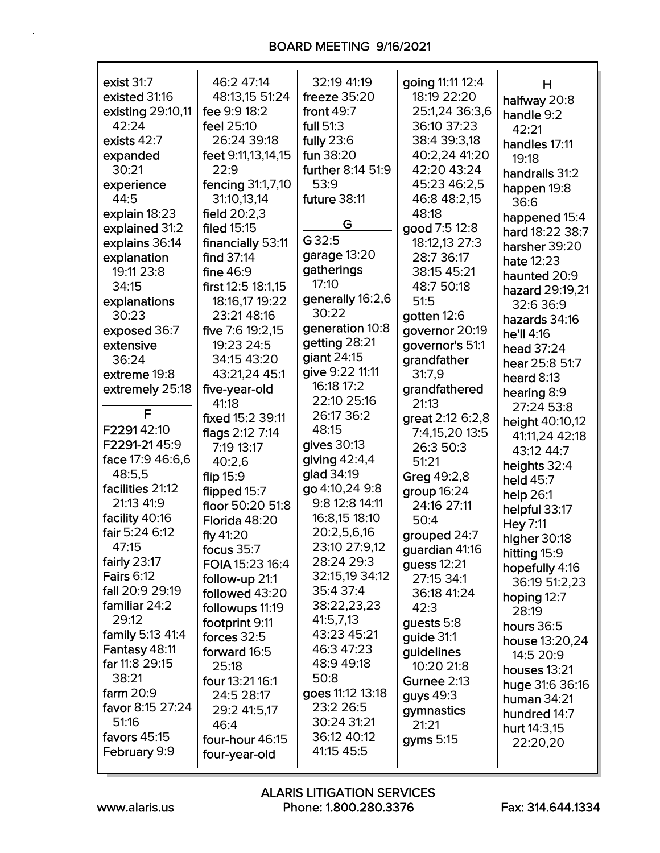| exist 31:7        | 46:2 47:14         | 32:19 41:19       | going 11:11 12:4   | н               |
|-------------------|--------------------|-------------------|--------------------|-----------------|
| existed 31:16     | 48:13,15 51:24     | freeze $35:20$    | 18:19 22:20        | halfway 20:8    |
| existing 29:10,11 | fee 9:9 18:2       | front $49:7$      | 25:1,24 36:3,6     | handle 9:2      |
| 42:24             | feel 25:10         | full 51:3         | 36:10 37:23        | 42:21           |
| exists 42:7       | 26:24 39:18        | fully $23:6$      | 38:4 39:3,18       | handles 17:11   |
| expanded          | feet 9:11,13,14,15 | fun 38:20         | 40:2,24 41:20      | 19:18           |
| 30:21             | 22:9               | further 8:14 51:9 | 42:20 43:24        | handrails 31:2  |
| experience        | fencing 31:1,7,10  | 53:9              | 45:23 46:2,5       |                 |
| 44:5              | 31:10,13,14        | future 38:11      | 46:8 48:2,15       | happen 19:8     |
| explain 18:23     | field $20:2,3$     |                   | 48:18              | 36:6            |
|                   |                    | G                 |                    | happened 15:4   |
| explained 31:2    | filed 15:15        | G 32:5            | good 7:5 12:8      | hard 18:22 38:7 |
| explains 36:14    | financially 53:11  |                   | 18:12,13 27:3      | harsher 39:20   |
| explanation       | find 37:14         | garage 13:20      | 28:7 36:17         | hate 12:23      |
| 19:11 23:8        | fine 46:9          | gatherings        | 38:15 45:21        | haunted 20:9    |
| 34:15             | first 12:5 18:1,15 | 17:10             | 48:7 50:18         | hazard 29:19,21 |
| explanations      | 18:16,17 19:22     | generally 16:2,6  | 51:5               | 32:6 36:9       |
| 30:23             | 23:21 48:16        | 30:22             | gotten 12:6        | hazards 34:16   |
| exposed 36:7      | five 7:6 19:2,15   | generation 10:8   | governor 20:19     | he'll 4:16      |
| extensive         | 19:23 24:5         | getting 28:21     | governor's 51:1    | head 37:24      |
| 36:24             | 34:15 43:20        | giant 24:15       | grandfather        |                 |
| extreme 19:8      | 43:21,24 45:1      | give 9:22 11:11   | 31:7,9             | hear 25:8 51:7  |
| extremely 25:18   | five-year-old      | 16:18 17:2        | grandfathered      | heard $8:13$    |
|                   | 41:18              | 22:10 25:16       | 21:13              | hearing 8:9     |
| F                 |                    | 26:17 36:2        |                    | 27:24 53:8      |
| F229142:10        | fixed 15:2 39:11   | 48:15             | great 2:12 6:2,8   | height 40:10,12 |
|                   | flags 2:12 7:14    |                   | 7:4,15,20 13:5     | 41:11,24 42:18  |
| F2291-2145:9      | 7:19 13:17         | gives 30:13       | 26:3 50:3          | 43:12 44:7      |
| face 17:9 46:6,6  | 40:2,6             | giving $42:4,4$   | 51:21              | heights 32:4    |
| 48:5,5            | flip $15:9$        | glad 34:19        | Greg 49:2,8        | held 45:7       |
| facilities 21:12  | flipped 15:7       | go 4:10,24 9:8    | group 16:24        | help $26:1$     |
| 21:13 41:9        | floor 50:20 51:8   | 9:8 12:8 14:11    | 24:16 27:11        | helpful 33:17   |
| facility 40:16    | Florida 48:20      | 16:8,15 18:10     | 50:4               | Hey 7:11        |
| fair 5:24 6:12    | fly $41:20$        | 20:2,5,6,16       | grouped 24:7       | higher 30:18    |
| 47:15             | focus $35:7$       | 23:10 27:9,12     | guardian 41:16     |                 |
| fairly 23:17      | FOIA 15:23 16:4    | 28:24 29:3        | guess 12:21        | hitting 15:9    |
| <b>Fairs 6:12</b> | follow-up 21:1     | 32:15,19 34:12    | 27:15 34:1         | hopefully 4:16  |
| fall 20:9 29:19   | followed 43:20     | 35:4 37:4         | 36:18 41:24        | 36:19 51:2,23   |
| familiar 24:2     |                    | 38:22,23,23       | 42:3               | hoping 12:7     |
| 29:12             | followups 11:19    | 41:5,7,13         |                    | 28:19           |
| family 5:13 41:4  | footprint 9:11     | 43:23 45:21       | guests 5:8         | hours 36:5      |
|                   | forces 32:5        | 46:3 47:23        | guide 31:1         | house 13:20,24  |
| Fantasy 48:11     | forward 16:5       |                   | guidelines         | 14:5 20:9       |
| far 11:8 29:15    | 25:18              | 48:9 49:18        | 10:20 21:8         | houses 13:21    |
| 38:21             | four 13:21 16:1    | 50:8              | <b>Gurnee 2:13</b> | huge 31:6 36:16 |
| farm $20:9$       | 24:5 28:17         | goes 11:12 13:18  | guys 49:3          | human 34:21     |
| favor 8:15 27:24  | 29:2 41:5,17       | 23:2 26:5         | gymnastics         | hundred 14:7    |
| 51:16             | 46:4               | 30:24 31:21       | 21:21              | hurt 14:3,15    |
| favors 45:15      | four-hour 46:15    | 36:12 40:12       | gyms 5:15          | 22:20,20        |
| February 9:9      | four-year-old      | 41:15 45:5        |                    |                 |
|                   |                    |                   |                    |                 |

 $\mathsf{r}$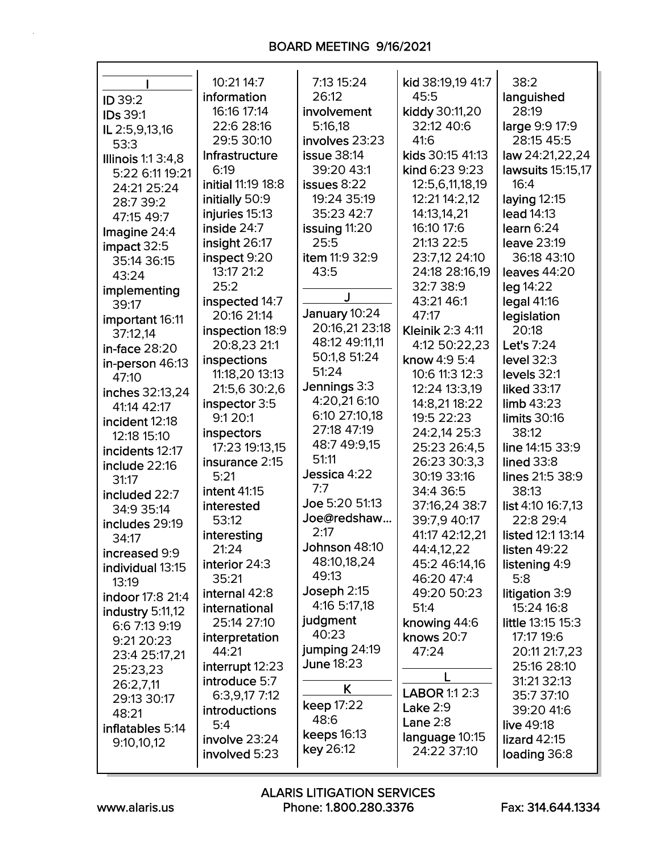# BOARD MEETING 9/16/2021

| <b>ID 39:2</b>            | 10:21 14:7<br>information<br>16:16 17:14 | 7:13 15:24<br>26:12<br>involvement | kid 38:19,19 41:7<br>45:5<br>kiddy 30:11,20 | 38:2<br>languished<br>28:19 |
|---------------------------|------------------------------------------|------------------------------------|---------------------------------------------|-----------------------------|
| <b>IDs 39:1</b>           | 22:6 28:16                               | 5:16.18                            | 32:12 40:6                                  | large 9:9 17:9              |
| IL 2:5,9,13,16<br>53:3    | 29:5 30:10                               | involves 23:23                     | 41:6                                        | 28:15 45:5                  |
| <b>Illinois 1:1 3:4,8</b> | Infrastructure                           | <b>issue 38:14</b>                 | kids 30:15 41:13                            | law 24:21,22,24             |
| 5:22 6:11 19:21           | 6:19                                     | 39:20 43:1                         | kind 6:23 9:23                              | lawsuits 15:15,17           |
| 24:21 25:24               | initial 11:19 18:8                       | issues 8:22                        | 12:5,6,11,18,19                             | 16:4                        |
| 28:7 39:2                 | initially 50:9                           | 19:24 35:19                        | 12:21 14:2,12                               | laying $12:15$              |
| 47:15 49:7                | injuries 15:13                           | 35:23 42:7                         | 14:13,14,21                                 | lead 14:13                  |
| Imagine 24:4              | inside 24:7                              | issuing 11:20                      | 16:10 17:6                                  | learn 6:24                  |
| impact 32:5               | insight 26:17                            | 25:5                               | 21:13 22:5                                  | leave 23:19                 |
| 35:14 36:15               | inspect 9:20                             | item 11:9 32:9                     | 23:7,12 24:10                               | 36:18 43:10                 |
| 43:24                     | 13:17 21:2                               | 43:5                               | 24:18 28:16,19                              | leaves $44:20$              |
| implementing              | 25:2                                     |                                    | 32:7 38:9                                   | leg 14:22                   |
| 39:17                     | inspected 14:7                           | J                                  | 43:21 46:1                                  | legal 41:16                 |
| important 16:11           | 20:16 21:14                              | January 10:24                      | 47:17                                       | legislation                 |
| 37:12,14                  | inspection 18:9                          | 20:16,21 23:18                     | Kleinik 2:3 4:11                            | 20:18                       |
| in-face 28:20             | 20:8,23 21:1                             | 48:12 49:11,11                     | 4:12 50:22,23                               | Let's 7:24                  |
| in-person 46:13           | inspections                              | 50:1,8 51:24<br>51:24              | know 4:9 5:4                                | level 32:3                  |
| 47:10                     | 11:18,20 13:13                           | Jennings 3:3                       | 10:6 11:3 12:3                              | levels 32:1                 |
| inches 32:13,24           | 21:5,6 30:2,6                            | 4:20,216:10                        | 12:24 13:3,19                               | liked 33:17                 |
| 41:14 42:17               | inspector 3:5                            | 6:10 27:10,18                      | 14:8,21 18:22                               | limb 43:23                  |
| incident 12:18            | 9:1 20:1                                 | 27:18 47:19                        | 19:5 22:23                                  | limits 30:16<br>38:12       |
| 12:18 15:10               | inspectors<br>17:23 19:13,15             | 48:7 49:9,15                       | 24:2,14 25:3<br>25:23 26:4,5                | line 14:15 33:9             |
| incidents 12:17           | insurance 2:15                           | 51:11                              | 26:23 30:3,3                                | lined 33:8                  |
| include 22:16             | 5:21                                     | Jessica 4:22                       | 30:19 33:16                                 | lines 21:5 38:9             |
| 31:17                     | <b>intent 41:15</b>                      | 7:7                                | 34:4 36:5                                   | 38:13                       |
| included 22:7             | interested                               | Joe 5:20 51:13                     | 37:16,24 38:7                               | list 4:10 16:7,13           |
| 34:9 35:14                | 53:12                                    | Joe@redshaw                        | 39:7,9 40:17                                | 22:8 29:4                   |
| includes 29:19            | interesting                              | 2:17                               | 41:17 42:12,21                              | listed 12:1 13:14           |
| 34:17<br>increased 9:9    | 21:24                                    | Johnson 48:10                      | 44:4,12,22                                  | listen 49:22                |
| individual 13:15          | interior 24:3                            | 48:10,18,24                        | 45:2 46:14,16                               | listening 4:9               |
| 13:19                     | 35:21                                    | 49:13                              | 46:20 47:4                                  | 5:8                         |
| indoor 17:8 21:4          | internal 42:8                            | Joseph 2:15                        | 49:20 50:23                                 | litigation 3:9              |
| industry 5:11,12          | international                            | 4:16 5:17,18                       | 51:4                                        | 15:24 16:8                  |
| 6:6 7:13 9:19             | 25:14 27:10                              | judgment                           | knowing 44:6                                | little 13:15 15:3           |
| 9:21 20:23                | interpretation                           | 40:23                              | knows 20:7                                  | 17:17 19:6                  |
| 23:4 25:17,21             | 44:21                                    | jumping 24:19                      | 47:24                                       | 20:11 21:7,23               |
| 25:23,23                  | interrupt 12:23                          | June 18:23                         |                                             | 25:16 28:10                 |
| 26:2,7,11                 | introduce 5:7                            | K.                                 | L                                           | 31:21 32:13                 |
| 29:13 30:17               | 6:3,9,17 7:12                            | keep 17:22                         | LABOR 1:1 2:3                               | 35:7 37:10                  |
| 48:21                     | introductions                            | 48:6                               | Lake $2:9$                                  | 39:20 41:6                  |
| inflatables 5:14          | 5:4                                      | <b>keeps 16:13</b>                 | Lane $2:8$                                  | live 49:18                  |
| 9:10,10,12                | involve 23:24                            | key 26:12                          | language 10:15<br>24:22 37:10               | lizard $42:15$              |
|                           | involved 5:23                            |                                    |                                             | loading 36:8                |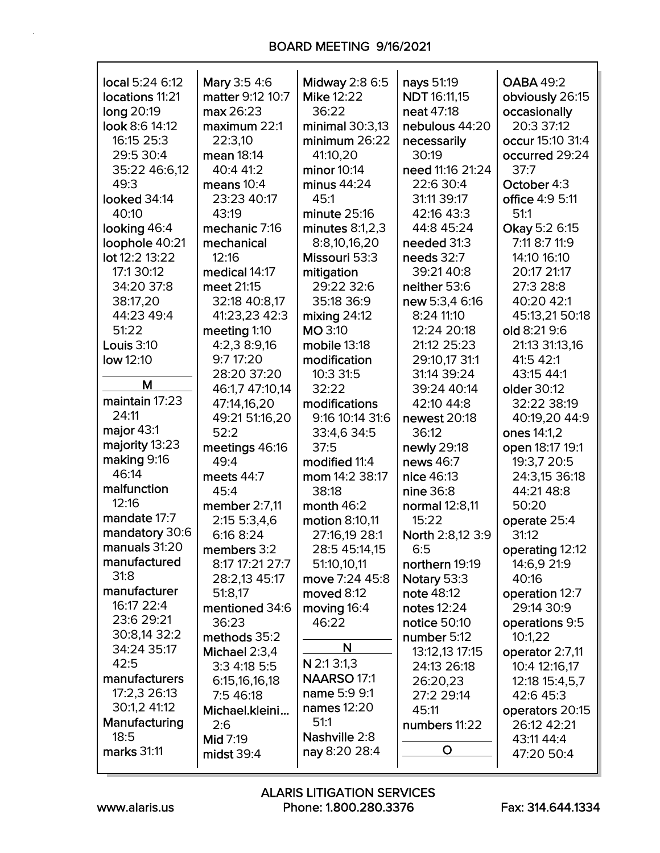| local 5:24 6:12   | Mary 3:5 4:6     | <b>Midway 2:8 6:5</b> | nays 51:19          | <b>OABA 49:2</b> |
|-------------------|------------------|-----------------------|---------------------|------------------|
| locations 11:21   | matter 9:12 10:7 | <b>Mike 12:22</b>     | <b>NDT</b> 16:11,15 | obviously 26:15  |
| long 20:19        | max 26:23        | 36:22                 | neat 47:18          | occasionally     |
| look 8:6 14:12    | maximum 22:1     | minimal $30:3,13$     | nebulous 44:20      | 20:3 37:12       |
| 16:15 25:3        | 22:3,10          | minimum $26:22$       | necessarily         | occur 15:10 31:4 |
| 29:5 30:4         | mean 18:14       | 41:10,20              | 30:19               | occurred 29:24   |
| 35:22 46:6,12     | 40:4 41:2        | minor 10:14           | need 11:16 21:24    | 37:7             |
| 49:3              | means $10:4$     | minus $44:24$         | 22:6 30:4           | October 4:3      |
| looked 34:14      | 23:23 40:17      | 45:1                  | 31:11 39:17         | office 4:9 5:11  |
| 40:10             | 43:19            | minute 25:16          | 42:16 43:3          | 51:1             |
| looking 46:4      | mechanic 7:16    | minutes $8:1,2,3$     | 44:8 45:24          | Okay 5:2 6:15    |
| loophole 40:21    | mechanical       | 8:8,10,16,20          | needed 31:3         | 7:11 8:7 11:9    |
| lot 12:2 13:22    | 12:16            | Missouri 53:3         | needs 32:7          | 14:10 16:10      |
| 17:1 30:12        | medical 14:17    | mitigation            | 39:21 40:8          | 20:17 21:17      |
| 34:20 37:8        | meet 21:15       | 29:22 32:6            | neither 53:6        | 27:3 28:8        |
| 38:17,20          | 32:18 40:8,17    | 35:18 36:9            | new 5:3,4 6:16      | 40:20 42:1       |
| 44:23 49:4        | 41:23,23 42:3    | mixing $24:12$        | 8:24 11:10          | 45:13,21 50:18   |
| 51:22             | meeting 1:10     | <b>MO 3:10</b>        | 12:24 20:18         | old 8:21 9:6     |
| <b>Louis 3:10</b> | 4:2,3 8:9,16     | mobile 13:18          | 21:12 25:23         | 21:13 31:13,16   |
| low 12:10         | 9:7 17:20        | modification          | 29:10,17 31:1       | 41:5 42:1        |
|                   | 28:20 37:20      | 10:3 31:5             | 31:14 39:24         | 43:15 44:1       |
| M                 | 46:1,7 47:10,14  | 32:22                 | 39:24 40:14         | older 30:12      |
| maintain 17:23    | 47:14,16,20      | modifications         | 42:10 44:8          | 32:22 38:19      |
| 24:11             | 49:21 51:16,20   | 9:16 10:14 31:6       | newest 20:18        | 40:19,20 44:9    |
| major 43:1        | 52:2             | 33:4,6 34:5           | 36:12               | ones 14:1,2      |
| majority 13:23    | meetings 46:16   | 37:5                  | newly 29:18         | open 18:17 19:1  |
| making 9:16       | 49:4             | modified 11:4         | news 46:7           | 19:3,7 20:5      |
| 46:14             | meets 44:7       | mom 14:2 38:17        | nice 46:13          | 24:3,15 36:18    |
| malfunction       | 45:4             | 38:18                 | nine 36:8           | 44:21 48:8       |
| 12:16             | member 2:7,11    | month $46:2$          | normal 12:8,11      | 50:20            |
| mandate 17:7      | 2:15 5:3,4,6     | motion 8:10,11        | 15:22               | operate 25:4     |
| mandatory 30:6    | 6:16 8:24        | 27:16,19 28:1         | North 2:8,12 3:9    | 31:12            |
| manuals 31:20     | members 3:2      | 28:5 45:14,15         | 6:5                 | operating 12:12  |
| manufactured      | 8:17 17:21 27:7  | 51:10,10,11           | northern 19:19      | 14:6,9 21:9      |
| 31:8              | 28:2,13 45:17    | move 7:24 45:8        | Notary 53:3         | 40:16            |
| manufacturer      | 51:8,17          | moved 8:12            | note 48:12          | operation 12:7   |
| 16:17 22:4        | mentioned 34:6   | moving 16:4           | notes 12:24         | 29:14 30:9       |
| 23:6 29:21        | 36:23            | 46:22                 | notice 50:10        | operations 9:5   |
| 30:8,14 32:2      | methods 35:2     |                       | number 5:12         | 10:1,22          |
| 34:24 35:17       | Michael 2:3,4    | N                     | 13:12,13 17:15      | operator 2:7,11  |
| 42:5              | 3:3 4:18 5:5     | N 2:1 3:1,3           | 24:13 26:18         | 10:4 12:16,17    |
| manufacturers     | 6:15,16,16,18    | NAARSO 17:1           | 26:20,23            | 12:18 15:4,5,7   |
| 17:2,3 26:13      | 7:5 46:18        | name 5:9 9:1          | 27:2 29:14          | 42:6 45:3        |
| 30:1,2 41:12      | Michael.kleini   | names 12:20           | 45:11               | operators 20:15  |
| Manufacturing     | 2:6              | 51:1                  | numbers 11:22       | 26:12 42:21      |
| 18:5              | <b>Mid 7:19</b>  | Nashville 2:8         |                     | 43:11 44:4       |
| marks 31:11       | midst $39:4$     | nay 8:20 28:4         | O                   | 47:20 50:4       |
|                   |                  |                       |                     |                  |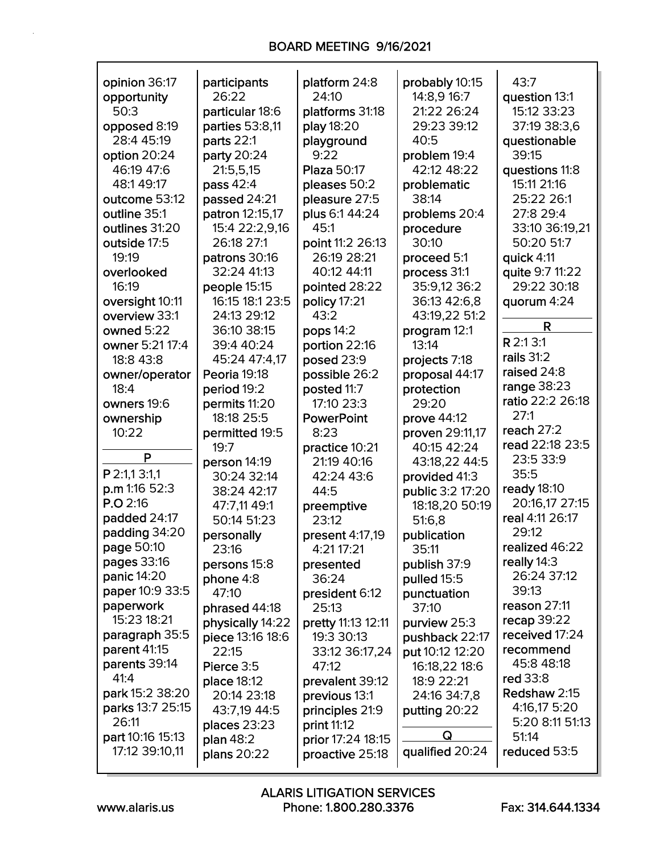| opinion 36:17     | participants     | platform 24:8      | probably 10:15   | 43:7             |
|-------------------|------------------|--------------------|------------------|------------------|
| opportunity       | 26:22            | 24:10              | 14:8,9 16:7      | question 13:1    |
| 50:3              | particular 18:6  | platforms 31:18    | 21:22 26:24      | 15:12 33:23      |
| opposed 8:19      | parties 53:8,11  | play 18:20         | 29:23 39:12      | 37:19 38:3,6     |
| 28:4 45:19        | parts 22:1       | playground         | 40:5             | questionable     |
| option 20:24      | party 20:24      | 9:22               | problem 19:4     | 39:15            |
| 46:19 47:6        | 21:5,5,15        | <b>Plaza 50:17</b> | 42:12 48:22      | questions 11:8   |
| 48:149:17         | pass 42:4        | pleases 50:2       | problematic      | 15:11 21:16      |
| outcome 53:12     | passed 24:21     | pleasure 27:5      | 38:14            | 25:22 26:1       |
| outline 35:1      | patron 12:15,17  | plus 6:1 44:24     | problems 20:4    | 27:8 29:4        |
| outlines 31:20    | 15:4 22:2,9,16   | 45:1               | procedure        | 33:10 36:19,21   |
| outside 17:5      | 26:18 27:1       | point 11:2 26:13   | 30:10            | 50:20 51:7       |
| 19:19             | patrons 30:16    | 26:19 28:21        | proceed 5:1      | quick 4:11       |
| overlooked        | 32:24 41:13      | 40:12 44:11        | process 31:1     | quite 9:7 11:22  |
| 16:19             | people 15:15     | pointed 28:22      | 35:9,12 36:2     | 29:22 30:18      |
| oversight 10:11   | 16:15 18:1 23:5  | policy 17:21       | 36:13 42:6,8     | quorum 4:24      |
| overview 33:1     | 24:13 29:12      | 43:2               | 43:19,22 51:2    |                  |
| owned 5:22        | 36:10 38:15      | pops 14:2          | program 12:1     | R                |
| owner 5:21 17:4   | 39:4 40:24       | portion 22:16      | 13:14            | R 2:1 3:1        |
| 18:8 43:8         | 45:24 47:4,17    | posed 23:9         | projects 7:18    | rails 31:2       |
| owner/operator    | Peoria 19:18     | possible 26:2      | proposal 44:17   | raised 24:8      |
| 18:4              | period 19:2      | posted 11:7        | protection       | range 38:23      |
| owners 19:6       | permits 11:20    | 17:10 23:3         | 29:20            | ratio 22:2 26:18 |
| ownership         | 18:18 25:5       | <b>PowerPoint</b>  | prove 44:12      | 27:1             |
| 10:22             | permitted 19:5   | 8:23               | proven 29:11,17  | reach $27:2$     |
|                   | 19:7             | practice 10:21     | 40:15 42:24      | read 22:18 23:5  |
| P                 | person 14:19     | 21:19 40:16        | 43:18,22 44:5    | 23:5 33:9        |
| P 2:1,1 3:1,1     | 30:24 32:14      | 42:24 43:6         | provided 41:3    | 35:5             |
| p.m 1:16 52:3     | 38:24 42:17      | 44:5               | public 3:2 17:20 | ready 18:10      |
| P.O.2:16          | 47:7,11 49:1     | preemptive         | 18:18,20 50:19   | 20:16,17 27:15   |
| padded 24:17      | 50:14 51:23      | 23:12              | 51:6,8           | real 4:11 26:17  |
| padding 34:20     | personally       | present 4:17,19    | publication      | 29:12            |
| <b>page 50:10</b> | 23:16            | 4:21 17:21         | 35:11            | realized 46:22   |
| pages 33:16       | persons 15:8     | presented          | publish 37:9     | really 14:3      |
| panic 14:20       | phone 4:8        | 36:24              | pulled 15:5      | 26:24 37:12      |
| paper 10:9 33:5   | 47:10            | president 6:12     | punctuation      | 39:13            |
| paperwork         | phrased 44:18    | 25:13              | 37:10            | reason 27:11     |
| 15:23 18:21       | physically 14:22 | pretty 11:13 12:11 | purview 25:3     | recap 39:22      |
| paragraph 35:5    | piece 13:16 18:6 | 19:3 30:13         | pushback 22:17   | received 17:24   |
| parent 41:15      | 22:15            | 33:12 36:17,24     | put 10:12 12:20  | recommend        |
| parents 39:14     | Pierce 3:5       | 47:12              | 16:18,22 18:6    | 45:8 48:18       |
| 41:4              | place 18:12      | prevalent 39:12    | 18:9 22:21       | red 33:8         |
| park 15:2 38:20   | 20:14 23:18      | previous 13:1      | 24:16 34:7,8     | Redshaw 2:15     |
| parks 13:7 25:15  | 43:7,19 44:5     | principles 21:9    | putting 20:22    | 4:16,17 5:20     |
| 26:11             | places 23:23     | print 11:12        |                  | 5:20 8:11 51:13  |
| part 10:16 15:13  | plan 48:2        | prior 17:24 18:15  | Q                | 51:14            |
| 17:12 39:10,11    | plans 20:22      | proactive 25:18    | qualified 20:24  | reduced 53:5     |
|                   |                  |                    |                  |                  |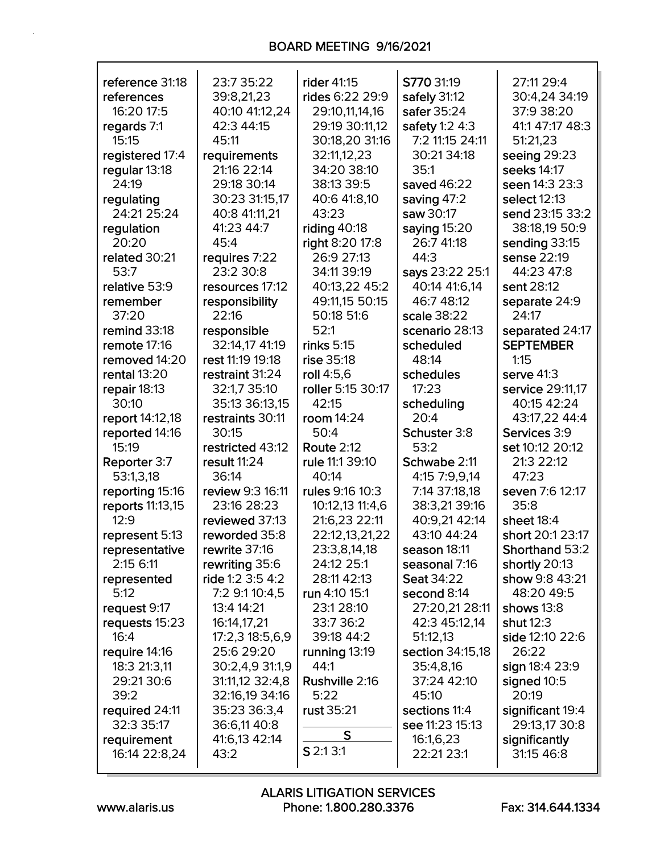| reference 31:18  | 23:7 35:22       | rider 41:15       | S770 31:19        | 27:11 29:4       |
|------------------|------------------|-------------------|-------------------|------------------|
| references       | 39:8,21,23       | rides 6:22 29:9   | safely 31:12      | 30:4,24 34:19    |
| 16:20 17:5       | 40:10 41:12,24   | 29:10,11,14,16    | safer 35:24       | 37:9 38:20       |
| regards 7:1      | 42:3 44:15       | 29:19 30:11,12    | safety 1:2 4:3    | 41:1 47:17 48:3  |
| 15:15            | 45:11            | 30:18,20 31:16    | 7:2 11:15 24:11   | 51:21,23         |
| registered 17:4  | requirements     | 32:11,12,23       | 30:21 34:18       | seeing 29:23     |
| regular 13:18    | 21:16 22:14      | 34:20 38:10       | 35:1              | seeks 14:17      |
| 24:19            | 29:18 30:14      | 38:13 39:5        | saved 46:22       | seen 14:3 23:3   |
| regulating       | 30:23 31:15,17   | 40:6 41:8,10      | saving 47:2       | select 12:13     |
| 24:21 25:24      | 40:8 41:11,21    | 43:23             | saw 30:17         | send 23:15 33:2  |
| regulation       | 41:23 44:7       | riding $40:18$    | saying 15:20      | 38:18,19 50:9    |
| 20:20            | 45:4             | right 8:20 17:8   | 26:7 41:18        | sending 33:15    |
| related 30:21    | requires 7:22    | 26:9 27:13        | 44:3              | sense 22:19      |
| 53:7             | 23:2 30:8        | 34:11 39:19       | says 23:22 25:1   | 44:23 47:8       |
| relative 53:9    | resources 17:12  | 40:13,22 45:2     | 40:14 41:6,14     | sent 28:12       |
| remember         | responsibility   | 49:11,15 50:15    | 46:7 48:12        | separate 24:9    |
| 37:20            | 22:16            | 50:18 51:6        | scale 38:22       | 24:17            |
| remind 33:18     | responsible      | 52:1              | scenario 28:13    | separated 24:17  |
| remote 17:16     | 32:14,17 41:19   | rinks 5:15        | scheduled         | <b>SEPTEMBER</b> |
| removed 14:20    | rest 11:19 19:18 | rise 35:18        | 48:14             | 1:15             |
| rental 13:20     | restraint 31:24  | roll 4:5.6        | schedules         | serve 41:3       |
| repair 18:13     | 32:1,7 35:10     | roller 5:15 30:17 | 17:23             | service 29:11,17 |
| 30:10            | 35:13 36:13,15   | 42:15             | scheduling        | 40:15 42:24      |
| report 14:12,18  | restraints 30:11 | room 14:24        | 20:4              | 43:17,22 44:4    |
| reported 14:16   | 30:15            | 50:4              | Schuster 3:8      | Services 3:9     |
| 15:19            | restricted 43:12 | <b>Route 2:12</b> | 53:2              | set 10:12 20:12  |
| Reporter 3:7     | result 11:24     | rule 11:1 39:10   | Schwabe 2:11      | 21:3 22:12       |
| 53:1,3,18        | 36:14            | 40:14             | 4:15 7:9,9,14     | 47:23            |
| reporting 15:16  | review 9:3 16:11 | rules 9:16 10:3   | 7:14 37:18,18     | seven 7:6 12:17  |
| reports 11:13,15 | 23:16 28:23      | 10:12,13 11:4,6   | 38:3,21 39:16     | 35:8             |
| 12:9             | reviewed 37:13   | 21:6,23 22:11     | 40:9,21 42:14     | sheet 18:4       |
| represent 5:13   | reworded 35:8    | 22:12,13,21,22    | 43:10 44:24       | short 20:1 23:17 |
| representative   | rewrite 37:16    | 23:3,8,14,18      | season 18:11      | Shorthand 53:2   |
| 2:15 6:11        | rewriting 35:6   | 24:12 25:1        | seasonal 7:16     | shortly 20:13    |
| represented      | ride 1:2 3:5 4:2 | 28:11 42:13       | <b>Seat 34:22</b> | show 9:8 43:21   |
| 5:12             | 7:2 9:1 10:4,5   | run 4:10 15:1     | second 8:14       | 48:20 49:5       |
| request 9:17     | 13:4 14:21       | 23:1 28:10        | 27:20,21 28:11    | shows 13:8       |
| requests 15:23   | 16:14,17,21      | 33:7 36:2         | 42:3 45:12,14     | shut 12:3        |
| 16:4             | 17:2,3 18:5,6,9  | 39:18 44:2        | 51:12,13          | side 12:10 22:6  |
| require 14:16    | 25:6 29:20       | running 13:19     | section 34:15,18  | 26:22            |
| 18:3 21:3,11     | 30:2,4,9 31:1,9  | 44:1              | 35:4,8,16         | sign 18:4 23:9   |
| 29:21 30:6       | 31:11,12 32:4,8  | Rushville 2:16    | 37:24 42:10       | signed 10:5      |
| 39:2             | 32:16,19 34:16   | 5:22              | 45:10             | 20:19            |
| required 24:11   | 35:23 36:3,4     | rust 35:21        | sections 11:4     | significant 19:4 |
| 32:3 35:17       | 36:6,11 40:8     |                   | see 11:23 15:13   | 29:13,17 30:8    |
| requirement      | 41:6,13 42:14    | S                 | 16:1,6,23         | significantly    |
| 16:14 22:8,24    | 43:2             | $S$ 2:1 3:1       | 22:21 23:1        | 31:15 46:8       |
|                  |                  |                   |                   |                  |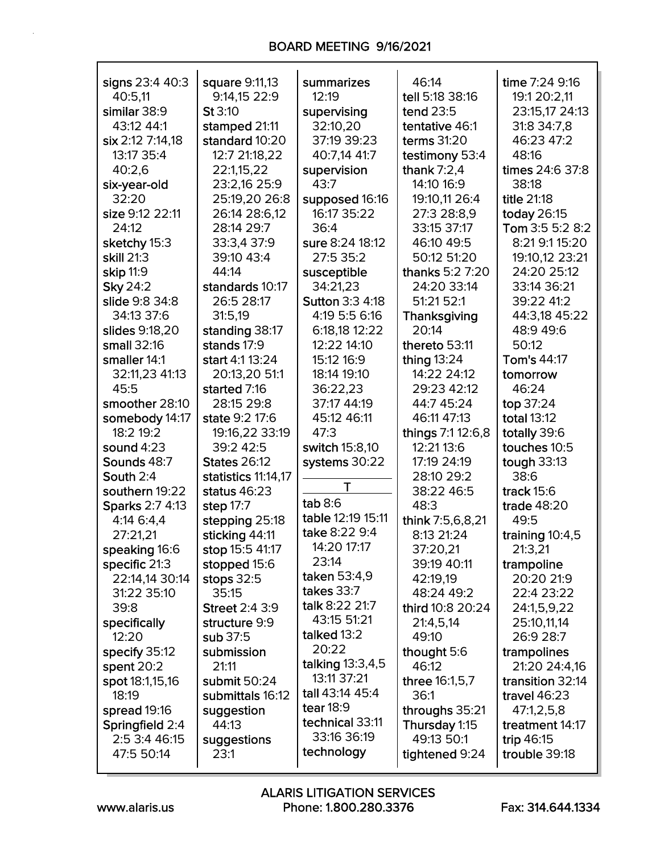| signs 23:4 40:3  | square 9:11,13        | summarizes             | 46:14             | time 7:24 9:16     |
|------------------|-----------------------|------------------------|-------------------|--------------------|
| 40:5,11          | 9:14,15 22:9          | 12:19                  | tell 5:18 38:16   | 19:1 20:2,11       |
| similar 38:9     | St 3:10               | supervising            | tend 23:5         | 23:15,17 24:13     |
| 43:12 44:1       | stamped 21:11         | 32:10,20               | tentative 46:1    | 31:8 34:7,8        |
| six 2:12 7:14,18 | standard 10:20        | 37:19 39:23            | terms 31:20       | 46:23 47:2         |
| 13:17 35:4       | 12:7 21:18,22         | 40:7,14 41:7           | testimony 53:4    | 48:16              |
| 40:2,6           | 22:1,15,22            | supervision            | thank $7:2,4$     | times 24:6 37:8    |
| six-year-old     | 23:2,16 25:9          | 43:7                   | 14:10 16:9        | 38:18              |
| 32:20            | 25:19,20 26:8         | supposed 16:16         | 19:10,11 26:4     | <b>title 21:18</b> |
| size 9:12 22:11  | 26:14 28:6,12         | 16:17 35:22            | 27:3 28:8,9       | today 26:15        |
| 24:12            | 28:14 29:7            | 36:4                   | 33:15 37:17       | Tom 3:5 5:2 8:2    |
| sketchy 15:3     | 33:3,4 37:9           | sure 8:24 18:12        | 46:10 49:5        | 8:21 9:1 15:20     |
| skill 21:3       | 39:10 43:4            | 27:5 35:2              | 50:12 51:20       | 19:10,12 23:21     |
| skip 11:9        | 44:14                 | susceptible            | thanks 5:2 7:20   | 24:20 25:12        |
| <b>Sky 24:2</b>  | standards 10:17       | 34:21,23               | 24:20 33:14       | 33:14 36:21        |
| slide 9:8 34:8   | 26:5 28:17            | <b>Sutton 3:3 4:18</b> | 51:21 52:1        | 39:22 41:2         |
| 34:13 37:6       | 31:5,19               | 4:19 5:5 6:16          | Thanksgiving      | 44:3,18 45:22      |
| slides 9:18,20   | standing 38:17        | 6:18,18 12:22          | 20:14             | 48:9 49:6          |
| small 32:16      | stands 17:9           | 12:22 14:10            | thereto 53:11     | 50:12              |
| smaller 14:1     | start 4:1 13:24       | 15:12 16:9             | thing 13:24       | Tom's 44:17        |
| 32:11,23 41:13   | 20:13,20 51:1         | 18:14 19:10            | 14:22 24:12       | tomorrow           |
| 45:5             | started 7:16          | 36:22,23               | 29:23 42:12       | 46:24              |
| smoother 28:10   | 28:15 29:8            | 37:17 44:19            | 44:7 45:24        | top 37:24          |
| somebody 14:17   | state 9:2 17:6        | 45:12 46:11            | 46:11 47:13       | <b>total 13:12</b> |
| 18:2 19:2        | 19:16,22 33:19        | 47:3                   | things 7:1 12:6,8 | totally 39:6       |
| sound $4:23$     | 39:2 42:5             | switch 15:8,10         | 12:21 13:6        | touches 10:5       |
| Sounds 48:7      | <b>States 26:12</b>   | systems 30:22          | 17:19 24:19       | tough $33:13$      |
| South 2:4        | statistics 11:14,17   |                        | 28:10 29:2        | 38:6               |
| southern 19:22   | status $46:23$        | T                      | 38:22 46:5        | track $15:6$       |
| Sparks 2:7 4:13  | step 17:7             | tab 8:6                | 48:3              | trade 48:20        |
| 4:14 6:4,4       | stepping 25:18        | table 12:19 15:11      | think 7:5,6,8,21  | 49:5               |
| 27:21,21         | sticking 44:11        | take 8:22 9:4          | 8:13 21:24        | training 10:4,5    |
| speaking 16:6    | stop 15:5 41:17       | 14:20 17:17            | 37:20,21          | 21:3,21            |
| specific 21:3    | stopped 15:6          | 23:14                  | 39:19 40:11       | trampoline         |
| 22:14,14 30:14   | stops $32:5$          | taken 53:4,9           | 42:19,19          | 20:20 21:9         |
| 31:22 35:10      | 35:15                 | takes 33:7             | 48:24 49:2        | 22:4 23:22         |
| 39:8             | <b>Street 2:4 3:9</b> | talk 8:22 21:7         | third 10:8 20:24  | 24:1,5,9,22        |
| specifically     | structure 9:9         | 43:15 51:21            | 21:4,5,14         | 25:10,11,14        |
| 12:20            | sub 37:5              | talked 13:2            | 49:10             | 26:9 28:7          |
| specify 35:12    | submission            | 20:22                  | thought 5:6       | trampolines        |
| spent 20:2       | 21:11                 | talking 13:3,4,5       | 46:12             | 21:20 24:4,16      |
| spot 18:1,15,16  | submit 50:24          | 13:11 37:21            | three 16:1,5,7    | transition 32:14   |
| 18:19            | submittals 16:12      | tall 43:14 45:4        | 36:1              | travel $46:23$     |
| spread 19:16     | suggestion            | tear $18:9$            | throughs 35:21    | 47:1,2,5,8         |
| Springfield 2:4  | 44:13                 | technical 33:11        | Thursday 1:15     | treatment 14:17    |
| 2:5 3:4 46:15    | suggestions           | 33:16 36:19            | 49:13 50:1        | trip 46:15         |
| 47:5 50:14       | 23:1                  | technology             | tightened 9:24    | trouble 39:18      |
|                  |                       |                        |                   |                    |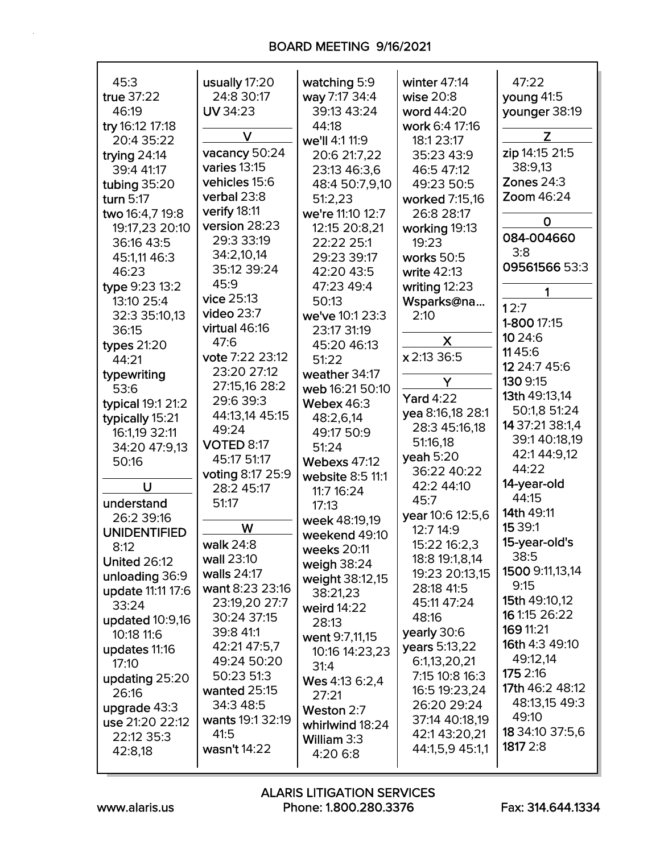# BOARD MEETING 9/16/2021

| 45:3                | usually 17:20                 | watching 5:9        | winter 47:14     | 47:22           |
|---------------------|-------------------------------|---------------------|------------------|-----------------|
| true 37:22          | 24:8 30:17                    | way 7:17 34:4       | wise 20:8        | young 41:5      |
|                     | UV 34:23                      | 39:13 43:24         |                  |                 |
| 46:19               |                               |                     | word 44:20       | younger 38:19   |
| try 16:12 17:18     | V                             | 44:18               | work 6:4 17:16   | Z               |
| 20:4 35:22          |                               | we'll 4:1 11:9      | 18:1 23:17       | zip 14:15 21:5  |
| trying 24:14        | vacancy 50:24<br>varies 13:15 | 20:6 21:7,22        | 35:23 43:9       |                 |
| 39:4 41:17          |                               | 23:13 46:3,6        | 46:5 47:12       | 38:9,13         |
| tubing 35:20        | vehicles 15:6                 | 48:4 50:7,9,10      | 49:23 50:5       | Zones $24:3$    |
| turn 5:17           | verbal 23:8                   | 51:2,23             | worked 7:15,16   | Zoom 46:24      |
| two 16:4,7 19:8     | verify 18:11                  | we're 11:10 12:7    | 26:8 28:17       | $\mathbf 0$     |
| 19:17,23 20:10      | version 28:23                 | 12:15 20:8,21       | working 19:13    | 084-004660      |
| 36:16 43:5          | 29:3 33:19                    | 22:22 25:1          | 19:23            |                 |
| 45:1,11 46:3        | 34:2,10,14                    | 29:23 39:17         | works 50:5       | 3:8             |
| 46:23               | 35:12 39:24                   | 42:20 43:5          | write 42:13      | 09561566 53:3   |
| type 9:23 13:2      | 45:9                          | 47:23 49:4          | writing $12:23$  | 1               |
| 13:10 25:4          | vice 25:13                    | 50:13               | Wsparks@na       | 12:7            |
| 32:3 35:10,13       | video $23:7$                  | we've 10:1 23:3     | 2:10             |                 |
| 36:15               | virtual 46:16                 | 23:17 31:19         |                  | 1-800 17:15     |
| <b>types 21:20</b>  | 47:6                          | 45:20 46:13         | X                | 10 24:6         |
| 44:21               | vote 7:22 23:12               | 51:22               | x 2:13 36:5      | 1145:6          |
| typewriting         | 23:20 27:12                   | weather 34:17       |                  | 12 24:7 45:6    |
| 53:6                | 27:15,16 28:2                 | web 16:21 50:10     | Y                | 130 9:15        |
| typical 19:1 21:2   | 29:6 39:3                     | <b>Webex 46:3</b>   | <b>Yard 4:22</b> | 13th 49:13,14   |
| typically 15:21     | 44:13,14 45:15                | 48:2,6,14           | yea 8:16,18 28:1 | 50:1,8 51:24    |
| 16:1,19 32:11       | 49:24                         | 49:17 50:9          | 28:3 45:16,18    | 14 37:21 38:1,4 |
| 34:20 47:9,13       | <b>VOTED 8:17</b>             | 51:24               | 51:16,18         | 39:140:18,19    |
| 50:16               | 45:17 51:17                   | <b>Webexs 47:12</b> | yeah $5:20$      | 42:1 44:9,12    |
|                     | voting 8:17 25:9              | website 8:5 11:1    | 36:22 40:22      | 44:22           |
| U                   | 28:2 45:17                    | 11:7 16:24          | 42:2 44:10       | 14-year-old     |
| understand          | 51:17                         | 17:13               | 45:7             | 44:15           |
| 26:2 39:16          |                               | week 48:19,19       | year 10:6 12:5,6 | 14th 49:11      |
| <b>UNIDENTIFIED</b> | W                             |                     | 12:7 14:9        | 15 39:1         |
| 8:12                | walk 24:8                     | weekend 49:10       | 15:22 16:2,3     | 15-year-old's   |
| <b>United 26:12</b> | wall 23:10                    | weeks 20:11         | 18:8 19:1,8,14   | 38:5            |
| unloading 36:9      | walls 24:17                   | weigh 38:24         | 19:23 20:13,15   | 1500 9:11,13,14 |
| update 11:11 17:6   | want 8:23 23:16               | weight 38:12,15     | 28:18 41:5       | 9:15            |
| 33:24               | 23:19,20 27:7                 | 38:21,23            | 45:11 47:24      | 15th 49:10,12   |
| updated 10:9,16     | 30:24 37:15                   | weird 14:22         | 48:16            | 16 1:15 26:22   |
| 10:18 11:6          | 39:8 41:1                     | 28:13               | yearly 30:6      | 169 11:21       |
|                     | 42:21 47:5,7                  | went 9:7,11,15      | years 5:13,22    | 16th 4:3 49:10  |
| updates 11:16       | 49:24 50:20                   | 10:16 14:23,23      | 6:1,13,20,21     | 49:12,14        |
| 17:10               | 50:23 51:3                    | 31:4                | 7:15 10:8 16:3   | 175 2:16        |
| updating 25:20      | wanted 25:15                  | Wes 4:13 6:2,4      | 16:5 19:23,24    | 17th 46:2 48:12 |
| 26:16               | 34:3 48:5                     | 27:21               | 26:20 29:24      | 48:13,15 49:3   |
| upgrade 43:3        | wants 19:1 32:19              | Weston 2:7          | 37:14 40:18,19   | 49:10           |
| use 21:20 22:12     | 41:5                          | whirlwind 18:24     | 42:143:20,21     | 18 34:10 37:5,6 |
| 22:12 35:3          |                               | William 3:3         |                  | 1817 2:8        |
| 42:8,18             | wasn't 14:22                  | 4:20 6:8            | 44:1,5,9 45:1,1  |                 |
|                     |                               |                     |                  |                 |